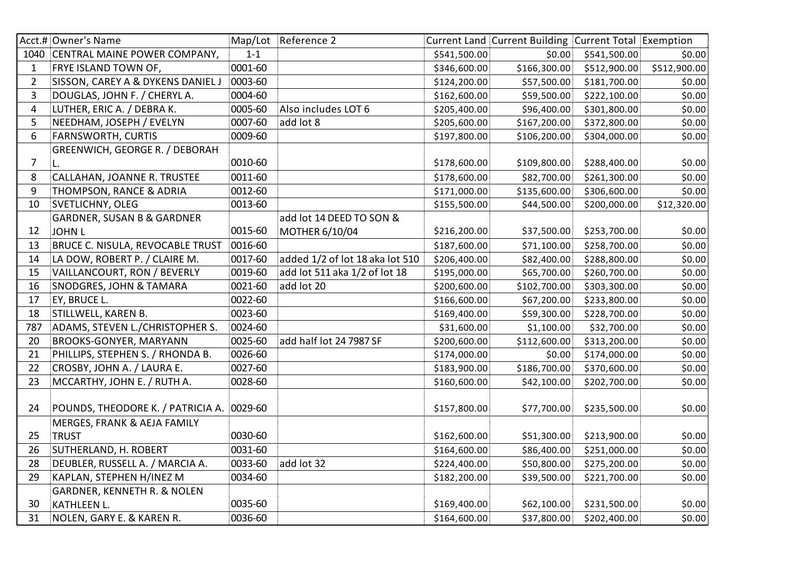|                | Acct.# Owner's Name                       |         | Map/Lot Reference 2             |              | Current Land Current Building Current Total Exemption |              |              |
|----------------|-------------------------------------------|---------|---------------------------------|--------------|-------------------------------------------------------|--------------|--------------|
|                | 1040 CENTRAL MAINE POWER COMPANY,         | $1 - 1$ |                                 | \$541,500.00 | \$0.00                                                | \$541,500.00 | \$0.00       |
| 1              | FRYE ISLAND TOWN OF,                      | 0001-60 |                                 | \$346,600.00 | \$166,300.00                                          | \$512,900.00 | \$512,900.00 |
| $\overline{2}$ | SISSON, CAREY A & DYKENS DANIEL J         | 0003-60 |                                 | \$124,200.00 | \$57,500.00                                           | \$181,700.00 | \$0.00       |
| 3              | DOUGLAS, JOHN F. / CHERYL A.              | 0004-60 |                                 | \$162,600.00 | \$59,500.00                                           | \$222,100.00 | \$0.00       |
| $\overline{4}$ | LUTHER, ERIC A. / DEBRA K.                | 0005-60 | Also includes LOT 6             | \$205,400.00 | \$96,400.00                                           | \$301,800.00 | \$0.00       |
| 5              | NEEDHAM, JOSEPH / EVELYN                  | 0007-60 | add lot 8                       | \$205,600.00 | \$167,200.00                                          | \$372,800.00 | \$0.00       |
| 6              | <b>FARNSWORTH, CURTIS</b>                 | 0009-60 |                                 | \$197,800.00 | \$106,200.00                                          | \$304,000.00 | \$0.00       |
|                | GREENWICH, GEORGE R. / DEBORAH            |         |                                 |              |                                                       |              |              |
| $\overline{7}$ | L.                                        | 0010-60 |                                 | \$178,600.00 | \$109,800.00                                          | \$288,400.00 | \$0.00       |
| 8              | CALLAHAN, JOANNE R. TRUSTEE               | 0011-60 |                                 | \$178,600.00 | \$82,700.00                                           | \$261,300.00 | \$0.00       |
| 9              | THOMPSON, RANCE & ADRIA                   | 0012-60 |                                 | \$171,000.00 | \$135,600.00                                          | \$306,600.00 | \$0.00       |
| 10             | <b>SVETLICHNY, OLEG</b>                   | 0013-60 |                                 | \$155,500.00 | \$44,500.00                                           | \$200,000.00 | \$12,320.00  |
|                | <b>GARDNER, SUSAN B &amp; GARDNER</b>     |         | add lot 14 DEED TO SON &        |              |                                                       |              |              |
| 12             | <b>JOHN L</b>                             | 0015-60 | MOTHER 6/10/04                  | \$216,200.00 | \$37,500.00                                           | \$253,700.00 | \$0.00       |
| 13             | <b>BRUCE C. NISULA, REVOCABLE TRUST</b>   | 0016-60 |                                 | \$187,600.00 | \$71,100.00                                           | \$258,700.00 | \$0.00       |
| 14             | LA DOW, ROBERT P. / CLAIRE M.             | 0017-60 | added 1/2 of lot 18 aka lot 510 | \$206,400.00 | \$82,400.00                                           | \$288,800.00 | \$0.00       |
| 15             | VAILLANCOURT, RON / BEVERLY               | 0019-60 | add lot 511 aka 1/2 of lot 18   | \$195,000.00 | \$65,700.00                                           | \$260,700.00 | \$0.00       |
| 16             | SNODGRES, JOHN & TAMARA                   | 0021-60 | add lot 20                      | \$200,600.00 | \$102,700.00                                          | \$303,300.00 | \$0.00       |
| 17             | EY, BRUCE L.                              | 0022-60 |                                 | \$166,600.00 | \$67,200.00                                           | \$233,800.00 | \$0.00       |
| 18             | STILLWELL, KAREN B.                       | 0023-60 |                                 | \$169,400.00 | \$59,300.00                                           | \$228,700.00 | \$0.00       |
| 787            | ADAMS, STEVEN L./CHRISTOPHER S.           | 0024-60 |                                 | \$31,600.00  | \$1,100.00                                            | \$32,700.00  | \$0.00       |
| 20             | BROOKS-GONYER, MARYANN                    | 0025-60 | add half lot 24 7987 SF         | \$200,600.00 | \$112,600.00                                          | \$313,200.00 | \$0.00       |
| 21             | PHILLIPS, STEPHEN S. / RHONDA B.          | 0026-60 |                                 | \$174,000.00 | \$0.00                                                | \$174,000.00 | \$0.00       |
| 22             | CROSBY, JOHN A. / LAURA E.                | 0027-60 |                                 | \$183,900.00 | \$186,700.00                                          | \$370,600.00 | \$0.00       |
| 23             | MCCARTHY, JOHN E. / RUTH A.               | 0028-60 |                                 | \$160,600.00 | \$42,100.00                                           | \$202,700.00 | \$0.00       |
|                |                                           |         |                                 |              |                                                       |              |              |
| 24             | POUNDS, THEODORE K. / PATRICIA A. 0029-60 |         |                                 | \$157,800.00 | \$77,700.00                                           | \$235,500.00 | \$0.00       |
|                | MERGES, FRANK & AEJA FAMILY               |         |                                 |              |                                                       |              |              |
| 25             | <b>TRUST</b>                              | 0030-60 |                                 | \$162,600.00 | \$51,300.00                                           | \$213,900.00 | \$0.00       |
| 26             | SUTHERLAND, H. ROBERT                     | 0031-60 |                                 | \$164,600.00 | \$86,400.00                                           | \$251,000.00 | \$0.00       |
| 28             | DEUBLER, RUSSELL A. / MARCIA A.           | 0033-60 | add lot 32                      | \$224,400.00 | \$50,800.00                                           | \$275,200.00 | \$0.00       |
| 29             | KAPLAN, STEPHEN H/INEZ M                  | 0034-60 |                                 | \$182,200.00 | \$39,500.00                                           | \$221,700.00 | \$0.00       |
|                | <b>GARDNER, KENNETH R. &amp; NOLEN</b>    |         |                                 |              |                                                       |              |              |
| 30             | KATHLEEN L.                               | 0035-60 |                                 | \$169,400.00 | \$62,100.00                                           | \$231,500.00 | \$0.00       |
| 31             | NOLEN, GARY E. & KAREN R.                 | 0036-60 |                                 | \$164,600.00 | \$37,800.00                                           | \$202,400.00 | \$0.00       |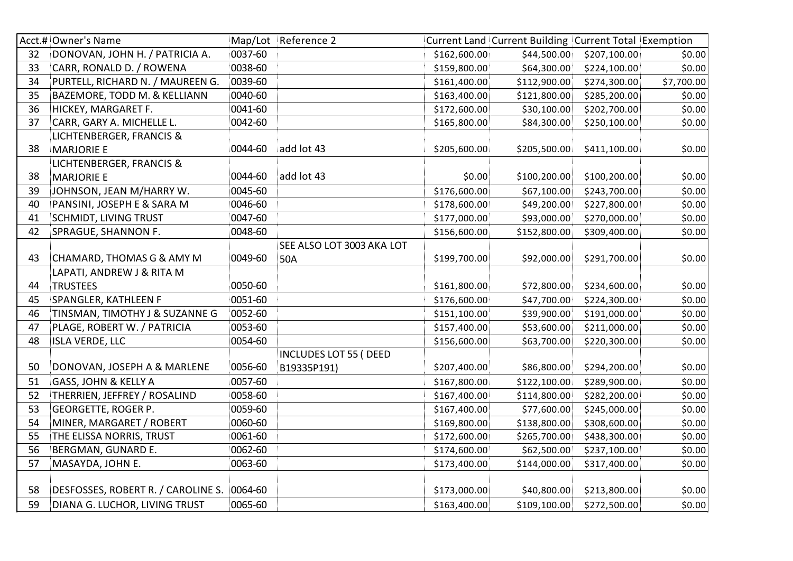|    | Acct.# Owner's Name                        |         | Map/Lot Reference 2          |              | Current Land Current Building Current Total Exemption |              |            |
|----|--------------------------------------------|---------|------------------------------|--------------|-------------------------------------------------------|--------------|------------|
| 32 | DONOVAN, JOHN H. / PATRICIA A.             | 0037-60 |                              | \$162,600.00 | \$44,500.00                                           | \$207,100.00 | \$0.00     |
| 33 | CARR, RONALD D. / ROWENA                   | 0038-60 |                              | \$159,800.00 | \$64,300.00                                           | \$224,100.00 | \$0.00     |
| 34 | PURTELL, RICHARD N. / MAUREEN G.           | 0039-60 |                              | \$161,400.00 | \$112,900.00                                          | \$274,300.00 | \$7,700.00 |
| 35 | BAZEMORE, TODD M. & KELLIANN               | 0040-60 |                              | \$163,400.00 | \$121,800.00                                          | \$285,200.00 | \$0.00     |
| 36 | HICKEY, MARGARET F.                        | 0041-60 |                              | \$172,600.00 | \$30,100.00                                           | \$202,700.00 | \$0.00     |
| 37 | CARR, GARY A. MICHELLE L.                  | 0042-60 |                              | \$165,800.00 | \$84,300.00                                           | \$250,100.00 | \$0.00     |
|    | LICHTENBERGER, FRANCIS &                   |         |                              |              |                                                       |              |            |
| 38 | <b>MARJORIE E</b>                          | 0044-60 | add lot 43                   | \$205,600.00 | \$205,500.00                                          | \$411,100.00 | \$0.00     |
|    | LICHTENBERGER, FRANCIS &                   |         |                              |              |                                                       |              |            |
| 38 | <b>MARJORIE E</b>                          | 0044-60 | add lot 43                   | \$0.00       | \$100,200.00                                          | \$100,200.00 | \$0.00     |
| 39 | JOHNSON, JEAN M/HARRY W.                   | 0045-60 |                              | \$176,600.00 | \$67,100.00                                           | \$243,700.00 | \$0.00     |
| 40 | PANSINI, JOSEPH E & SARA M                 | 0046-60 |                              | \$178,600.00 | \$49,200.00                                           | \$227,800.00 | \$0.00     |
| 41 | <b>SCHMIDT, LIVING TRUST</b>               | 0047-60 |                              | \$177,000.00 | \$93,000.00                                           | \$270,000.00 | \$0.00     |
| 42 | SPRAGUE, SHANNON F.                        | 0048-60 |                              | \$156,600.00 | \$152,800.00                                          | \$309,400.00 | \$0.00     |
|    |                                            |         | SEE ALSO LOT 3003 AKA LOT    |              |                                                       |              |            |
| 43 | CHAMARD, THOMAS G & AMY M                  | 0049-60 | 50A                          | \$199,700.00 | \$92,000.00                                           | \$291,700.00 | \$0.00     |
|    | LAPATI, ANDREW J & RITA M                  |         |                              |              |                                                       |              |            |
| 44 | <b>TRUSTEES</b>                            | 0050-60 |                              | \$161,800.00 | \$72,800.00                                           | \$234,600.00 | \$0.00     |
| 45 | SPANGLER, KATHLEEN F                       | 0051-60 |                              | \$176,600.00 | \$47,700.00                                           | \$224,300.00 | \$0.00     |
| 46 | TINSMAN, TIMOTHY J & SUZANNE G             | 0052-60 |                              | \$151,100.00 | \$39,900.00                                           | \$191,000.00 | \$0.00     |
| 47 | PLAGE, ROBERT W. / PATRICIA                | 0053-60 |                              | \$157,400.00 | \$53,600.00                                           | \$211,000.00 | \$0.00     |
| 48 | <b>ISLA VERDE, LLC</b>                     | 0054-60 |                              | \$156,600.00 | \$63,700.00                                           | \$220,300.00 | \$0.00     |
|    |                                            |         | <b>INCLUDES LOT 55 (DEED</b> |              |                                                       |              |            |
| 50 | DONOVAN, JOSEPH A & MARLENE                | 0056-60 | B19335P191)                  | \$207,400.00 | \$86,800.00                                           | \$294,200.00 | \$0.00     |
| 51 | GASS, JOHN & KELLY A                       | 0057-60 |                              | \$167,800.00 | \$122,100.00                                          | \$289,900.00 | \$0.00     |
| 52 | THERRIEN, JEFFREY / ROSALIND               | 0058-60 |                              | \$167,400.00 | \$114,800.00                                          | \$282,200.00 | \$0.00     |
| 53 | <b>GEORGETTE, ROGER P.</b>                 | 0059-60 |                              | \$167,400.00 | \$77,600.00                                           | \$245,000.00 | \$0.00     |
| 54 | MINER, MARGARET / ROBERT                   | 0060-60 |                              | \$169,800.00 | \$138,800.00                                          | \$308,600.00 | \$0.00     |
| 55 | THE ELISSA NORRIS, TRUST                   | 0061-60 |                              | \$172,600.00 | \$265,700.00                                          | \$438,300.00 | \$0.00     |
| 56 | BERGMAN, GUNARD E.                         | 0062-60 |                              | \$174,600.00 | \$62,500.00                                           | \$237,100.00 | \$0.00     |
| 57 | MASAYDA, JOHN E.                           | 0063-60 |                              | \$173,400.00 | \$144,000.00                                          | \$317,400.00 | \$0.00     |
|    |                                            |         |                              |              |                                                       |              |            |
| 58 | DESFOSSES, ROBERT R. / CAROLINE S. 0064-60 |         |                              | \$173,000.00 | \$40,800.00                                           | \$213,800.00 | \$0.00     |
| 59 | DIANA G. LUCHOR, LIVING TRUST              | 0065-60 |                              | \$163,400.00 | \$109,100.00                                          | \$272,500.00 | \$0.00     |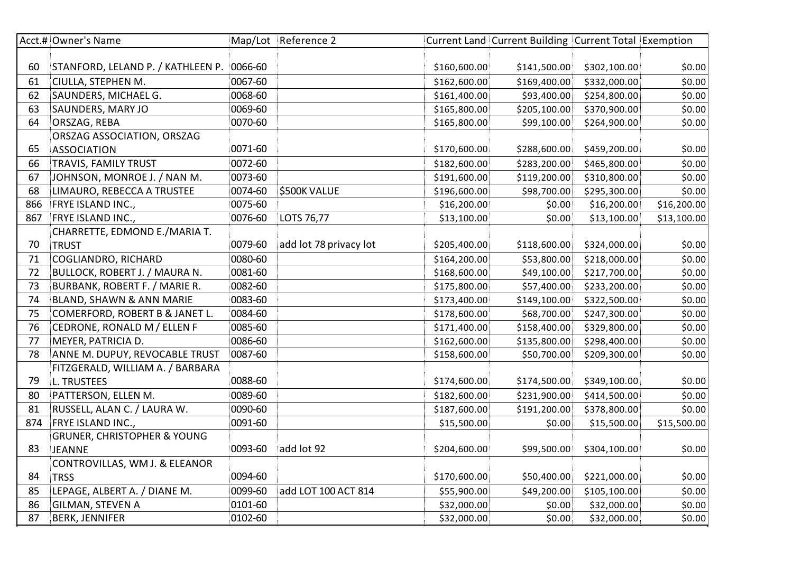|     | Acct.# Owner's Name                    |         | Map/Lot Reference 2    |              | Current Land Current Building Current Total Exemption |              |             |
|-----|----------------------------------------|---------|------------------------|--------------|-------------------------------------------------------|--------------|-------------|
|     |                                        |         |                        |              |                                                       |              |             |
| 60  | STANFORD, LELAND P. / KATHLEEN P.      | 0066-60 |                        | \$160,600.00 | \$141,500.00                                          | \$302,100.00 | \$0.00      |
| 61  | CIULLA, STEPHEN M.                     | 0067-60 |                        | \$162,600.00 | \$169,400.00                                          | \$332,000.00 | \$0.00      |
| 62  | SAUNDERS, MICHAEL G.                   | 0068-60 |                        | \$161,400.00 | \$93,400.00                                           | \$254,800.00 | \$0.00      |
| 63  | SAUNDERS, MARY JO                      | 0069-60 |                        | \$165,800.00 | \$205,100.00                                          | \$370,900.00 | \$0.00      |
| 64  | ORSZAG, REBA                           | 0070-60 |                        | \$165,800.00 | \$99,100.00                                           | \$264,900.00 | \$0.00      |
|     | ORSZAG ASSOCIATION, ORSZAG             |         |                        |              |                                                       |              |             |
| 65  | <b>ASSOCIATION</b>                     | 0071-60 |                        | \$170,600.00 | \$288,600.00                                          | \$459,200.00 | \$0.00      |
| 66  | TRAVIS, FAMILY TRUST                   | 0072-60 |                        | \$182,600.00 | \$283,200.00                                          | \$465,800.00 | \$0.00      |
| 67  | JOHNSON, MONROE J. / NAN M.            | 0073-60 |                        | \$191,600.00 | \$119,200.00                                          | \$310,800.00 | \$0.00      |
| 68  | LIMAURO, REBECCA A TRUSTEE             | 0074-60 | \$500K VALUE           | \$196,600.00 | \$98,700.00                                           | \$295,300.00 | \$0.00      |
| 866 | FRYE ISLAND INC.,                      | 0075-60 |                        | \$16,200.00  | \$0.00                                                | \$16,200.00  | \$16,200.00 |
| 867 | FRYE ISLAND INC.,                      | 0076-60 | LOTS 76,77             | \$13,100.00  | \$0.00                                                | \$13,100.00  | \$13,100.00 |
|     | CHARRETTE, EDMOND E./MARIA T.          |         |                        |              |                                                       |              |             |
| 70  | <b>TRUST</b>                           | 0079-60 | add lot 78 privacy lot | \$205,400.00 | \$118,600.00                                          | \$324,000.00 | \$0.00      |
| 71  | COGLIANDRO, RICHARD                    | 0080-60 |                        | \$164,200.00 | \$53,800.00                                           | \$218,000.00 | \$0.00      |
| 72  | BULLOCK, ROBERT J. / MAURA N.          | 0081-60 |                        | \$168,600.00 | \$49,100.00                                           | \$217,700.00 | \$0.00      |
| 73  | BURBANK, ROBERT F. / MARIE R.          | 0082-60 |                        | \$175,800.00 | \$57,400.00                                           | \$233,200.00 | \$0.00      |
| 74  | BLAND, SHAWN & ANN MARIE               | 0083-60 |                        | \$173,400.00 | \$149,100.00                                          | \$322,500.00 | \$0.00      |
| 75  | COMERFORD, ROBERT B & JANET L.         | 0084-60 |                        | \$178,600.00 | \$68,700.00                                           | \$247,300.00 | \$0.00      |
| 76  | CEDRONE, RONALD M / ELLEN F            | 0085-60 |                        | \$171,400.00 | \$158,400.00                                          | \$329,800.00 | \$0.00      |
| 77  | MEYER, PATRICIA D.                     | 0086-60 |                        | \$162,600.00 | \$135,800.00                                          | \$298,400.00 | \$0.00      |
| 78  | ANNE M. DUPUY, REVOCABLE TRUST         | 0087-60 |                        | \$158,600.00 | \$50,700.00                                           | \$209,300.00 | \$0.00      |
|     | FITZGERALD, WILLIAM A. / BARBARA       |         |                        |              |                                                       |              |             |
| 79  | L. TRUSTEES                            | 0088-60 |                        | \$174,600.00 | \$174,500.00                                          | \$349,100.00 | \$0.00      |
| 80  | PATTERSON, ELLEN M.                    | 0089-60 |                        | \$182,600.00 | \$231,900.00                                          | \$414,500.00 | \$0.00      |
| 81  | RUSSELL, ALAN C. / LAURA W.            | 0090-60 |                        | \$187,600.00 | \$191,200.00                                          | \$378,800.00 | \$0.00      |
| 874 | FRYE ISLAND INC.,                      | 0091-60 |                        | \$15,500.00  | \$0.00                                                | \$15,500.00  | \$15,500.00 |
|     | <b>GRUNER, CHRISTOPHER &amp; YOUNG</b> |         |                        |              |                                                       |              |             |
| 83  | <b>JEANNE</b>                          | 0093-60 | add lot 92             | \$204,600.00 | \$99,500.00                                           | \$304,100.00 | \$0.00      |
|     | CONTROVILLAS, WM J. & ELEANOR          |         |                        |              |                                                       |              |             |
| 84  | <b>TRSS</b>                            | 0094-60 |                        | \$170,600.00 | \$50,400.00                                           | \$221,000.00 | \$0.00      |
| 85  | LEPAGE, ALBERT A. / DIANE M.           | 0099-60 | add LOT 100 ACT 814    | \$55,900.00  | \$49,200.00                                           | \$105,100.00 | \$0.00      |
| 86  | <b>GILMAN, STEVEN A</b>                | 0101-60 |                        | \$32,000.00  | \$0.00                                                | \$32,000.00  | \$0.00      |
| 87  | <b>BERK, JENNIFER</b>                  | 0102-60 |                        | \$32,000.00  | \$0.00                                                | \$32,000.00  | \$0.00      |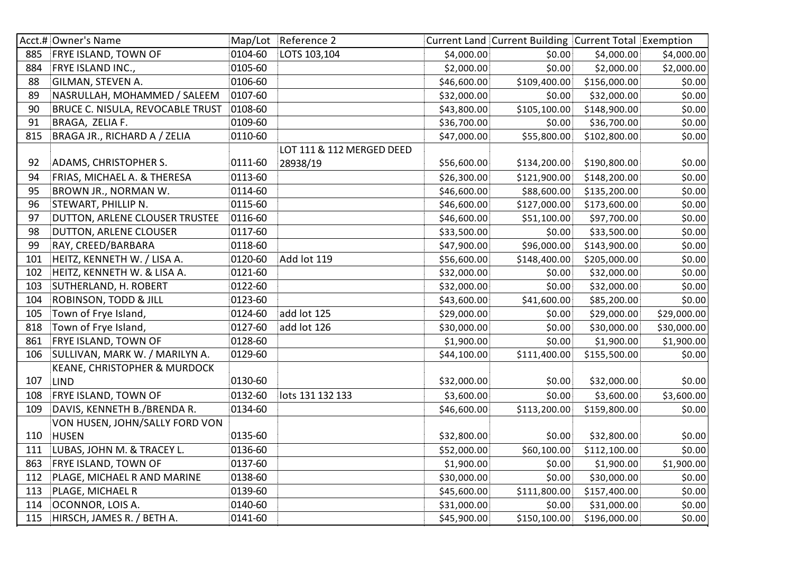|     | Acct.# Owner's Name                     |         | Map/Lot Reference 2       |             | Current Land Current Building Current Total Exemption |              |             |
|-----|-----------------------------------------|---------|---------------------------|-------------|-------------------------------------------------------|--------------|-------------|
| 885 | <b>FRYE ISLAND, TOWN OF</b>             | 0104-60 | LOTS 103,104              | \$4,000.00  | \$0.00                                                | \$4,000.00]  | \$4,000.00  |
| 884 | FRYE ISLAND INC.,                       | 0105-60 |                           | \$2,000.00  | \$0.00                                                | \$2,000.00   | \$2,000.00  |
| 88  | GILMAN, STEVEN A.                       | 0106-60 |                           | \$46,600.00 | \$109,400.00                                          | \$156,000.00 | \$0.00      |
| 89  | NASRULLAH, MOHAMMED / SALEEM            | 0107-60 |                           | \$32,000.00 | \$0.00                                                | \$32,000.00  | \$0.00      |
| 90  | <b>BRUCE C. NISULA, REVOCABLE TRUST</b> | 0108-60 |                           | \$43,800.00 | \$105,100.00                                          | \$148,900.00 | \$0.00      |
| 91  | BRAGA, ZELIA F.                         | 0109-60 |                           | \$36,700.00 | \$0.00                                                | \$36,700.00  | \$0.00      |
| 815 | BRAGA JR., RICHARD A / ZELIA            | 0110-60 |                           | \$47,000.00 | \$55,800.00                                           | \$102,800.00 | \$0.00      |
|     |                                         |         | LOT 111 & 112 MERGED DEED |             |                                                       |              |             |
| 92  | ADAMS, CHRISTOPHER S.                   | 0111-60 | 28938/19                  | \$56,600.00 | \$134,200.00                                          | \$190,800.00 | \$0.00      |
| 94  | FRIAS, MICHAEL A. & THERESA             | 0113-60 |                           | \$26,300.00 | \$121,900.00                                          | \$148,200.00 | \$0.00      |
| 95  | BROWN JR., NORMAN W.                    | 0114-60 |                           | \$46,600.00 | \$88,600.00                                           | \$135,200.00 | \$0.00      |
| 96  | STEWART, PHILLIP N.                     | 0115-60 |                           | \$46,600.00 | \$127,000.00                                          | \$173,600.00 | \$0.00      |
| 97  | DUTTON, ARLENE CLOUSER TRUSTEE          | 0116-60 |                           | \$46,600.00 | \$51,100.00                                           | \$97,700.00  | \$0.00      |
| 98  | DUTTON, ARLENE CLOUSER                  | 0117-60 |                           | \$33,500.00 | \$0.00                                                | \$33,500.00  | \$0.00      |
| 99  | RAY, CREED/BARBARA                      | 0118-60 |                           | \$47,900.00 | \$96,000.00                                           | \$143,900.00 | \$0.00      |
| 101 | HEITZ, KENNETH W. / LISA A.             | 0120-60 | Add lot 119               | \$56,600.00 | \$148,400.00                                          | \$205,000.00 | \$0.00      |
| 102 | HEITZ, KENNETH W. & LISA A.             | 0121-60 |                           | \$32,000.00 | \$0.00                                                | \$32,000.00  | \$0.00      |
| 103 | SUTHERLAND, H. ROBERT                   | 0122-60 |                           | \$32,000.00 | \$0.00                                                | \$32,000.00  | \$0.00      |
| 104 | <b>ROBINSON, TODD &amp; JILL</b>        | 0123-60 |                           | \$43,600.00 | \$41,600.00                                           | \$85,200.00  | \$0.00      |
| 105 | Town of Frye Island,                    | 0124-60 | add lot 125               | \$29,000.00 | \$0.00                                                | \$29,000.00  | \$29,000.00 |
| 818 | Town of Frye Island,                    | 0127-60 | add lot 126               | \$30,000.00 | \$0.00                                                | \$30,000.00  | \$30,000.00 |
| 861 | FRYE ISLAND, TOWN OF                    | 0128-60 |                           | \$1,900.00  | \$0.00                                                | \$1,900.00   | \$1,900.00  |
| 106 | SULLIVAN, MARK W. / MARILYN A.          | 0129-60 |                           | \$44,100.00 | \$111,400.00                                          | \$155,500.00 | \$0.00      |
|     | KEANE, CHRISTOPHER & MURDOCK            |         |                           |             |                                                       |              |             |
| 107 | <b>LIND</b>                             | 0130-60 |                           | \$32,000.00 | \$0.00                                                | \$32,000.00  | \$0.00      |
| 108 | <b>FRYE ISLAND, TOWN OF</b>             | 0132-60 | lots 131 132 133          | \$3,600.00  | \$0.00                                                | \$3,600.00   | \$3,600.00  |
| 109 | DAVIS, KENNETH B./BRENDA R.             | 0134-60 |                           | \$46,600.00 | \$113,200.00                                          | \$159,800.00 | \$0.00      |
|     | VON HUSEN, JOHN/SALLY FORD VON          |         |                           |             |                                                       |              |             |
| 110 | <b>HUSEN</b>                            | 0135-60 |                           | \$32,800.00 | \$0.00                                                | \$32,800.00  | \$0.00      |
| 111 | LUBAS, JOHN M. & TRACEY L.              | 0136-60 |                           | \$52,000.00 | \$60,100.00                                           | \$112,100.00 | \$0.00      |
| 863 | FRYE ISLAND, TOWN OF                    | 0137-60 |                           | \$1,900.00  | \$0.00                                                | \$1,900.00   | \$1,900.00  |
| 112 | PLAGE, MICHAEL R AND MARINE             | 0138-60 |                           | \$30,000.00 | \$0.00                                                | \$30,000.00  | \$0.00      |
| 113 | PLAGE, MICHAEL R                        | 0139-60 |                           | \$45,600.00 | \$111,800.00                                          | \$157,400.00 | \$0.00      |
| 114 | OCONNOR, LOIS A.                        | 0140-60 |                           | \$31,000.00 | \$0.00                                                | \$31,000.00  | \$0.00      |
| 115 | HIRSCH, JAMES R. / BETH A.              | 0141-60 |                           | \$45,900.00 | \$150,100.00                                          | \$196,000.00 | \$0.00      |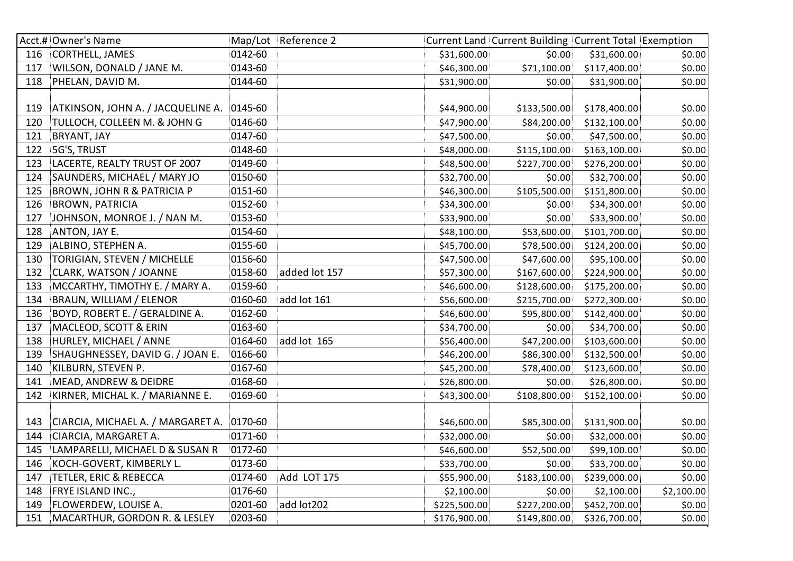|     | Acct.# Owner's Name                       |           | Map/Lot Reference 2 |              | Current Land Current Building Current Total Exemption |              |            |
|-----|-------------------------------------------|-----------|---------------------|--------------|-------------------------------------------------------|--------------|------------|
| 116 | CORTHELL, JAMES                           | 0142-60   |                     | \$31,600.00  | \$0.00                                                | \$31,600.00  | \$0.00     |
| 117 | WILSON, DONALD / JANE M.                  | 0143-60   |                     | \$46,300.00  | \$71,100.00                                           | \$117,400.00 | \$0.00     |
| 118 | PHELAN, DAVID M.                          | 0144-60   |                     | \$31,900.00  | \$0.00                                                | \$31,900.00  | \$0.00     |
|     |                                           |           |                     |              |                                                       |              |            |
| 119 | ATKINSON, JOHN A. / JACQUELINE A. 0145-60 |           |                     | \$44,900.00  | \$133,500.00                                          | \$178,400.00 | \$0.00     |
| 120 | TULLOCH, COLLEEN M. & JOHN G              | 0146-60   |                     | \$47,900.00  | \$84,200.00                                           | \$132,100.00 | \$0.00     |
| 121 | BRYANT, JAY                               | 0147-60   |                     | \$47,500.00  | \$0.00                                                | \$47,500.00  | \$0.00     |
| 122 | 5G'S, TRUST                               | 0148-60   |                     | \$48,000.00  | \$115,100.00                                          | \$163,100.00 | \$0.00     |
| 123 | LACERTE, REALTY TRUST OF 2007             | 0149-60   |                     | \$48,500.00  | \$227,700.00                                          | \$276,200.00 | \$0.00     |
| 124 | SAUNDERS, MICHAEL / MARY JO               | 0150-60   |                     | \$32,700.00  | \$0.00                                                | \$32,700.00  | \$0.00     |
| 125 | <b>BROWN, JOHN R &amp; PATRICIA P</b>     | 0151-60   |                     | \$46,300.00  | \$105,500.00                                          | \$151,800.00 | \$0.00     |
| 126 | <b>BROWN, PATRICIA</b>                    | 0152-60   |                     | \$34,300.00  | \$0.00                                                | \$34,300.00  | \$0.00     |
| 127 | JOHNSON, MONROE J. / NAN M.               | 0153-60   |                     | \$33,900.00  | \$0.00                                                | \$33,900.00  | \$0.00     |
| 128 | ANTON, JAY E.                             | 0154-60   |                     | \$48,100.00  | \$53,600.00                                           | \$101,700.00 | \$0.00     |
| 129 | ALBINO, STEPHEN A.                        | 0155-60   |                     | \$45,700.00  | \$78,500.00                                           | \$124,200.00 | \$0.00     |
| 130 | TORIGIAN, STEVEN / MICHELLE               | 0156-60   |                     | \$47,500.00  | \$47,600.00                                           | \$95,100.00  | \$0.00     |
| 132 | CLARK, WATSON / JOANNE                    | 0158-60   | added lot 157       | \$57,300.00  | \$167,600.00                                          | \$224,900.00 | \$0.00     |
| 133 | MCCARTHY, TIMOTHY E. / MARY A.            | 0159-60   |                     | \$46,600.00  | \$128,600.00                                          | \$175,200.00 | \$0.00     |
| 134 | BRAUN, WILLIAM / ELENOR                   | 0160-60   | add lot 161         | \$56,600.00  | \$215,700.00                                          | \$272,300.00 | \$0.00     |
| 136 | BOYD, ROBERT E. / GERALDINE A.            | 0162-60   |                     | \$46,600.00  | \$95,800.00                                           | \$142,400.00 | \$0.00     |
| 137 | MACLEOD, SCOTT & ERIN                     | 0163-60   |                     | \$34,700.00  | \$0.00                                                | \$34,700.00  | \$0.00     |
| 138 | HURLEY, MICHAEL / ANNE                    | 0164-60   | add lot 165         | \$56,400.00  | \$47,200.00                                           | \$103,600.00 | \$0.00     |
| 139 | SHAUGHNESSEY, DAVID G. / JOAN E.          | 0166-60   |                     | \$46,200.00  | \$86,300.00                                           | \$132,500.00 | \$0.00     |
| 140 | KILBURN, STEVEN P.                        | 0167-60   |                     | \$45,200.00  | \$78,400.00                                           | \$123,600.00 | \$0.00     |
| 141 | MEAD, ANDREW & DEIDRE                     | 0168-60   |                     | \$26,800.00  | \$0.00                                                | \$26,800.00  | \$0.00     |
| 142 | KIRNER, MICHAL K. / MARIANNE E.           | 0169-60   |                     | \$43,300.00  | \$108,800.00                                          | \$152,100.00 | \$0.00     |
|     |                                           |           |                     |              |                                                       |              |            |
| 143 | CIARCIA, MICHAEL A. / MARGARET A.         | $0170-60$ |                     | \$46,600.00  | \$85,300.00                                           | \$131,900.00 | \$0.00     |
| 144 | CIARCIA, MARGARET A.                      | 0171-60   |                     | \$32,000.00  | \$0.00                                                | \$32,000.00  | \$0.00     |
| 145 | LAMPARELLI, MICHAEL D & SUSAN R           | 0172-60   |                     | \$46,600.00  | \$52,500.00                                           | \$99,100.00  | \$0.00     |
| 146 | KOCH-GOVERT, KIMBERLY L.                  | 0173-60   |                     | \$33,700.00  | \$0.00                                                | \$33,700.00  | \$0.00     |
| 147 | <b>TETLER, ERIC &amp; REBECCA</b>         | 0174-60   | Add LOT 175         | \$55,900.00  | \$183,100.00                                          | \$239,000.00 | \$0.00     |
| 148 | FRYE ISLAND INC.,                         | 0176-60   |                     | \$2,100.00   | \$0.00                                                | \$2,100.00   | \$2,100.00 |
| 149 | FLOWERDEW, LOUISE A.                      | 0201-60   | add lot202          | \$225,500.00 | \$227,200.00                                          | \$452,700.00 | \$0.00     |
| 151 | MACARTHUR, GORDON R. & LESLEY             | 0203-60   |                     | \$176,900.00 | \$149,800.00                                          | \$326,700.00 | \$0.00     |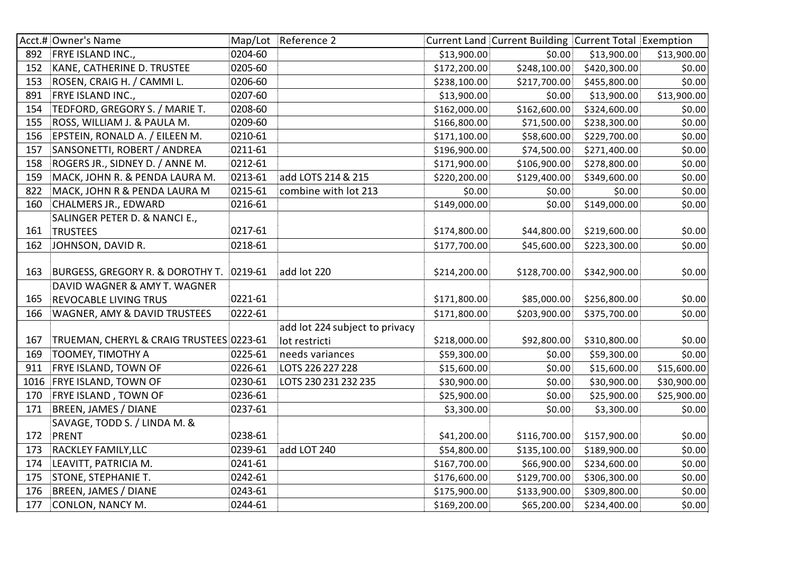|      | Acct.# Owner's Name                      |         | Map/Lot Reference 2            |              | Current Land Current Building Current Total Exemption |              |             |
|------|------------------------------------------|---------|--------------------------------|--------------|-------------------------------------------------------|--------------|-------------|
| 892  | <b>FRYE ISLAND INC.,</b>                 | 0204-60 |                                | \$13,900.00  | \$0.00                                                | \$13,900.00  | \$13,900.00 |
| 152  | KANE, CATHERINE D. TRUSTEE               | 0205-60 |                                | \$172,200.00 | \$248,100.00                                          | \$420,300.00 | \$0.00      |
| 153  | ROSEN, CRAIG H. / CAMMI L.               | 0206-60 |                                | \$238,100.00 | \$217,700.00                                          | \$455,800.00 | \$0.00      |
| 891  | FRYE ISLAND INC.,                        | 0207-60 |                                | \$13,900.00  | \$0.00                                                | \$13,900.00  | \$13,900.00 |
| 154  | TEDFORD, GREGORY S. / MARIE T.           | 0208-60 |                                | \$162,000.00 | \$162,600.00                                          | \$324,600.00 | \$0.00      |
| 155  | ROSS, WILLIAM J. & PAULA M.              | 0209-60 |                                | \$166,800.00 | \$71,500.00                                           | \$238,300.00 | \$0.00      |
| 156  | EPSTEIN, RONALD A. / EILEEN M.           | 0210-61 |                                | \$171,100.00 | \$58,600.00                                           | \$229,700.00 | \$0.00      |
| 157  | SANSONETTI, ROBERT / ANDREA              | 0211-61 |                                | \$196,900.00 | \$74,500.00                                           | \$271,400.00 | \$0.00      |
| 158  | ROGERS JR., SIDNEY D. / ANNE M.          | 0212-61 |                                | \$171,900.00 | \$106,900.00                                          | \$278,800.00 | \$0.00      |
| 159  | MACK, JOHN R. & PENDA LAURA M.           | 0213-61 | add LOTS 214 & 215             | \$220,200.00 | \$129,400.00                                          | \$349,600.00 | \$0.00      |
| 822  | MACK, JOHN R & PENDA LAURA M             | 0215-61 | combine with lot 213           | \$0.00       | \$0.00                                                | \$0.00       | \$0.00      |
| 160  | <b>CHALMERS JR., EDWARD</b>              | 0216-61 |                                | \$149,000.00 | \$0.00                                                | \$149,000.00 | \$0.00      |
|      | SALINGER PETER D. & NANCI E.,            |         |                                |              |                                                       |              |             |
| 161  | <b>TRUSTEES</b>                          | 0217-61 |                                | \$174,800.00 | \$44,800.00                                           | \$219,600.00 | \$0.00      |
| 162  | JOHNSON, DAVID R.                        | 0218-61 |                                | \$177,700.00 | \$45,600.00                                           | \$223,300.00 | \$0.00      |
|      |                                          |         |                                |              |                                                       |              |             |
| 163  | BURGESS, GREGORY R. & DOROTHY T. 0219-61 |         | add lot 220                    | \$214,200.00 | \$128,700.00                                          | \$342,900.00 | \$0.00      |
|      | DAVID WAGNER & AMY T. WAGNER             |         |                                |              |                                                       |              |             |
| 165  | REVOCABLE LIVING TRUS                    | 0221-61 |                                | \$171,800.00 | \$85,000.00                                           | \$256,800.00 | \$0.00      |
| 166  | WAGNER, AMY & DAVID TRUSTEES             | 0222-61 |                                | \$171,800.00 | \$203,900.00                                          | \$375,700.00 | \$0.00      |
|      |                                          |         | add lot 224 subject to privacy |              |                                                       |              |             |
| 167  | TRUEMAN, CHERYL & CRAIG TRUSTEES 0223-61 |         | lot restricti                  | \$218,000.00 | \$92,800.00                                           | \$310,800.00 | \$0.00      |
| 169  | <b>TOOMEY, TIMOTHY A</b>                 | 0225-61 | needs variances                | \$59,300.00  | \$0.00                                                | \$59,300.00  | \$0.00      |
| 911  | FRYE ISLAND, TOWN OF                     | 0226-61 | LOTS 226 227 228               | \$15,600.00  | \$0.00                                                | \$15,600.00  | \$15,600.00 |
| 1016 | <b>FRYE ISLAND, TOWN OF</b>              | 0230-61 | LOTS 230 231 232 235           | \$30,900.00  | \$0.00                                                | \$30,900.00  | \$30,900.00 |
| 170  | FRYE ISLAND, TOWN OF                     | 0236-61 |                                | \$25,900.00  | \$0.00                                                | \$25,900.00  | \$25,900.00 |
| 171  | <b>BREEN, JAMES / DIANE</b>              | 0237-61 |                                | \$3,300.00   | \$0.00                                                | \$3,300.00   | \$0.00      |
|      | SAVAGE, TODD S. / LINDA M. &             |         |                                |              |                                                       |              |             |
| 172  | PRENT                                    | 0238-61 |                                | \$41,200.00  | \$116,700.00                                          | \$157,900.00 | \$0.00      |
| 173  | RACKLEY FAMILY, LLC                      | 0239-61 | add LOT 240                    | \$54,800.00  | \$135,100.00                                          | \$189,900.00 | \$0.00      |
| 174  | LEAVITT, PATRICIA M.                     | 0241-61 |                                | \$167,700.00 | \$66,900.00                                           | \$234,600.00 | \$0.00      |
| 175  | <b>STONE, STEPHANIE T.</b>               | 0242-61 |                                | \$176,600.00 | \$129,700.00                                          | \$306,300.00 | \$0.00      |
| 176  | BREEN, JAMES / DIANE                     | 0243-61 |                                | \$175,900.00 | \$133,900.00                                          | \$309,800.00 | \$0.00      |
| 177  | <b>CONLON, NANCY M.</b>                  | 0244-61 |                                | \$169,200.00 | \$65,200.00                                           | \$234,400.00 | \$0.00      |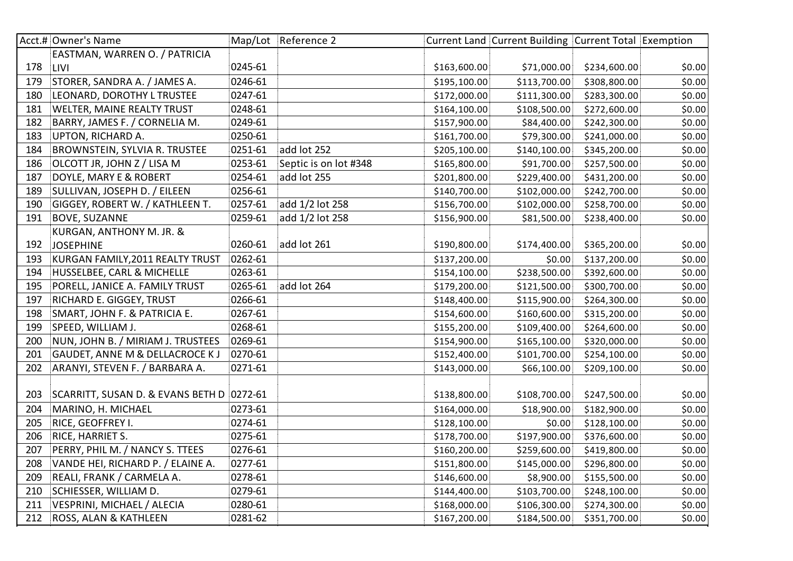|     | Acct.# Owner's Name                        |         | Map/Lot Reference 2   |              | Current Land Current Building Current Total Exemption |              |        |
|-----|--------------------------------------------|---------|-----------------------|--------------|-------------------------------------------------------|--------------|--------|
|     | EASTMAN, WARREN O. / PATRICIA              |         |                       |              |                                                       |              |        |
| 178 | LIVI                                       | 0245-61 |                       | \$163,600.00 | \$71,000.00                                           | \$234,600.00 | \$0.00 |
| 179 | STORER, SANDRA A. / JAMES A.               | 0246-61 |                       | \$195,100.00 | \$113,700.00                                          | \$308,800.00 | \$0.00 |
| 180 | LEONARD, DOROTHY L TRUSTEE                 | 0247-61 |                       | \$172,000.00 | \$111,300.00                                          | \$283,300.00 | \$0.00 |
| 181 | WELTER, MAINE REALTY TRUST                 | 0248-61 |                       | \$164,100.00 | \$108,500.00                                          | \$272,600.00 | \$0.00 |
| 182 | BARRY, JAMES F. / CORNELIA M.              | 0249-61 |                       | \$157,900.00 | \$84,400.00                                           | \$242,300.00 | \$0.00 |
| 183 | UPTON, RICHARD A.                          | 0250-61 |                       | \$161,700.00 | \$79,300.00                                           | \$241,000.00 | \$0.00 |
| 184 | <b>BROWNSTEIN, SYLVIA R. TRUSTEE</b>       | 0251-61 | add lot 252           | \$205,100.00 | \$140,100.00                                          | \$345,200.00 | \$0.00 |
| 186 | OLCOTT JR, JOHN Z / LISA M                 | 0253-61 | Septic is on lot #348 | \$165,800.00 | \$91,700.00                                           | \$257,500.00 | \$0.00 |
| 187 | DOYLE, MARY E & ROBERT                     | 0254-61 | add lot 255           | \$201,800.00 | \$229,400.00                                          | \$431,200.00 | \$0.00 |
| 189 | SULLIVAN, JOSEPH D. / EILEEN               | 0256-61 |                       | \$140,700.00 | \$102,000.00                                          | \$242,700.00 | \$0.00 |
| 190 | GIGGEY, ROBERT W. / KATHLEEN T.            | 0257-61 | add 1/2 lot 258       | \$156,700.00 | \$102,000.00                                          | \$258,700.00 | \$0.00 |
| 191 | <b>BOVE, SUZANNE</b>                       | 0259-61 | add 1/2 lot 258       | \$156,900.00 | \$81,500.00                                           | \$238,400.00 | \$0.00 |
|     | KURGAN, ANTHONY M. JR. &                   |         |                       |              |                                                       |              |        |
| 192 | <b>JOSEPHINE</b>                           | 0260-61 | add lot 261           | \$190,800.00 | \$174,400.00                                          | \$365,200.00 | \$0.00 |
| 193 | KURGAN FAMILY, 2011 REALTY TRUST           | 0262-61 |                       | \$137,200.00 | \$0.00                                                | \$137,200.00 | \$0.00 |
| 194 | HUSSELBEE, CARL & MICHELLE                 | 0263-61 |                       | \$154,100.00 | \$238,500.00                                          | \$392,600.00 | \$0.00 |
| 195 | PORELL, JANICE A. FAMILY TRUST             | 0265-61 | add lot 264           | \$179,200.00 | \$121,500.00                                          | \$300,700.00 | \$0.00 |
| 197 | <b>RICHARD E. GIGGEY, TRUST</b>            | 0266-61 |                       | \$148,400.00 | \$115,900.00                                          | \$264,300.00 | \$0.00 |
| 198 | SMART, JOHN F. & PATRICIA E.               | 0267-61 |                       | \$154,600.00 | \$160,600.00                                          | \$315,200.00 | \$0.00 |
| 199 | SPEED, WILLIAM J.                          | 0268-61 |                       | \$155,200.00 | \$109,400.00                                          | \$264,600.00 | \$0.00 |
| 200 | NUN, JOHN B. / MIRIAM J. TRUSTEES          | 0269-61 |                       | \$154,900.00 | \$165,100.00                                          | \$320,000.00 | \$0.00 |
| 201 | <b>GAUDET, ANNE M &amp; DELLACROCE K J</b> | 0270-61 |                       | \$152,400.00 | \$101,700.00                                          | \$254,100.00 | \$0.00 |
| 202 | ARANYI, STEVEN F. / BARBARA A.             | 0271-61 |                       | \$143,000.00 | \$66,100.00                                           | \$209,100.00 | \$0.00 |
|     |                                            |         |                       |              |                                                       |              |        |
| 203 | SCARRITT, SUSAN D. & EVANS BETH D 0272-61  |         |                       | \$138,800.00 | \$108,700.00                                          | \$247,500.00 | \$0.00 |
| 204 | MARINO, H. MICHAEL                         | 0273-61 |                       | \$164,000.00 | \$18,900.00                                           | \$182,900.00 | \$0.00 |
| 205 | RICE, GEOFFREY I.                          | 0274-61 |                       | \$128,100.00 | \$0.00                                                | \$128,100.00 | \$0.00 |
| 206 | RICE, HARRIET S.                           | 0275-61 |                       | \$178,700.00 | \$197,900.00                                          | \$376,600.00 | \$0.00 |
| 207 | PERRY, PHIL M. / NANCY S. TTEES            | 0276-61 |                       | \$160,200.00 | \$259,600.00                                          | \$419,800.00 | \$0.00 |
| 208 | VANDE HEI, RICHARD P. / ELAINE A.          | 0277-61 |                       | \$151,800.00 | \$145,000.00                                          | \$296,800.00 | \$0.00 |
| 209 | REALI, FRANK / CARMELA A.                  | 0278-61 |                       | \$146,600.00 | \$8,900.00                                            | \$155,500.00 | \$0.00 |
| 210 | SCHIESSER, WILLIAM D.                      | 0279-61 |                       | \$144,400.00 | \$103,700.00                                          | \$248,100.00 | \$0.00 |
| 211 | VESPRINI, MICHAEL / ALECIA                 | 0280-61 |                       | \$168,000.00 | \$106,300.00                                          | \$274,300.00 | \$0.00 |
| 212 | ROSS, ALAN & KATHLEEN                      | 0281-62 |                       | \$167,200.00 | \$184,500.00                                          | \$351,700.00 | \$0.00 |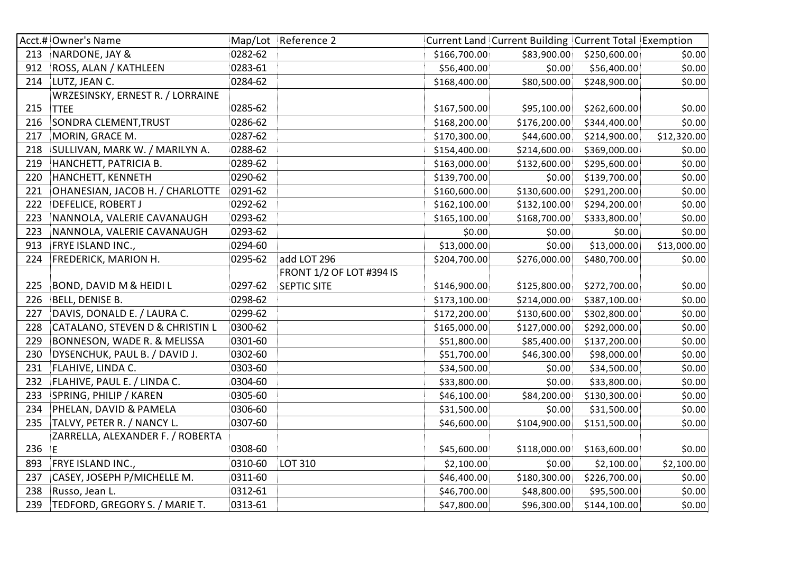|     | Acct.# Owner's Name                |         | Map/Lot Reference 2             |              | Current Land Current Building Current Total Exemption |              |             |
|-----|------------------------------------|---------|---------------------------------|--------------|-------------------------------------------------------|--------------|-------------|
| 213 | NARDONE, JAY &                     | 0282-62 |                                 | \$166,700.00 | \$83,900.00                                           | \$250,600.00 | \$0.00      |
| 912 | ROSS, ALAN / KATHLEEN              | 0283-61 |                                 | \$56,400.00  | \$0.00                                                | \$56,400.00  | \$0.00      |
| 214 | LUTZ, JEAN C.                      | 0284-62 |                                 | \$168,400.00 | \$80,500.00                                           | \$248,900.00 | \$0.00      |
|     | WRZESINSKY, ERNEST R. / LORRAINE   |         |                                 |              |                                                       |              |             |
| 215 | <b>TTEE</b>                        | 0285-62 |                                 | \$167,500.00 | \$95,100.00                                           | \$262,600.00 | \$0.00      |
| 216 | SONDRA CLEMENT, TRUST              | 0286-62 |                                 | \$168,200.00 | \$176,200.00                                          | \$344,400.00 | \$0.00      |
| 217 | MORIN, GRACE M.                    | 0287-62 |                                 | \$170,300.00 | \$44,600.00                                           | \$214,900.00 | \$12,320.00 |
| 218 | SULLIVAN, MARK W. / MARILYN A.     | 0288-62 |                                 | \$154,400.00 | \$214,600.00                                          | \$369,000.00 | \$0.00      |
| 219 | HANCHETT, PATRICIA B.              | 0289-62 |                                 | \$163,000.00 | \$132,600.00                                          | \$295,600.00 | \$0.00      |
| 220 | HANCHETT, KENNETH                  | 0290-62 |                                 | \$139,700.00 | \$0.00                                                | \$139,700.00 | \$0.00      |
| 221 | OHANESIAN, JACOB H. / CHARLOTTE    | 0291-62 |                                 | \$160,600.00 | \$130,600.00                                          | \$291,200.00 | \$0.00      |
| 222 | DEFELICE, ROBERT J                 | 0292-62 |                                 | \$162,100.00 | \$132,100.00                                          | \$294,200.00 | \$0.00      |
| 223 | NANNOLA, VALERIE CAVANAUGH         | 0293-62 |                                 | \$165,100.00 | \$168,700.00                                          | \$333,800.00 | \$0.00      |
| 223 | NANNOLA, VALERIE CAVANAUGH         | 0293-62 |                                 | \$0.00       | \$0.00                                                | \$0.00       | \$0.00      |
| 913 | FRYE ISLAND INC.,                  | 0294-60 |                                 | \$13,000.00  | \$0.00                                                | \$13,000.00  | \$13,000.00 |
| 224 | FREDERICK, MARION H.               | 0295-62 | add LOT 296                     | \$204,700.00 | \$276,000.00                                          | \$480,700.00 | \$0.00      |
|     |                                    |         | <b>FRONT 1/2 OF LOT #394 IS</b> |              |                                                       |              |             |
| 225 | <b>BOND, DAVID M &amp; HEIDI L</b> | 0297-62 | <b>SEPTIC SITE</b>              | \$146,900.00 | \$125,800.00                                          | \$272,700.00 | \$0.00      |
| 226 | BELL, DENISE B.                    | 0298-62 |                                 | \$173,100.00 | \$214,000.00                                          | \$387,100.00 | \$0.00      |
| 227 | DAVIS, DONALD E. / LAURA C.        | 0299-62 |                                 | \$172,200.00 | \$130,600.00                                          | \$302,800.00 | \$0.00      |
| 228 | CATALANO, STEVEN D & CHRISTIN L    | 0300-62 |                                 | \$165,000.00 | \$127,000.00                                          | \$292,000.00 | \$0.00      |
| 229 | BONNESON, WADE R. & MELISSA        | 0301-60 |                                 | \$51,800.00  | \$85,400.00                                           | \$137,200.00 | \$0.00      |
| 230 | DYSENCHUK, PAUL B. / DAVID J.      | 0302-60 |                                 | \$51,700.00  | \$46,300.00                                           | \$98,000.00  | \$0.00      |
| 231 | FLAHIVE, LINDA C.                  | 0303-60 |                                 | \$34,500.00  | \$0.00                                                | \$34,500.00  | \$0.00      |
| 232 | FLAHIVE, PAUL E. / LINDA C.        | 0304-60 |                                 | \$33,800.00  | \$0.00                                                | \$33,800.00  | \$0.00      |
| 233 | SPRING, PHILIP / KAREN             | 0305-60 |                                 | \$46,100.00  | \$84,200.00                                           | \$130,300.00 | \$0.00      |
| 234 | PHELAN, DAVID & PAMELA             | 0306-60 |                                 | \$31,500.00  | \$0.00                                                | \$31,500.00  | \$0.00      |
| 235 | TALVY, PETER R. / NANCY L.         | 0307-60 |                                 | \$46,600.00  | \$104,900.00                                          | \$151,500.00 | \$0.00      |
|     | ZARRELLA, ALEXANDER F. / ROBERTA   |         |                                 |              |                                                       |              |             |
| 236 | $\mathsf E$                        | 0308-60 |                                 | \$45,600.00  | \$118,000.00                                          | \$163,600.00 | \$0.00      |
| 893 | FRYE ISLAND INC.,                  | 0310-60 | <b>LOT 310</b>                  | \$2,100.00   | \$0.00                                                | \$2,100.00   | \$2,100.00  |
| 237 | CASEY, JOSEPH P/MICHELLE M.        | 0311-60 |                                 | \$46,400.00  | \$180,300.00                                          | \$226,700.00 | \$0.00      |
| 238 | Russo, Jean L.                     | 0312-61 |                                 | \$46,700.00  | \$48,800.00                                           | \$95,500.00  | \$0.00      |
| 239 | TEDFORD, GREGORY S. / MARIE T.     | 0313-61 |                                 | \$47,800.00  | \$96,300.00                                           | \$144,100.00 | \$0.00      |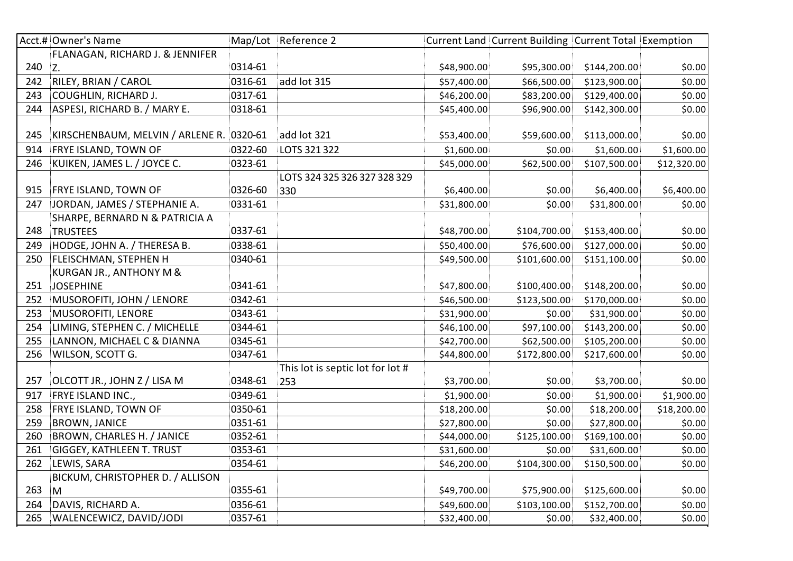|     | Acct.# Owner's Name                      |         | Map/Lot Reference 2              |             | Current Land Current Building Current Total Exemption |              |             |
|-----|------------------------------------------|---------|----------------------------------|-------------|-------------------------------------------------------|--------------|-------------|
|     | FLANAGAN, RICHARD J. & JENNIFER          |         |                                  |             |                                                       |              |             |
| 240 | $Z$ .                                    | 0314-61 |                                  | \$48,900.00 | \$95,300.00                                           | \$144,200.00 | \$0.00      |
| 242 | RILEY, BRIAN / CAROL                     | 0316-61 | add lot 315                      | \$57,400.00 | \$66,500.00                                           | \$123,900.00 | \$0.00      |
| 243 | <b>COUGHLIN, RICHARD J.</b>              | 0317-61 |                                  | \$46,200.00 | \$83,200.00                                           | \$129,400.00 | \$0.00      |
| 244 | ASPESI, RICHARD B. / MARY E.             | 0318-61 |                                  | \$45,400.00 | \$96,900.00                                           | \$142,300.00 | \$0.00      |
|     |                                          |         |                                  |             |                                                       |              |             |
| 245 | KIRSCHENBAUM, MELVIN / ARLENE R. 0320-61 |         | add lot 321                      | \$53,400.00 | \$59,600.00                                           | \$113,000.00 | \$0.00      |
| 914 | FRYE ISLAND, TOWN OF                     | 0322-60 | LOTS 321 322                     | \$1,600.00  | \$0.00                                                | \$1,600.00   | \$1,600.00  |
| 246 | KUIKEN, JAMES L. / JOYCE C.              | 0323-61 |                                  | \$45,000.00 | \$62,500.00                                           | \$107,500.00 | \$12,320.00 |
|     |                                          |         | LOTS 324 325 326 327 328 329     |             |                                                       |              |             |
| 915 | <b>FRYE ISLAND, TOWN OF</b>              | 0326-60 | 330                              | \$6,400.00  | \$0.00                                                | \$6,400.00   | \$6,400.00  |
| 247 | JORDAN, JAMES / STEPHANIE A.             | 0331-61 |                                  | \$31,800.00 | \$0.00                                                | \$31,800.00  | \$0.00      |
|     | SHARPE, BERNARD N & PATRICIA A           |         |                                  |             |                                                       |              |             |
| 248 | <b>TRUSTEES</b>                          | 0337-61 |                                  | \$48,700.00 | \$104,700.00                                          | \$153,400.00 | \$0.00      |
| 249 | HODGE, JOHN A. / THERESA B.              | 0338-61 |                                  | \$50,400.00 | \$76,600.00                                           | \$127,000.00 | \$0.00      |
| 250 | FLEISCHMAN, STEPHEN H                    | 0340-61 |                                  | \$49,500.00 | \$101,600.00                                          | \$151,100.00 | \$0.00      |
|     | KURGAN JR., ANTHONY M &                  |         |                                  |             |                                                       |              |             |
| 251 | <b>JOSEPHINE</b>                         | 0341-61 |                                  | \$47,800.00 | \$100,400.00                                          | \$148,200.00 | \$0.00      |
| 252 | MUSOROFITI, JOHN / LENORE                | 0342-61 |                                  | \$46,500.00 | \$123,500.00                                          | \$170,000.00 | \$0.00      |
| 253 | MUSOROFITI, LENORE                       | 0343-61 |                                  | \$31,900.00 | \$0.00                                                | \$31,900.00  | \$0.00      |
| 254 | LIMING, STEPHEN C. / MICHELLE            | 0344-61 |                                  | \$46,100.00 | \$97,100.00                                           | \$143,200.00 | \$0.00      |
| 255 | LANNON, MICHAEL C & DIANNA               | 0345-61 |                                  | \$42,700.00 | \$62,500.00                                           | \$105,200.00 | \$0.00      |
| 256 | WILSON, SCOTT G.                         | 0347-61 |                                  | \$44,800.00 | \$172,800.00                                          | \$217,600.00 | \$0.00      |
|     |                                          |         | This lot is septic lot for lot # |             |                                                       |              |             |
| 257 | OLCOTT JR., JOHN Z / LISA M              | 0348-61 | 253                              | \$3,700.00  | \$0.00                                                | \$3,700.00   | \$0.00      |
| 917 | FRYE ISLAND INC.,                        | 0349-61 |                                  | \$1,900.00  | \$0.00                                                | \$1,900.00   | \$1,900.00  |
| 258 | FRYE ISLAND, TOWN OF                     | 0350-61 |                                  | \$18,200.00 | \$0.00                                                | \$18,200.00  | \$18,200.00 |
| 259 | <b>BROWN, JANICE</b>                     | 0351-61 |                                  | \$27,800.00 | \$0.00                                                | \$27,800.00  | \$0.00      |
| 260 | <b>BROWN, CHARLES H. / JANICE</b>        | 0352-61 |                                  | \$44,000.00 | \$125,100.00                                          | \$169,100.00 | \$0.00      |
| 261 | <b>GIGGEY, KATHLEEN T. TRUST</b>         | 0353-61 |                                  | \$31,600.00 | \$0.00                                                | \$31,600.00  | \$0.00      |
| 262 | LEWIS, SARA                              | 0354-61 |                                  | \$46,200.00 | \$104,300.00                                          | \$150,500.00 | \$0.00      |
|     | BICKUM, CHRISTOPHER D. / ALLISON         |         |                                  |             |                                                       |              |             |
| 263 | M                                        | 0355-61 |                                  | \$49,700.00 | \$75,900.00                                           | \$125,600.00 | \$0.00      |
| 264 | DAVIS, RICHARD A.                        | 0356-61 |                                  | \$49,600.00 | \$103,100.00                                          | \$152,700.00 | \$0.00      |
| 265 | WALENCEWICZ, DAVID/JODI                  | 0357-61 |                                  | \$32,400.00 | \$0.00                                                | \$32,400.00  | \$0.00      |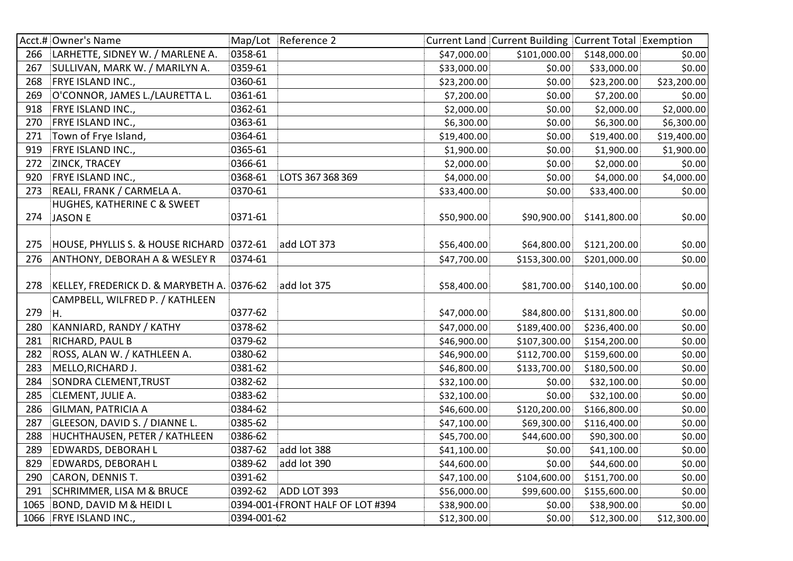|      | Acct.# Owner's Name                        |             | Map/Lot Reference 2              |             | Current Land Current Building Current Total Exemption |              |             |
|------|--------------------------------------------|-------------|----------------------------------|-------------|-------------------------------------------------------|--------------|-------------|
| 266  | LARHETTE, SIDNEY W. / MARLENE A.           | 0358-61     |                                  | \$47,000.00 | \$101,000.00                                          | \$148,000.00 | \$0.00      |
| 267  | SULLIVAN, MARK W. / MARILYN A.             | 0359-61     |                                  | \$33,000.00 | \$0.00                                                | \$33,000.00  | \$0.00      |
| 268  | FRYE ISLAND INC.,                          | 0360-61     |                                  | \$23,200.00 | \$0.00                                                | \$23,200.00  | \$23,200.00 |
| 269  | O'CONNOR, JAMES L./LAURETTA L.             | 0361-61     |                                  | \$7,200.00  | \$0.00                                                | \$7,200.00   | \$0.00      |
| 918  | FRYE ISLAND INC.,                          | 0362-61     |                                  | \$2,000.00  | \$0.00                                                | \$2,000.00   | \$2,000.00  |
| 270  | FRYE ISLAND INC.,                          | 0363-61     |                                  | \$6,300.00  | \$0.00                                                | \$6,300.00   | \$6,300.00  |
| 271  | Town of Frye Island,                       | 0364-61     |                                  | \$19,400.00 | \$0.00                                                | \$19,400.00  | \$19,400.00 |
| 919  | FRYE ISLAND INC.,                          | 0365-61     |                                  | \$1,900.00  | \$0.00                                                | \$1,900.00   | \$1,900.00  |
| 272  | ZINCK, TRACEY                              | 0366-61     |                                  | \$2,000.00  | \$0.00                                                | \$2,000.00   | \$0.00      |
| 920  | FRYE ISLAND INC.,                          | 0368-61     | LOTS 367 368 369                 | \$4,000.00  | \$0.00                                                | \$4,000.00   | \$4,000.00  |
| 273  | REALI, FRANK / CARMELA A.                  | 0370-61     |                                  | \$33,400.00 | \$0.00                                                | \$33,400.00  | \$0.00      |
|      | HUGHES, KATHERINE C & SWEET                |             |                                  |             |                                                       |              |             |
| 274  | <b>JASON E</b>                             | 0371-61     |                                  | \$50,900.00 | \$90,900.00                                           | \$141,800.00 | \$0.00      |
|      |                                            |             |                                  |             |                                                       |              |             |
| 275  | HOUSE, PHYLLIS S. & HOUSE RICHARD 0372-61  |             | add LOT 373                      | \$56,400.00 | \$64,800.00                                           | \$121,200.00 | \$0.00      |
| 276  | <b>ANTHONY, DEBORAH A &amp; WESLEY R</b>   | 0374-61     |                                  | \$47,700.00 | \$153,300.00                                          | \$201,000.00 | \$0.00      |
|      |                                            |             |                                  |             |                                                       |              |             |
| 278  | KELLEY, FREDERICK D. & MARYBETH A. 0376-62 |             | add lot 375                      | \$58,400.00 | \$81,700.00                                           | \$140,100.00 | \$0.00      |
|      | CAMPBELL, WILFRED P. / KATHLEEN            |             |                                  |             |                                                       |              |             |
| 279  | H.                                         | 0377-62     |                                  | \$47,000.00 | \$84,800.00                                           | \$131,800.00 | \$0.00      |
| 280  | KANNIARD, RANDY / KATHY                    | 0378-62     |                                  | \$47,000.00 | \$189,400.00                                          | \$236,400.00 | \$0.00      |
| 281  | RICHARD, PAUL B                            | 0379-62     |                                  | \$46,900.00 | \$107,300.00                                          | \$154,200.00 | \$0.00      |
| 282  | ROSS, ALAN W. / KATHLEEN A.                | 0380-62     |                                  | \$46,900.00 | \$112,700.00                                          | \$159,600.00 | \$0.00      |
| 283  | MELLO, RICHARD J.                          | 0381-62     |                                  | \$46,800.00 | \$133,700.00                                          | \$180,500.00 | \$0.00      |
| 284  | SONDRA CLEMENT, TRUST                      | 0382-62     |                                  | \$32,100.00 | \$0.00                                                | \$32,100.00  | \$0.00      |
| 285  | CLEMENT, JULIE A.                          | 0383-62     |                                  | \$32,100.00 | \$0.00                                                | \$32,100.00  | \$0.00      |
| 286  | <b>GILMAN, PATRICIA A</b>                  | 0384-62     |                                  | \$46,600.00 | \$120,200.00                                          | \$166,800.00 | \$0.00      |
| 287  | GLEESON, DAVID S. / DIANNE L.              | 0385-62     |                                  | \$47,100.00 | \$69,300.00                                           | \$116,400.00 | \$0.00      |
| 288  | HUCHTHAUSEN, PETER / KATHLEEN              | 0386-62     |                                  | \$45,700.00 | \$44,600.00                                           | \$90,300.00  | \$0.00      |
| 289  | EDWARDS, DEBORAH L                         | 0387-62     | add lot 388                      | \$41,100.00 | \$0.00                                                | \$41,100.00  | \$0.00      |
| 829  | EDWARDS, DEBORAH L                         | 0389-62     | add lot 390                      | \$44,600.00 | \$0.00                                                | \$44,600.00  | \$0.00      |
| 290  | CARON, DENNIS T.                           | 0391-62     |                                  | \$47,100.00 | \$104,600.00                                          | \$151,700.00 | \$0.00      |
| 291  | <b>SCHRIMMER, LISA M &amp; BRUCE</b>       | 0392-62     | ADD LOT 393                      | \$56,000.00 | \$99,600.00                                           | \$155,600.00 | \$0.00      |
| 1065 | <b>BOND, DAVID M &amp; HEIDI L</b>         |             | 0394-001-(FRONT HALF OF LOT #394 | \$38,900.00 | \$0.00                                                | \$38,900.00  | \$0.00      |
|      | 1066 FRYE ISLAND INC.,                     | 0394-001-62 |                                  | \$12,300.00 | \$0.00                                                | \$12,300.00  | \$12,300.00 |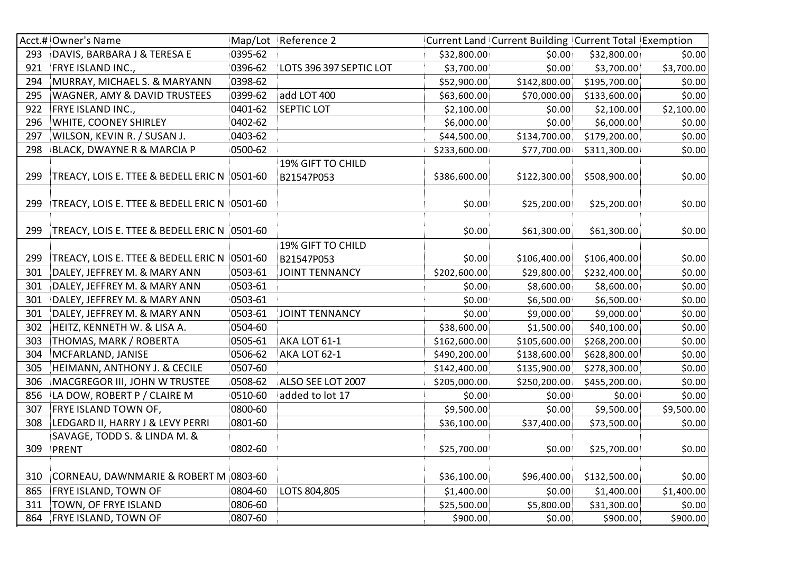|     | Acct.# Owner's Name                          |         | Map/Lot Reference 2     |              | Current Land Current Building Current Total Exemption |              |            |
|-----|----------------------------------------------|---------|-------------------------|--------------|-------------------------------------------------------|--------------|------------|
| 293 | DAVIS, BARBARA J & TERESA E                  | 0395-62 |                         | \$32,800.00  | \$0.00                                                | \$32,800.00  | \$0.00     |
| 921 | FRYE ISLAND INC.,                            | 0396-62 | LOTS 396 397 SEPTIC LOT | \$3,700.00   | \$0.00                                                | \$3,700.00   | \$3,700.00 |
| 294 | MURRAY, MICHAEL S. & MARYANN                 | 0398-62 |                         | \$52,900.00  | \$142,800.00                                          | \$195,700.00 | \$0.00     |
| 295 | <b>WAGNER, AMY &amp; DAVID TRUSTEES</b>      | 0399-62 | add LOT 400             | \$63,600.00  | \$70,000.00                                           | \$133,600.00 | \$0.00     |
| 922 | FRYE ISLAND INC.,                            | 0401-62 | <b>SEPTIC LOT</b>       | \$2,100.00   | \$0.00                                                | \$2,100.00   | \$2,100.00 |
| 296 | WHITE, COONEY SHIRLEY                        | 0402-62 |                         | \$6,000.00   | \$0.00                                                | \$6,000.00   | \$0.00     |
| 297 | WILSON, KEVIN R. / SUSAN J.                  | 0403-62 |                         | \$44,500.00  | \$134,700.00                                          | \$179,200.00 | \$0.00     |
| 298 | BLACK, DWAYNE R & MARCIA P                   | 0500-62 |                         | \$233,600.00 | \$77,700.00                                           | \$311,300.00 | \$0.00     |
|     |                                              |         | 19% GIFT TO CHILD       |              |                                                       |              |            |
| 299 | TREACY, LOIS E. TTEE & BEDELL ERIC N 0501-60 |         | B21547P053              | \$386,600.00 | \$122,300.00                                          | \$508,900.00 | \$0.00     |
|     |                                              |         |                         |              |                                                       |              |            |
| 299 | TREACY, LOIS E. TTEE & BEDELL ERIC N 0501-60 |         |                         | \$0.00       | \$25,200.00                                           | \$25,200.00  | \$0.00     |
|     |                                              |         |                         |              |                                                       |              |            |
| 299 | TREACY, LOIS E. TTEE & BEDELL ERIC N 0501-60 |         |                         | \$0.00       | \$61,300.00                                           | \$61,300.00  | \$0.00     |
|     |                                              |         | 19% GIFT TO CHILD       |              |                                                       |              |            |
| 299 | TREACY, LOIS E. TTEE & BEDELL ERIC N 0501-60 |         | B21547P053              | \$0.00       | \$106,400.00                                          | \$106,400.00 | \$0.00     |
| 301 | DALEY, JEFFREY M. & MARY ANN                 | 0503-61 | <b>JOINT TENNANCY</b>   | \$202,600.00 | \$29,800.00                                           | \$232,400.00 | \$0.00     |
| 301 | DALEY, JEFFREY M. & MARY ANN                 | 0503-61 |                         | \$0.00       | \$8,600.00                                            | \$8,600.00   | \$0.00     |
| 301 | DALEY, JEFFREY M. & MARY ANN                 | 0503-61 |                         | \$0.00       | \$6,500.00                                            | \$6,500.00   | \$0.00     |
| 301 | DALEY, JEFFREY M. & MARY ANN                 | 0503-61 | <b>JOINT TENNANCY</b>   | \$0.00       | \$9,000.00                                            | \$9,000.00   | \$0.00     |
| 302 | HEITZ, KENNETH W. & LISA A.                  | 0504-60 |                         | \$38,600.00  | \$1,500.00                                            | \$40,100.00  | \$0.00     |
| 303 | THOMAS, MARK / ROBERTA                       | 0505-61 | <b>AKA LOT 61-1</b>     | \$162,600.00 | \$105,600.00                                          | \$268,200.00 | \$0.00     |
| 304 | MCFARLAND, JANISE                            | 0506-62 | AKA LOT 62-1            | \$490,200.00 | \$138,600.00                                          | \$628,800.00 | \$0.00     |
| 305 | HEIMANN, ANTHONY J. & CECILE                 | 0507-60 |                         | \$142,400.00 | \$135,900.00                                          | \$278,300.00 | \$0.00     |
| 306 | MACGREGOR III, JOHN W TRUSTEE                | 0508-62 | ALSO SEE LOT 2007       | \$205,000.00 | \$250,200.00                                          | \$455,200.00 | \$0.00     |
| 856 | LA DOW, ROBERT P / CLAIRE M                  | 0510-60 | added to lot 17         | \$0.00       | \$0.00                                                | \$0.00       | \$0.00     |
| 307 | FRYE ISLAND TOWN OF,                         | 0800-60 |                         | \$9,500.00   | \$0.00                                                | \$9,500.00   | \$9,500.00 |
| 308 | LEDGARD II, HARRY J & LEVY PERRI             | 0801-60 |                         | \$36,100.00  | \$37,400.00                                           | \$73,500.00  | \$0.00     |
|     | SAVAGE, TODD S. & LINDA M. &                 |         |                         |              |                                                       |              |            |
| 309 | <b>PRENT</b>                                 | 0802-60 |                         | \$25,700.00  | \$0.00                                                | \$25,700.00  | \$0.00     |
|     |                                              |         |                         |              |                                                       |              |            |
| 310 | CORNEAU, DAWNMARIE & ROBERT M 0803-60        |         |                         | \$36,100.00  | \$96,400.00                                           | \$132,500.00 | \$0.00     |
| 865 | FRYE ISLAND, TOWN OF                         | 0804-60 | LOTS 804,805            | \$1,400.00   | \$0.00                                                | \$1,400.00   | \$1,400.00 |
| 311 | TOWN, OF FRYE ISLAND                         | 0806-60 |                         | \$25,500.00  | \$5,800.00                                            | \$31,300.00  | \$0.00     |
| 864 | FRYE ISLAND, TOWN OF                         | 0807-60 |                         | \$900.00     | \$0.00                                                | \$900.00]    | \$900.00   |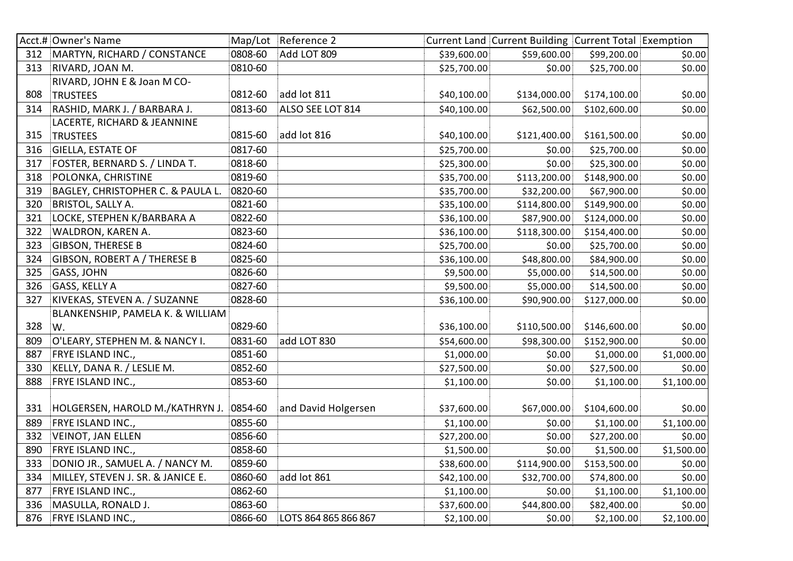|     | Acct.# Owner's Name                     |         | Map/Lot Reference 2  |             | Current Land Current Building Current Total Exemption |              |            |
|-----|-----------------------------------------|---------|----------------------|-------------|-------------------------------------------------------|--------------|------------|
| 312 | MARTYN, RICHARD / CONSTANCE             | 0808-60 | Add LOT 809          | \$39,600.00 | \$59,600.00                                           | \$99,200.00  | \$0.00     |
| 313 | RIVARD, JOAN M.                         | 0810-60 |                      | \$25,700.00 | \$0.00                                                | \$25,700.00  | \$0.00     |
|     | RIVARD, JOHN E & Joan M CO-             |         |                      |             |                                                       |              |            |
| 808 | <b>TRUSTEES</b>                         | 0812-60 | add lot 811          | \$40,100.00 | \$134,000.00                                          | \$174,100.00 | \$0.00     |
| 314 | RASHID, MARK J. / BARBARA J.            | 0813-60 | ALSO SEE LOT 814     | \$40,100.00 | \$62,500.00                                           | \$102,600.00 | \$0.00     |
|     | LACERTE, RICHARD & JEANNINE             |         |                      |             |                                                       |              |            |
| 315 | <b>TRUSTEES</b>                         | 0815-60 | add lot 816          | \$40,100.00 | \$121,400.00                                          | \$161,500.00 | \$0.00     |
| 316 | GIELLA, ESTATE OF                       | 0817-60 |                      | \$25,700.00 | \$0.00                                                | \$25,700.00  | \$0.00     |
| 317 | FOSTER, BERNARD S. / LINDA T.           | 0818-60 |                      | \$25,300.00 | \$0.00                                                | \$25,300.00  | \$0.00     |
| 318 | POLONKA, CHRISTINE                      | 0819-60 |                      | \$35,700.00 | \$113,200.00                                          | \$148,900.00 | \$0.00     |
| 319 | BAGLEY, CHRISTOPHER C. & PAULA L.       | 0820-60 |                      | \$35,700.00 | \$32,200.00                                           | \$67,900.00  | \$0.00     |
| 320 | <b>BRISTOL, SALLY A.</b>                | 0821-60 |                      | \$35,100.00 | \$114,800.00                                          | \$149,900.00 | \$0.00     |
| 321 | LOCKE, STEPHEN K/BARBARA A              | 0822-60 |                      | \$36,100.00 | \$87,900.00                                           | \$124,000.00 | \$0.00     |
| 322 | WALDRON, KAREN A.                       | 0823-60 |                      | \$36,100.00 | \$118,300.00                                          | \$154,400.00 | \$0.00     |
| 323 | <b>GIBSON, THERESE B</b>                | 0824-60 |                      | \$25,700.00 | \$0.00                                                | \$25,700.00  | \$0.00     |
| 324 | GIBSON, ROBERT A / THERESE B            | 0825-60 |                      | \$36,100.00 | \$48,800.00                                           | \$84,900.00  | \$0.00     |
| 325 | GASS, JOHN                              | 0826-60 |                      | \$9,500.00  | \$5,000.00                                            | \$14,500.00  | \$0.00     |
| 326 | <b>GASS, KELLY A</b>                    | 0827-60 |                      | \$9,500.00  | \$5,000.00                                            | \$14,500.00  | \$0.00     |
| 327 | KIVEKAS, STEVEN A. / SUZANNE            | 0828-60 |                      | \$36,100.00 | \$90,900.00                                           | \$127,000.00 | \$0.00     |
|     | BLANKENSHIP, PAMELA K. & WILLIAM        |         |                      |             |                                                       |              |            |
| 328 | W.                                      | 0829-60 |                      | \$36,100.00 | \$110,500.00                                          | \$146,600.00 | \$0.00     |
| 809 | O'LEARY, STEPHEN M. & NANCY I.          | 0831-60 | add LOT 830          | \$54,600.00 | \$98,300.00                                           | \$152,900.00 | \$0.00     |
| 887 | FRYE ISLAND INC.,                       | 0851-60 |                      | \$1,000.00  | \$0.00                                                | \$1,000.00   | \$1,000.00 |
| 330 | KELLY, DANA R. / LESLIE M.              | 0852-60 |                      | \$27,500.00 | \$0.00                                                | \$27,500.00  | \$0.00     |
| 888 | FRYE ISLAND INC.,                       | 0853-60 |                      | \$1,100.00  | \$0.00                                                | \$1,100.00   | \$1,100.00 |
|     |                                         |         |                      |             |                                                       |              |            |
| 331 | HOLGERSEN, HAROLD M./KATHRYN J. 0854-60 |         | and David Holgersen  | \$37,600.00 | \$67,000.00                                           | \$104,600.00 | \$0.00     |
| 889 | FRYE ISLAND INC.,                       | 0855-60 |                      | \$1,100.00  | \$0.00                                                | \$1,100.00   | \$1,100.00 |
| 332 | VEINOT, JAN ELLEN                       | 0856-60 |                      | \$27,200.00 | \$0.00                                                | \$27,200.00  | \$0.00     |
| 890 | FRYE ISLAND INC.,                       | 0858-60 |                      | \$1,500.00  | \$0.00                                                | \$1,500.00   | \$1,500.00 |
| 333 | DONIO JR., SAMUEL A. / NANCY M.         | 0859-60 |                      | \$38,600.00 | \$114,900.00                                          | \$153,500.00 | \$0.00     |
| 334 | MILLEY, STEVEN J. SR. & JANICE E.       | 0860-60 | add lot 861          | \$42,100.00 | \$32,700.00                                           | \$74,800.00  | \$0.00     |
| 877 | FRYE ISLAND INC.,                       | 0862-60 |                      | \$1,100.00  | \$0.00                                                | \$1,100.00   | \$1,100.00 |
| 336 | MASULLA, RONALD J.                      | 0863-60 |                      | \$37,600.00 | \$44,800.00                                           | \$82,400.00  | \$0.00     |
| 876 | FRYE ISLAND INC.,                       | 0866-60 | LOTS 864 865 866 867 | \$2,100.00  | \$0.00                                                | \$2,100.00   | \$2,100.00 |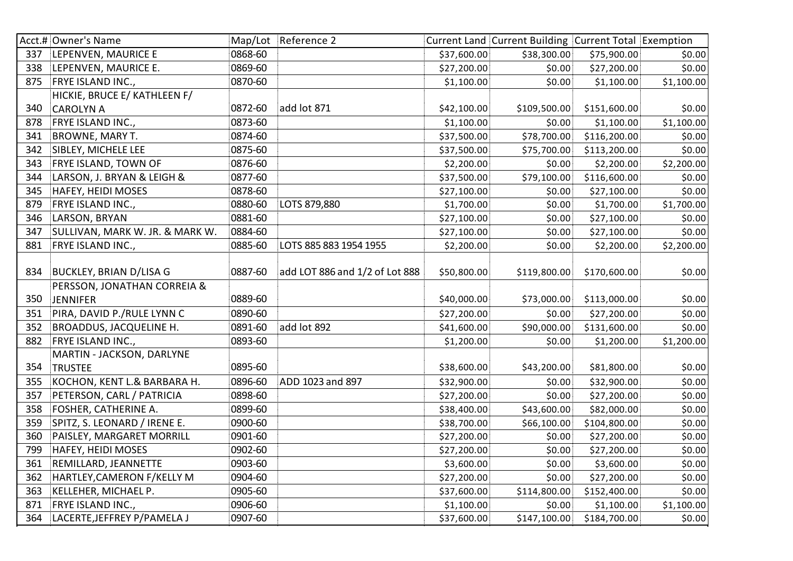|     | Acct.# Owner's Name             |         | Map/Lot Reference 2            |             | Current Land Current Building Current Total Exemption |              |            |
|-----|---------------------------------|---------|--------------------------------|-------------|-------------------------------------------------------|--------------|------------|
| 337 | LEPENVEN, MAURICE E             | 0868-60 |                                | \$37,600.00 | \$38,300.00                                           | \$75,900.00  | \$0.00     |
| 338 | LEPENVEN, MAURICE E.            | 0869-60 |                                | \$27,200.00 | \$0.00                                                | \$27,200.00  | \$0.00     |
| 875 | FRYE ISLAND INC.,               | 0870-60 |                                | \$1,100.00  | \$0.00                                                | \$1,100.00   | \$1,100.00 |
|     | HICKIE, BRUCE E/ KATHLEEN F/    |         |                                |             |                                                       |              |            |
| 340 | <b>CAROLYN A</b>                | 0872-60 | add lot 871                    | \$42,100.00 | \$109,500.00                                          | \$151,600.00 | \$0.00     |
| 878 | FRYE ISLAND INC.,               | 0873-60 |                                | \$1,100.00  | \$0.00                                                | \$1,100.00   | \$1,100.00 |
| 341 | BROWNE, MARY T.                 | 0874-60 |                                | \$37,500.00 | \$78,700.00                                           | \$116,200.00 | \$0.00     |
| 342 | SIBLEY, MICHELE LEE             | 0875-60 |                                | \$37,500.00 | \$75,700.00                                           | \$113,200.00 | \$0.00     |
| 343 | FRYE ISLAND, TOWN OF            | 0876-60 |                                | \$2,200.00  | \$0.00                                                | \$2,200.00   | \$2,200.00 |
| 344 | LARSON, J. BRYAN & LEIGH &      | 0877-60 |                                | \$37,500.00 | \$79,100.00                                           | \$116,600.00 | \$0.00     |
| 345 | <b>HAFEY, HEIDI MOSES</b>       | 0878-60 |                                | \$27,100.00 | \$0.00                                                | \$27,100.00  | \$0.00     |
| 879 | FRYE ISLAND INC.,               | 0880-60 | LOTS 879,880                   | \$1,700.00  | \$0.00                                                | \$1,700.00   | \$1,700.00 |
| 346 | LARSON, BRYAN                   | 0881-60 |                                | \$27,100.00 | \$0.00                                                | \$27,100.00  | \$0.00     |
| 347 | SULLIVAN, MARK W. JR. & MARK W. | 0884-60 |                                | \$27,100.00 | \$0.00                                                | \$27,100.00  | \$0.00     |
| 881 | <b>FRYE ISLAND INC.,</b>        | 0885-60 | LOTS 885 883 1954 1955         | \$2,200.00  | \$0.00                                                | \$2,200.00   | \$2,200.00 |
|     |                                 |         |                                |             |                                                       |              |            |
| 834 | <b>BUCKLEY, BRIAN D/LISA G</b>  | 0887-60 | add LOT 886 and 1/2 of Lot 888 | \$50,800.00 | \$119,800.00                                          | \$170,600.00 | \$0.00     |
|     | PERSSON, JONATHAN CORREIA &     |         |                                |             |                                                       |              |            |
| 350 | <b>JENNIFER</b>                 | 0889-60 |                                | \$40,000.00 | \$73,000.00                                           | \$113,000.00 | \$0.00     |
| 351 | PIRA, DAVID P./RULE LYNN C      | 0890-60 |                                | \$27,200.00 | \$0.00                                                | \$27,200.00  | \$0.00     |
| 352 | <b>BROADDUS, JACQUELINE H.</b>  | 0891-60 | add lot 892                    | \$41,600.00 | \$90,000.00                                           | \$131,600.00 | \$0.00     |
| 882 | FRYE ISLAND INC.,               | 0893-60 |                                | \$1,200.00  | \$0.00                                                | \$1,200.00   | \$1,200.00 |
|     | MARTIN - JACKSON, DARLYNE       |         |                                |             |                                                       |              |            |
| 354 | <b>TRUSTEE</b>                  | 0895-60 |                                | \$38,600.00 | \$43,200.00                                           | \$81,800.00  | \$0.00     |
| 355 | KOCHON, KENT L.& BARBARA H.     | 0896-60 | ADD 1023 and 897               | \$32,900.00 | \$0.00                                                | \$32,900.00  | \$0.00     |
| 357 | PETERSON, CARL / PATRICIA       | 0898-60 |                                | \$27,200.00 | \$0.00                                                | \$27,200.00  | \$0.00     |
| 358 | FOSHER, CATHERINE A.            | 0899-60 |                                | \$38,400.00 | \$43,600.00                                           | \$82,000.00  | \$0.00     |
| 359 | SPITZ, S. LEONARD / IRENE E.    | 0900-60 |                                | \$38,700.00 | \$66,100.00                                           | \$104,800.00 | \$0.00     |
| 360 | PAISLEY, MARGARET MORRILL       | 0901-60 |                                | \$27,200.00 | \$0.00                                                | \$27,200.00  | \$0.00     |
| 799 | <b>HAFEY, HEIDI MOSES</b>       | 0902-60 |                                | \$27,200.00 | \$0.00                                                | \$27,200.00  | \$0.00     |
| 361 | REMILLARD, JEANNETTE            | 0903-60 |                                | \$3,600.00  | \$0.00                                                | \$3,600.00   | \$0.00     |
| 362 | HARTLEY, CAMERON F/KELLY M      | 0904-60 |                                | \$27,200.00 | \$0.00                                                | \$27,200.00  | \$0.00     |
| 363 | KELLEHER, MICHAEL P.            | 0905-60 |                                | \$37,600.00 | \$114,800.00                                          | \$152,400.00 | \$0.00     |
| 871 | FRYE ISLAND INC.,               | 0906-60 |                                | \$1,100.00  | \$0.00                                                | \$1,100.00   | \$1,100.00 |
| 364 | LACERTE, JEFFREY P/PAMELA J     | 0907-60 |                                | \$37,600.00 | \$147,100.00                                          | \$184,700.00 | \$0.00     |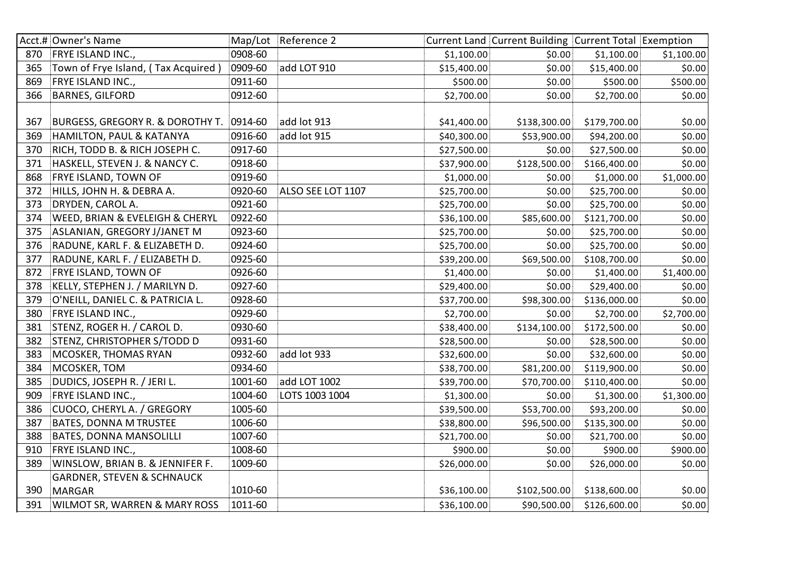|     | Acct.# Owner's Name                   |         | Map/Lot Reference 2 |             | Current Land Current Building Current Total Exemption |              |            |
|-----|---------------------------------------|---------|---------------------|-------------|-------------------------------------------------------|--------------|------------|
| 870 | <b>FRYE ISLAND INC.,</b>              | 0908-60 |                     | \$1,100.00  | \$0.00                                                | \$1,100.00   | \$1,100.00 |
| 365 | Town of Frye Island, (Tax Acquired)   | 0909-60 | add LOT 910         | \$15,400.00 | \$0.00                                                | \$15,400.00  | \$0.00     |
| 869 | FRYE ISLAND INC.,                     | 0911-60 |                     | \$500.00    | \$0.00                                                | \$500.00     | \$500.00   |
| 366 | <b>BARNES, GILFORD</b>                | 0912-60 |                     | \$2,700.00  | \$0.00                                                | \$2,700.00   | \$0.00     |
|     |                                       |         |                     |             |                                                       |              |            |
| 367 | BURGESS, GREGORY R. & DOROTHY T.      | 0914-60 | add lot 913         | \$41,400.00 | \$138,300.00                                          | \$179,700.00 | \$0.00     |
| 369 | HAMILTON, PAUL & KATANYA              | 0916-60 | add lot 915         | \$40,300.00 | \$53,900.00                                           | \$94,200.00  | \$0.00     |
| 370 | RICH, TODD B. & RICH JOSEPH C.        | 0917-60 |                     | \$27,500.00 | \$0.00                                                | \$27,500.00  | \$0.00     |
| 371 | HASKELL, STEVEN J. & NANCY C.         | 0918-60 |                     | \$37,900.00 | \$128,500.00                                          | \$166,400.00 | \$0.00     |
| 868 | <b>FRYE ISLAND, TOWN OF</b>           | 0919-60 |                     | \$1,000.00  | \$0.00                                                | \$1,000.00   | \$1,000.00 |
| 372 | HILLS, JOHN H. & DEBRA A.             | 0920-60 | ALSO SEE LOT 1107   | \$25,700.00 | \$0.00                                                | \$25,700.00  | \$0.00     |
| 373 | DRYDEN, CAROL A.                      | 0921-60 |                     | \$25,700.00 | \$0.00                                                | \$25,700.00  | \$0.00     |
| 374 | WEED, BRIAN & EVELEIGH & CHERYL       | 0922-60 |                     | \$36,100.00 | \$85,600.00                                           | \$121,700.00 | \$0.00     |
| 375 | ASLANIAN, GREGORY J/JANET M           | 0923-60 |                     | \$25,700.00 | \$0.00                                                | \$25,700.00  | \$0.00     |
| 376 | RADUNE, KARL F. & ELIZABETH D.        | 0924-60 |                     | \$25,700.00 | \$0.00                                                | \$25,700.00  | \$0.00     |
| 377 | RADUNE, KARL F. / ELIZABETH D.        | 0925-60 |                     | \$39,200.00 | \$69,500.00                                           | \$108,700.00 | \$0.00     |
| 872 | <b>FRYE ISLAND, TOWN OF</b>           | 0926-60 |                     | \$1,400.00  | \$0.00                                                | \$1,400.00   | \$1,400.00 |
| 378 | KELLY, STEPHEN J. / MARILYN D.        | 0927-60 |                     | \$29,400.00 | \$0.00                                                | \$29,400.00  | \$0.00     |
| 379 | O'NEILL, DANIEL C. & PATRICIA L.      | 0928-60 |                     | \$37,700.00 | \$98,300.00                                           | \$136,000.00 | \$0.00     |
| 380 | FRYE ISLAND INC.,                     | 0929-60 |                     | \$2,700.00  | \$0.00                                                | \$2,700.00   | \$2,700.00 |
| 381 | STENZ, ROGER H. / CAROL D.            | 0930-60 |                     | \$38,400.00 | \$134,100.00                                          | \$172,500.00 | \$0.00     |
| 382 | STENZ, CHRISTOPHER S/TODD D           | 0931-60 |                     | \$28,500.00 | \$0.00                                                | \$28,500.00  | \$0.00     |
| 383 | MCOSKER, THOMAS RYAN                  | 0932-60 | add lot 933         | \$32,600.00 | \$0.00                                                | \$32,600.00  | \$0.00     |
| 384 | MCOSKER, TOM                          | 0934-60 |                     | \$38,700.00 | \$81,200.00                                           | \$119,900.00 | \$0.00     |
| 385 | DUDICS, JOSEPH R. / JERI L.           | 1001-60 | add LOT 1002        | \$39,700.00 | \$70,700.00                                           | \$110,400.00 | \$0.00     |
| 909 | FRYE ISLAND INC.,                     | 1004-60 | LOTS 1003 1004      | \$1,300.00  | \$0.00                                                | \$1,300.00   | \$1,300.00 |
| 386 | CUOCO, CHERYL A. / GREGORY            | 1005-60 |                     | \$39,500.00 | \$53,700.00                                           | \$93,200.00  | \$0.00     |
| 387 | <b>BATES, DONNA M TRUSTEE</b>         | 1006-60 |                     | \$38,800.00 | \$96,500.00                                           | \$135,300.00 | \$0.00     |
| 388 | <b>BATES, DONNA MANSOLILLI</b>        | 1007-60 |                     | \$21,700.00 | \$0.00                                                | \$21,700.00  | \$0.00     |
| 910 | FRYE ISLAND INC.,                     | 1008-60 |                     | \$900.00    | \$0.00                                                | \$900.00     | \$900.00   |
| 389 | WINSLOW, BRIAN B. & JENNIFER F.       | 1009-60 |                     | \$26,000.00 | \$0.00                                                | \$26,000.00  | \$0.00     |
|     | <b>GARDNER, STEVEN &amp; SCHNAUCK</b> |         |                     |             |                                                       |              |            |
| 390 | <b>MARGAR</b>                         | 1010-60 |                     | \$36,100.00 | \$102,500.00                                          | \$138,600.00 | \$0.00     |
| 391 | WILMOT SR, WARREN & MARY ROSS         | 1011-60 |                     | \$36,100.00 | \$90,500.00                                           | \$126,600.00 | \$0.00     |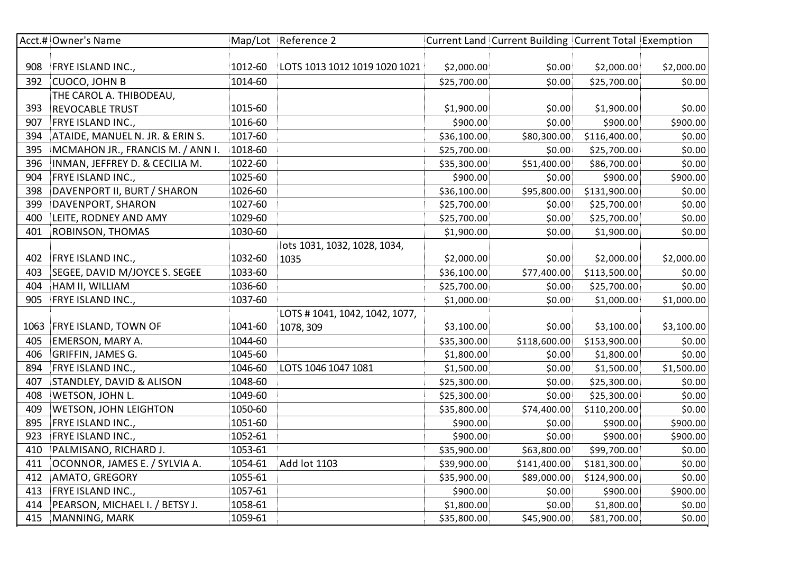|      | Acct.# Owner's Name              |         | Map/Lot Reference 2           |             | Current Land Current Building Current Total Exemption |              |            |
|------|----------------------------------|---------|-------------------------------|-------------|-------------------------------------------------------|--------------|------------|
|      |                                  |         |                               |             |                                                       |              |            |
| 908  | <b>FRYE ISLAND INC.,</b>         | 1012-60 | LOTS 1013 1012 1019 1020 1021 | \$2,000.00  | \$0.00                                                | \$2,000.00   | \$2,000.00 |
| 392  | CUOCO, JOHN B                    | 1014-60 |                               | \$25,700.00 | \$0.00                                                | \$25,700.00  | \$0.00     |
|      | THE CAROL A. THIBODEAU,          |         |                               |             |                                                       |              |            |
| 393  | <b>REVOCABLE TRUST</b>           | 1015-60 |                               | \$1,900.00  | \$0.00                                                | \$1,900.00   | \$0.00     |
| 907  | FRYE ISLAND INC.,                | 1016-60 |                               | \$900.00    | \$0.00                                                | \$900.00     | \$900.00   |
| 394  | ATAIDE, MANUEL N. JR. & ERIN S.  | 1017-60 |                               | \$36,100.00 | \$80,300.00                                           | \$116,400.00 | \$0.00     |
| 395  | MCMAHON JR., FRANCIS M. / ANN I. | 1018-60 |                               | \$25,700.00 | \$0.00                                                | \$25,700.00  | \$0.00     |
| 396  | INMAN, JEFFREY D. & CECILIA M.   | 1022-60 |                               | \$35,300.00 | \$51,400.00                                           | \$86,700.00  | \$0.00     |
| 904  | FRYE ISLAND INC.,                | 1025-60 |                               | \$900.00    | \$0.00                                                | \$900.00     | \$900.00   |
| 398  | DAVENPORT II, BURT / SHARON      | 1026-60 |                               | \$36,100.00 | \$95,800.00                                           | \$131,900.00 | \$0.00     |
| 399  | DAVENPORT, SHARON                | 1027-60 |                               | \$25,700.00 | \$0.00                                                | \$25,700.00  | \$0.00     |
| 400  | LEITE, RODNEY AND AMY            | 1029-60 |                               | \$25,700.00 | \$0.00                                                | \$25,700.00  | \$0.00     |
| 401  | ROBINSON, THOMAS                 | 1030-60 |                               | \$1,900.00  | \$0.00                                                | \$1,900.00   | \$0.00     |
|      |                                  |         | lots 1031, 1032, 1028, 1034,  |             |                                                       |              |            |
| 402  | FRYE ISLAND INC.,                | 1032-60 | 1035                          | \$2,000.00  | \$0.00                                                | \$2,000.00   | \$2,000.00 |
| 403  | SEGEE, DAVID M/JOYCE S. SEGEE    | 1033-60 |                               | \$36,100.00 | \$77,400.00                                           | \$113,500.00 | \$0.00     |
| 404  | HAM II, WILLIAM                  | 1036-60 |                               | \$25,700.00 | \$0.00                                                | \$25,700.00  | \$0.00     |
| 905  | FRYE ISLAND INC.,                | 1037-60 |                               | \$1,000.00  | \$0.00                                                | \$1,000.00   | \$1,000.00 |
|      |                                  |         | LOTS #1041, 1042, 1042, 1077, |             |                                                       |              |            |
| 1063 | <b>FRYE ISLAND, TOWN OF</b>      | 1041-60 | 1078, 309                     | \$3,100.00  | \$0.00                                                | \$3,100.00   | \$3,100.00 |
| 405  | EMERSON, MARY A.                 | 1044-60 |                               | \$35,300.00 | \$118,600.00                                          | \$153,900.00 | \$0.00     |
| 406  | GRIFFIN, JAMES G.                | 1045-60 |                               | \$1,800.00  | \$0.00                                                | \$1,800.00   | \$0.00     |
| 894  | FRYE ISLAND INC.,                | 1046-60 | LOTS 1046 1047 1081           | \$1,500.00  | \$0.00                                                | \$1,500.00   | \$1,500.00 |
| 407  | STANDLEY, DAVID & ALISON         | 1048-60 |                               | \$25,300.00 | \$0.00                                                | \$25,300.00  | \$0.00     |
| 408  | WETSON, JOHN L.                  | 1049-60 |                               | \$25,300.00 | \$0.00                                                | \$25,300.00  | \$0.00     |
| 409  | <b>WETSON, JOHN LEIGHTON</b>     | 1050-60 |                               | \$35,800.00 | \$74,400.00                                           | \$110,200.00 | \$0.00     |
| 895  | FRYE ISLAND INC.,                | 1051-60 |                               | \$900.00    | \$0.00                                                | \$900.00     | \$900.00   |
| 923  | FRYE ISLAND INC.,                | 1052-61 |                               | \$900.00    | \$0.00                                                | \$900.00     | \$900.00   |
| 410  | PALMISANO, RICHARD J.            | 1053-61 |                               | \$35,900.00 | \$63,800.00                                           | \$99,700.00  | \$0.00     |
| 411  | OCONNOR, JAMES E. / SYLVIA A.    | 1054-61 | Add lot 1103                  | \$39,900.00 | \$141,400.00                                          | \$181,300.00 | \$0.00     |
| 412  | AMATO, GREGORY                   | 1055-61 |                               | \$35,900.00 | \$89,000.00                                           | \$124,900.00 | \$0.00     |
| 413  | FRYE ISLAND INC.,                | 1057-61 |                               | \$900.00    | \$0.00                                                | \$900.00     | \$900.00   |
| 414  | PEARSON, MICHAEL I. / BETSY J.   | 1058-61 |                               | \$1,800.00  | \$0.00                                                | \$1,800.00   | \$0.00     |
| 415  | MANNING, MARK                    | 1059-61 |                               | \$35,800.00 | \$45,900.00                                           | \$81,700.00  | \$0.00     |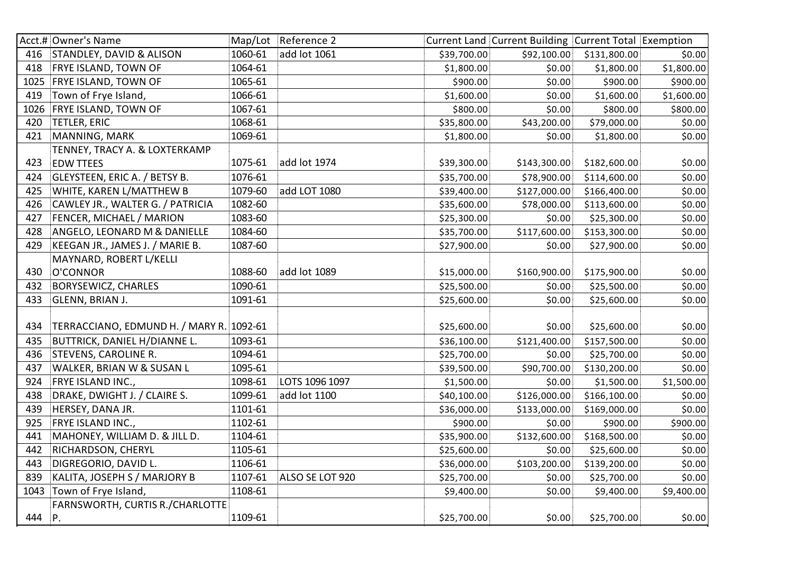|      | Acct.# Owner's Name                      |         | Map/Lot Reference 2 |             | Current Land Current Building Current Total Exemption |              |            |
|------|------------------------------------------|---------|---------------------|-------------|-------------------------------------------------------|--------------|------------|
| 416  | STANDLEY, DAVID & ALISON                 | 1060-61 | add lot 1061        | \$39,700.00 | \$92,100.00                                           | \$131,800.00 | \$0.00     |
| 418  | <b>FRYE ISLAND, TOWN OF</b>              | 1064-61 |                     | \$1,800.00  | \$0.00                                                | \$1,800.00   | \$1,800.00 |
| 1025 | <b>FRYE ISLAND, TOWN OF</b>              | 1065-61 |                     | \$900.00]   | \$0.00                                                | \$900.00]    | \$900.00   |
| 419  | Town of Frye Island,                     | 1066-61 |                     | \$1,600.00  | \$0.00                                                | \$1,600.00   | \$1,600.00 |
| 1026 | <b>FRYE ISLAND, TOWN OF</b>              | 1067-61 |                     | \$800.00    | \$0.00                                                | \$800.00     | \$800.00   |
| 420  | <b>TETLER, ERIC</b>                      | 1068-61 |                     | \$35,800.00 | \$43,200.00                                           | \$79,000.00  | \$0.00     |
| 421  | MANNING, MARK                            | 1069-61 |                     | \$1,800.00  | \$0.00                                                | \$1,800.00   | \$0.00     |
|      | TENNEY, TRACY A. & LOXTERKAMP            |         |                     |             |                                                       |              |            |
| 423  | <b>EDW TTEES</b>                         | 1075-61 | add lot 1974        | \$39,300.00 | \$143,300.00                                          | \$182,600.00 | \$0.00     |
| 424  | GLEYSTEEN, ERIC A. / BETSY B.            | 1076-61 |                     | \$35,700.00 | \$78,900.00                                           | \$114,600.00 | \$0.00     |
| 425  | WHITE, KAREN L/MATTHEW B                 | 1079-60 | add LOT 1080        | \$39,400.00 | \$127,000.00                                          | \$166,400.00 | \$0.00     |
| 426  | CAWLEY JR., WALTER G. / PATRICIA         | 1082-60 |                     | \$35,600.00 | \$78,000.00                                           | \$113,600.00 | \$0.00     |
| 427  | FENCER, MICHAEL / MARION                 | 1083-60 |                     | \$25,300.00 | \$0.00                                                | \$25,300.00  | \$0.00     |
| 428  | ANGELO, LEONARD M & DANIELLE             | 1084-60 |                     | \$35,700.00 | \$117,600.00                                          | \$153,300.00 | \$0.00     |
| 429  | KEEGAN JR., JAMES J. / MARIE B.          | 1087-60 |                     | \$27,900.00 | \$0.00                                                | \$27,900.00  | \$0.00     |
|      | MAYNARD, ROBERT L/KELLI                  |         |                     |             |                                                       |              |            |
| 430  | O'CONNOR                                 | 1088-60 | add lot 1089        | \$15,000.00 | \$160,900.00                                          | \$175,900.00 | \$0.00     |
| 432  | <b>BORYSEWICZ, CHARLES</b>               | 1090-61 |                     | \$25,500.00 | \$0.00                                                | \$25,500.00  | \$0.00     |
| 433  | <b>GLENN, BRIAN J.</b>                   | 1091-61 |                     | \$25,600.00 | \$0.00                                                | \$25,600.00  | \$0.00     |
|      |                                          |         |                     |             |                                                       |              |            |
| 434  | TERRACCIANO, EDMUND H. / MARY R. 1092-61 |         |                     | \$25,600.00 | \$0.00                                                | \$25,600.00  | \$0.00     |
| 435  | <b>BUTTRICK, DANIEL H/DIANNE L.</b>      | 1093-61 |                     | \$36,100.00 | \$121,400.00                                          | \$157,500.00 | \$0.00     |
| 436  | <b>STEVENS, CAROLINE R.</b>              | 1094-61 |                     | \$25,700.00 | \$0.00                                                | \$25,700.00  | \$0.00     |
| 437  | WALKER, BRIAN W & SUSAN L                | 1095-61 |                     | \$39,500.00 | \$90,700.00                                           | \$130,200.00 | \$0.00     |
| 924  | FRYE ISLAND INC.,                        | 1098-61 | LOTS 1096 1097      | \$1,500.00  | \$0.00                                                | \$1,500.00   | \$1,500.00 |
| 438  | DRAKE, DWIGHT J. / CLAIRE S.             | 1099-61 | add lot 1100        | \$40,100.00 | \$126,000.00                                          | \$166,100.00 | \$0.00     |
| 439  | HERSEY, DANA JR.                         | 1101-61 |                     | \$36,000.00 | \$133,000.00                                          | \$169,000.00 | \$0.00     |
| 925  | FRYE ISLAND INC.,                        | 1102-61 |                     | \$900.00    | \$0.00                                                | \$900.00     | \$900.00   |
| 441  | MAHONEY, WILLIAM D. & JILL D.            | 1104-61 |                     | \$35,900.00 | \$132,600.00                                          | \$168,500.00 | \$0.00     |
| 442  | RICHARDSON, CHERYL                       | 1105-61 |                     | \$25,600.00 | \$0.00                                                | \$25,600.00  | \$0.00     |
| 443  | DIGREGORIO, DAVID L.                     | 1106-61 |                     | \$36,000.00 | \$103,200.00                                          | \$139,200.00 | \$0.00     |
| 839  | KALITA, JOSEPH S / MARJORY B             | 1107-61 | ALSO SE LOT 920     | \$25,700.00 | \$0.00                                                | \$25,700.00  | \$0.00     |
| 1043 | Town of Frye Island,                     | 1108-61 |                     | \$9,400.00  | \$0.00                                                | \$9,400.00   | \$9,400.00 |
|      | FARNSWORTH, CURTIS R./CHARLOTTE          |         |                     |             |                                                       |              |            |
| 444  | P.                                       | 1109-61 |                     | \$25,700.00 | \$0.00                                                | \$25,700.00  | \$0.00     |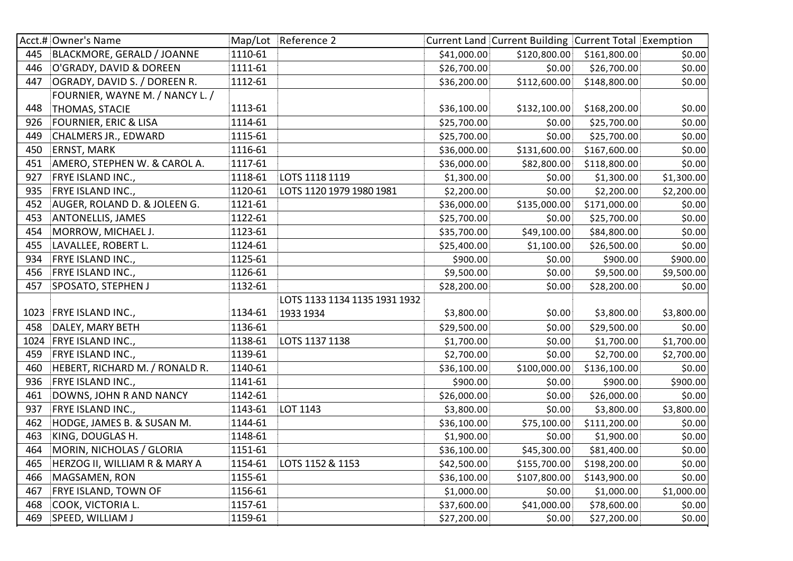|      | Acct.# Owner's Name              |         | Map/Lot Reference 2           |             | Current Land Current Building Current Total Exemption |                             |            |
|------|----------------------------------|---------|-------------------------------|-------------|-------------------------------------------------------|-----------------------------|------------|
| 445  | BLACKMORE, GERALD / JOANNE       | 1110-61 |                               | \$41,000.00 |                                                       | $$120,800.00$ $$161,800.00$ | \$0.00     |
| 446  | O'GRADY, DAVID & DOREEN          | 1111-61 |                               | \$26,700.00 | \$0.00                                                | \$26,700.00                 | \$0.00     |
| 447  | OGRADY, DAVID S. / DOREEN R.     | 1112-61 |                               | \$36,200.00 | \$112,600.00                                          | \$148,800.00                | \$0.00     |
|      | FOURNIER, WAYNE M. / NANCY L. /  |         |                               |             |                                                       |                             |            |
| 448  | <b>THOMAS, STACIE</b>            | 1113-61 |                               | \$36,100.00 | \$132,100.00                                          | \$168,200.00                | \$0.00     |
| 926  | <b>FOURNIER, ERIC &amp; LISA</b> | 1114-61 |                               | \$25,700.00 | \$0.00                                                | \$25,700.00                 | \$0.00     |
| 449  | <b>CHALMERS JR., EDWARD</b>      | 1115-61 |                               | \$25,700.00 | \$0.00                                                | \$25,700.00                 | \$0.00     |
| 450  | <b>ERNST, MARK</b>               | 1116-61 |                               | \$36,000.00 | \$131,600.00                                          | \$167,600.00                | \$0.00     |
| 451  | AMERO, STEPHEN W. & CAROL A.     | 1117-61 |                               | \$36,000.00 | \$82,800.00                                           | \$118,800.00                | \$0.00     |
| 927  | FRYE ISLAND INC.,                | 1118-61 | LOTS 1118 1119                | \$1,300.00  | \$0.00                                                | \$1,300.00                  | \$1,300.00 |
| 935  | FRYE ISLAND INC.,                | 1120-61 | LOTS 1120 1979 1980 1981      | \$2,200.00  | \$0.00                                                | \$2,200.00                  | \$2,200.00 |
| 452  | AUGER, ROLAND D. & JOLEEN G.     | 1121-61 |                               | \$36,000.00 | \$135,000.00                                          | \$171,000.00                | \$0.00     |
| 453  | ANTONELLIS, JAMES                | 1122-61 |                               | \$25,700.00 | \$0.00                                                | \$25,700.00                 | \$0.00     |
| 454  | MORROW, MICHAEL J.               | 1123-61 |                               | \$35,700.00 | \$49,100.00                                           | \$84,800.00                 | \$0.00     |
| 455  | LAVALLEE, ROBERT L.              | 1124-61 |                               | \$25,400.00 | \$1,100.00                                            | \$26,500.00                 | \$0.00     |
| 934  | FRYE ISLAND INC.,                | 1125-61 |                               | \$900.00]   | \$0.00                                                | \$900.00]                   | \$900.00   |
| 456  | FRYE ISLAND INC.,                | 1126-61 |                               | \$9,500.00  | \$0.00                                                | \$9,500.00                  | \$9,500.00 |
| 457  | SPOSATO, STEPHEN J               | 1132-61 |                               | \$28,200.00 | \$0.00                                                | \$28,200.00                 | \$0.00     |
|      |                                  |         | LOTS 1133 1134 1135 1931 1932 |             |                                                       |                             |            |
|      | 1023 FRYE ISLAND INC.,           | 1134-61 | 1933 1934                     | \$3,800.00  | \$0.00                                                | \$3,800.00                  | \$3,800.00 |
| 458  | DALEY, MARY BETH                 | 1136-61 |                               | \$29,500.00 | \$0.00                                                | \$29,500.00                 | \$0.00     |
| 1024 | FRYE ISLAND INC.,                | 1138-61 | LOTS 1137 1138                | \$1,700.00  | \$0.00                                                | \$1,700.00                  | \$1,700.00 |
| 459  | FRYE ISLAND INC.,                | 1139-61 |                               | \$2,700.00  | \$0.00                                                | \$2,700.00                  | \$2,700.00 |
| 460  | HEBERT, RICHARD M. / RONALD R.   | 1140-61 |                               | \$36,100.00 | \$100,000.00                                          | \$136,100.00                | \$0.00     |
| 936  | FRYE ISLAND INC.,                | 1141-61 |                               | \$900.00    | \$0.00                                                | \$900.00                    | \$900.00   |
| 461  | DOWNS, JOHN R AND NANCY          | 1142-61 |                               | \$26,000.00 | \$0.00                                                | \$26,000.00                 | \$0.00     |
| 937  | FRYE ISLAND INC.,                | 1143-61 | LOT 1143                      | \$3,800.00  | \$0.00                                                | \$3,800.00                  | \$3,800.00 |
| 462  | HODGE, JAMES B. & SUSAN M.       | 1144-61 |                               | \$36,100.00 | \$75,100.00                                           | \$111,200.00                | \$0.00     |
| 463  | KING, DOUGLAS H.                 | 1148-61 |                               | \$1,900.00  | \$0.00                                                | \$1,900.00                  | \$0.00     |
| 464  | MORIN, NICHOLAS / GLORIA         | 1151-61 |                               | \$36,100.00 | \$45,300.00                                           | \$81,400.00                 | \$0.00     |
| 465  | HERZOG II, WILLIAM R & MARY A    | 1154-61 | LOTS 1152 & 1153              | \$42,500.00 | \$155,700.00                                          | \$198,200.00                | \$0.00     |
| 466  | MAGSAMEN, RON                    | 1155-61 |                               | \$36,100.00 | \$107,800.00                                          | \$143,900.00                | \$0.00     |
| 467  | FRYE ISLAND, TOWN OF             | 1156-61 |                               | \$1,000.00  | \$0.00                                                | \$1,000.00                  | \$1,000.00 |
| 468  | COOK, VICTORIA L.                | 1157-61 |                               | \$37,600.00 | \$41,000.00                                           | \$78,600.00                 | \$0.00     |
| 469  | SPEED, WILLIAM J                 | 1159-61 |                               | \$27,200.00 | \$0.00                                                | \$27,200.00                 | \$0.00     |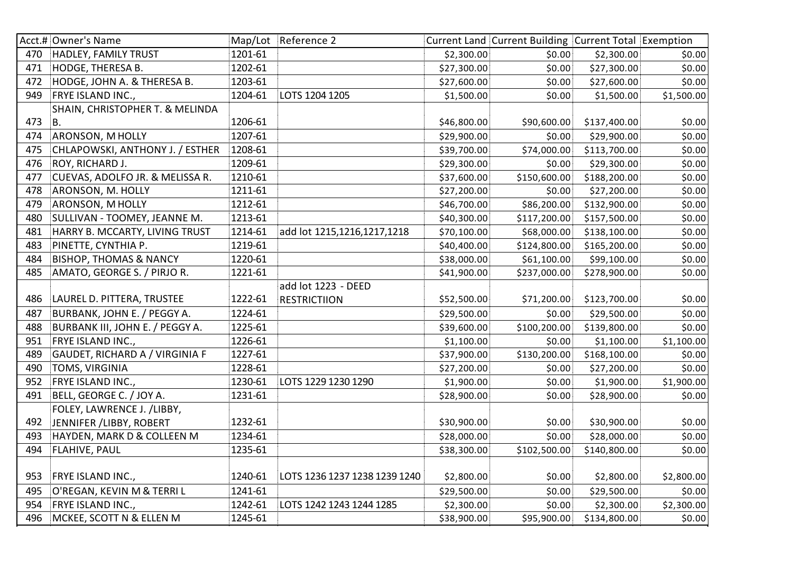|     | Acct.# Owner's Name               |         | Map/Lot Reference 2           |             | Current Land Current Building Current Total Exemption |              |            |
|-----|-----------------------------------|---------|-------------------------------|-------------|-------------------------------------------------------|--------------|------------|
| 470 | <b>HADLEY, FAMILY TRUST</b>       | 1201-61 |                               | \$2,300.00  | \$0.00                                                | \$2,300.00   | \$0.00     |
| 471 | <b>HODGE, THERESA B.</b>          | 1202-61 |                               | \$27,300.00 | \$0.00                                                | \$27,300.00  | \$0.00     |
| 472 | HODGE, JOHN A. & THERESA B.       | 1203-61 |                               | \$27,600.00 | \$0.00                                                | \$27,600.00  | \$0.00     |
| 949 | FRYE ISLAND INC.,                 | 1204-61 | LOTS 1204 1205                | \$1,500.00  | \$0.00                                                | \$1,500.00   | \$1,500.00 |
|     | SHAIN, CHRISTOPHER T. & MELINDA   |         |                               |             |                                                       |              |            |
| 473 | <b>B.</b>                         | 1206-61 |                               | \$46,800.00 | \$90,600.00                                           | \$137,400.00 | \$0.00     |
| 474 | <b>ARONSON, M HOLLY</b>           | 1207-61 |                               | \$29,900.00 | \$0.00                                                | \$29,900.00  | \$0.00     |
| 475 | CHLAPOWSKI, ANTHONY J. / ESTHER   | 1208-61 |                               | \$39,700.00 | \$74,000.00                                           | \$113,700.00 | \$0.00     |
| 476 | ROY, RICHARD J.                   | 1209-61 |                               | \$29,300.00 | \$0.00                                                | \$29,300.00  | \$0.00     |
| 477 | CUEVAS, ADOLFO JR. & MELISSA R.   | 1210-61 |                               | \$37,600.00 | \$150,600.00                                          | \$188,200.00 | \$0.00     |
| 478 | ARONSON, M. HOLLY                 | 1211-61 |                               | \$27,200.00 | \$0.00                                                | \$27,200.00  | \$0.00     |
| 479 | ARONSON, M HOLLY                  | 1212-61 |                               | \$46,700.00 | \$86,200.00                                           | \$132,900.00 | \$0.00     |
| 480 | SULLIVAN - TOOMEY, JEANNE M.      | 1213-61 |                               | \$40,300.00 | \$117,200.00                                          | \$157,500.00 | \$0.00     |
| 481 | HARRY B. MCCARTY, LIVING TRUST    | 1214-61 | add lot 1215,1216,1217,1218   | \$70,100.00 | \$68,000.00                                           | \$138,100.00 | \$0.00     |
| 483 | PINETTE, CYNTHIA P.               | 1219-61 |                               | \$40,400.00 | \$124,800.00                                          | \$165,200.00 | \$0.00     |
| 484 | <b>BISHOP, THOMAS &amp; NANCY</b> | 1220-61 |                               | \$38,000.00 | \$61,100.00                                           | \$99,100.00  | \$0.00     |
| 485 | AMATO, GEORGE S. / PIRJO R.       | 1221-61 |                               | \$41,900.00 | \$237,000.00                                          | \$278,900.00 | \$0.00     |
|     |                                   |         | add lot 1223 - DEED           |             |                                                       |              |            |
| 486 | LAUREL D. PITTERA, TRUSTEE        | 1222-61 | <b>RESTRICTIION</b>           | \$52,500.00 | \$71,200.00                                           | \$123,700.00 | \$0.00     |
| 487 | BURBANK, JOHN E. / PEGGY A.       | 1224-61 |                               | \$29,500.00 | \$0.00                                                | \$29,500.00  | \$0.00     |
| 488 | BURBANK III, JOHN E. / PEGGY A.   | 1225-61 |                               | \$39,600.00 | \$100,200.00                                          | \$139,800.00 | \$0.00     |
| 951 | FRYE ISLAND INC.,                 | 1226-61 |                               | \$1,100.00  | \$0.00                                                | \$1,100.00   | \$1,100.00 |
| 489 | GAUDET, RICHARD A / VIRGINIA F    | 1227-61 |                               | \$37,900.00 | \$130,200.00                                          | \$168,100.00 | \$0.00     |
| 490 | <b>TOMS, VIRGINIA</b>             | 1228-61 |                               | \$27,200.00 | \$0.00                                                | \$27,200.00  | \$0.00     |
| 952 | FRYE ISLAND INC.,                 | 1230-61 | LOTS 1229 1230 1290           | \$1,900.00  | \$0.00                                                | \$1,900.00   | \$1,900.00 |
| 491 | BELL, GEORGE C. / JOY A.          | 1231-61 |                               | \$28,900.00 | \$0.00                                                | \$28,900.00  | \$0.00     |
|     | FOLEY, LAWRENCE J. /LIBBY,        |         |                               |             |                                                       |              |            |
| 492 | JENNIFER / LIBBY, ROBERT          | 1232-61 |                               | \$30,900.00 | \$0.00                                                | \$30,900.00  | \$0.00     |
| 493 | HAYDEN, MARK D & COLLEEN M        | 1234-61 |                               | \$28,000.00 | \$0.00                                                | \$28,000.00  | \$0.00     |
| 494 | <b>FLAHIVE, PAUL</b>              | 1235-61 |                               | \$38,300.00 | \$102,500.00                                          | \$140,800.00 | \$0.00     |
|     |                                   |         |                               |             |                                                       |              |            |
| 953 | FRYE ISLAND INC.,                 | 1240-61 | LOTS 1236 1237 1238 1239 1240 | \$2,800.00  | \$0.00                                                | \$2,800.00   | \$2,800.00 |
| 495 | O'REGAN, KEVIN M & TERRI L        | 1241-61 |                               | \$29,500.00 | \$0.00                                                | \$29,500.00  | \$0.00     |
| 954 | FRYE ISLAND INC.,                 | 1242-61 | LOTS 1242 1243 1244 1285      | \$2,300.00  | \$0.00                                                | \$2,300.00   | \$2,300.00 |
| 496 | MCKEE, SCOTT N & ELLEN M          | 1245-61 |                               | \$38,900.00 | \$95,900.00                                           | \$134,800.00 | \$0.00     |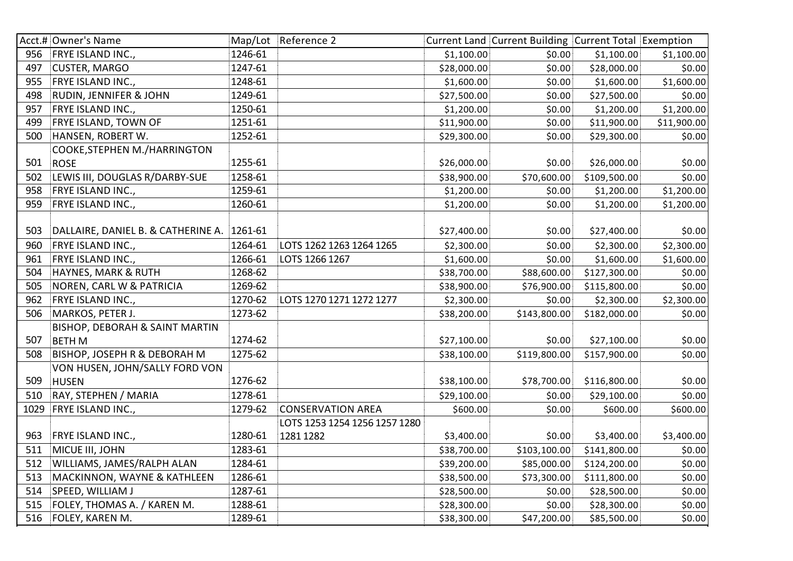|      | Acct.# Owner's Name                        |         | Map/Lot Reference 2           |             | Current Land Current Building Current Total Exemption |              |             |
|------|--------------------------------------------|---------|-------------------------------|-------------|-------------------------------------------------------|--------------|-------------|
| 956  | <b>FRYE ISLAND INC.,</b>                   | 1246-61 |                               | \$1,100.00  | \$0.00                                                | \$1,100.00   | \$1,100.00  |
| 497  | <b>CUSTER, MARGO</b>                       | 1247-61 |                               | \$28,000.00 | \$0.00                                                | \$28,000.00  | \$0.00      |
| 955  | FRYE ISLAND INC.,                          | 1248-61 |                               | \$1,600.00  | \$0.00                                                | \$1,600.00   | \$1,600.00  |
| 498  | RUDIN, JENNIFER & JOHN                     | 1249-61 |                               | \$27,500.00 | \$0.00                                                | \$27,500.00  | \$0.00      |
| 957  | FRYE ISLAND INC.,                          | 1250-61 |                               | \$1,200.00  | \$0.00                                                | \$1,200.00   | \$1,200.00  |
| 499  | FRYE ISLAND, TOWN OF                       | 1251-61 |                               | \$11,900.00 | \$0.00                                                | \$11,900.00  | \$11,900.00 |
| 500  | HANSEN, ROBERT W.                          | 1252-61 |                               | \$29,300.00 | \$0.00                                                | \$29,300.00  | \$0.00      |
|      | COOKE, STEPHEN M./HARRINGTON               |         |                               |             |                                                       |              |             |
| 501  | <b>ROSE</b>                                | 1255-61 |                               | \$26,000.00 | \$0.00                                                | \$26,000.00  | \$0.00      |
| 502  | LEWIS III, DOUGLAS R/DARBY-SUE             | 1258-61 |                               | \$38,900.00 | \$70,600.00                                           | \$109,500.00 | \$0.00      |
| 958  | FRYE ISLAND INC.,                          | 1259-61 |                               | \$1,200.00  | \$0.00                                                | \$1,200.00   | \$1,200.00  |
| 959  | FRYE ISLAND INC.,                          | 1260-61 |                               | \$1,200.00  | \$0.00                                                | \$1,200.00   | \$1,200.00  |
|      |                                            |         |                               |             |                                                       |              |             |
| 503  | DALLAIRE, DANIEL B. & CATHERINE A. 1261-61 |         |                               | \$27,400.00 | \$0.00                                                | \$27,400.00  | \$0.00      |
| 960  | FRYE ISLAND INC.,                          | 1264-61 | LOTS 1262 1263 1264 1265      | \$2,300.00  | \$0.00                                                | \$2,300.00   | \$2,300.00  |
| 961  | FRYE ISLAND INC.,                          | 1266-61 | LOTS 1266 1267                | \$1,600.00  | \$0.00                                                | \$1,600.00   | \$1,600.00  |
| 504  | <b>HAYNES, MARK &amp; RUTH</b>             | 1268-62 |                               | \$38,700.00 | \$88,600.00                                           | \$127,300.00 | \$0.00      |
| 505  | NOREN, CARL W & PATRICIA                   | 1269-62 |                               | \$38,900.00 | \$76,900.00                                           | \$115,800.00 | \$0.00      |
| 962  | FRYE ISLAND INC.,                          | 1270-62 | LOTS 1270 1271 1272 1277      | \$2,300.00  | \$0.00                                                | \$2,300.00   | \$2,300.00  |
| 506  | MARKOS, PETER J.                           | 1273-62 |                               | \$38,200.00 | \$143,800.00                                          | \$182,000.00 | \$0.00      |
|      | BISHOP, DEBORAH & SAINT MARTIN             |         |                               |             |                                                       |              |             |
| 507  | <b>BETHM</b>                               | 1274-62 |                               | \$27,100.00 | \$0.00                                                | \$27,100.00  | \$0.00      |
| 508  | BISHOP, JOSEPH R & DEBORAH M               | 1275-62 |                               | \$38,100.00 | \$119,800.00                                          | \$157,900.00 | \$0.00      |
|      | VON HUSEN, JOHN/SALLY FORD VON             |         |                               |             |                                                       |              |             |
| 509  | <b>HUSEN</b>                               | 1276-62 |                               | \$38,100.00 | \$78,700.00                                           | \$116,800.00 | \$0.00      |
| 510  | RAY, STEPHEN / MARIA                       | 1278-61 |                               | \$29,100.00 | \$0.00                                                | \$29,100.00  | \$0.00      |
| 1029 | <b>FRYE ISLAND INC.,</b>                   | 1279-62 | <b>CONSERVATION AREA</b>      | \$600.00    | \$0.00                                                | \$600.00     | \$600.00    |
|      |                                            |         | LOTS 1253 1254 1256 1257 1280 |             |                                                       |              |             |
| 963  | FRYE ISLAND INC.,                          | 1280-61 | 1281 1282                     | \$3,400.00  | \$0.00                                                | \$3,400.00   | \$3,400.00  |
| 511  | MICUE III, JOHN                            | 1283-61 |                               | \$38,700.00 | \$103,100.00                                          | \$141,800.00 | \$0.00      |
| 512  | WILLIAMS, JAMES/RALPH ALAN                 | 1284-61 |                               | \$39,200.00 | \$85,000.00                                           | \$124,200.00 | \$0.00      |
| 513  | MACKINNON, WAYNE & KATHLEEN                | 1286-61 |                               | \$38,500.00 | \$73,300.00                                           | \$111,800.00 | \$0.00      |
| 514  | SPEED, WILLIAM J                           | 1287-61 |                               | \$28,500.00 | \$0.00                                                | \$28,500.00  | \$0.00      |
| 515  | FOLEY, THOMAS A. / KAREN M.                | 1288-61 |                               | \$28,300.00 | \$0.00                                                | \$28,300.00  | \$0.00      |
| 516  | <b>FOLEY, KAREN M.</b>                     | 1289-61 |                               | \$38,300.00 | \$47,200.00                                           | \$85,500.00  | \$0.00      |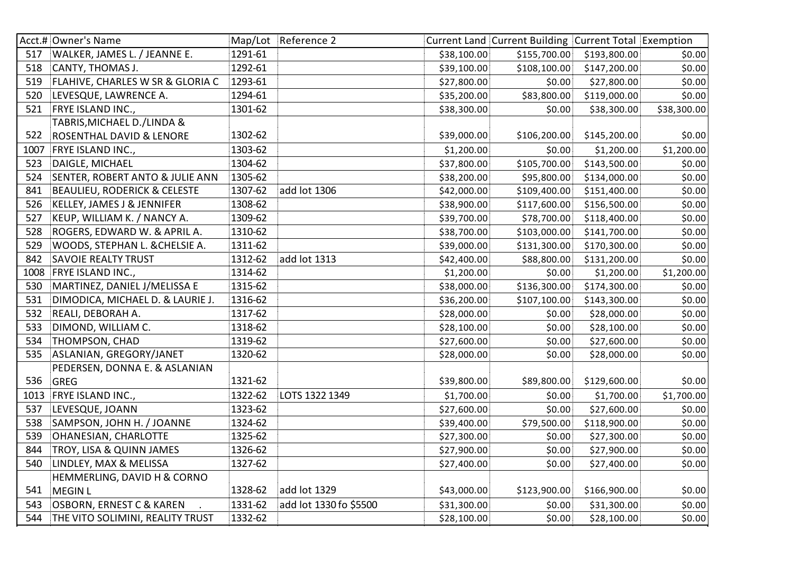|      | Acct.# Owner's Name                           |         | Map/Lot Reference 2    |             | Current Land Current Building Current Total Exemption |              |             |
|------|-----------------------------------------------|---------|------------------------|-------------|-------------------------------------------------------|--------------|-------------|
| 517  | WALKER, JAMES L. / JEANNE E.                  | 1291-61 |                        | \$38,100.00 | \$155,700.00                                          | \$193,800.00 | \$0.00      |
| 518  | CANTY, THOMAS J.                              | 1292-61 |                        | \$39,100.00 | \$108,100.00                                          | \$147,200.00 | \$0.00      |
| 519  | FLAHIVE, CHARLES W SR & GLORIA C              | 1293-61 |                        | \$27,800.00 | \$0.00                                                | \$27,800.00  | \$0.00      |
| 520  | LEVESQUE, LAWRENCE A.                         | 1294-61 |                        | \$35,200.00 | \$83,800.00                                           | \$119,000.00 | \$0.00      |
| 521  | FRYE ISLAND INC.,                             | 1301-62 |                        | \$38,300.00 | \$0.00                                                | \$38,300.00  | \$38,300.00 |
|      | TABRIS, MICHAEL D./LINDA &                    |         |                        |             |                                                       |              |             |
| 522  | ROSENTHAL DAVID & LENORE                      | 1302-62 |                        | \$39,000.00 | \$106,200.00                                          | \$145,200.00 | \$0.00      |
| 1007 | FRYE ISLAND INC.,                             | 1303-62 |                        | \$1,200.00  | \$0.00                                                | \$1,200.00   | \$1,200.00  |
| 523  | DAIGLE, MICHAEL                               | 1304-62 |                        | \$37,800.00 | \$105,700.00                                          | \$143,500.00 | \$0.00      |
| 524  | SENTER, ROBERT ANTO & JULIE ANN               | 1305-62 |                        | \$38,200.00 | \$95,800.00                                           | \$134,000.00 | \$0.00      |
| 841  | <b>BEAULIEU, RODERICK &amp; CELESTE</b>       | 1307-62 | add lot 1306           | \$42,000.00 | \$109,400.00                                          | \$151,400.00 | \$0.00      |
| 526  | KELLEY, JAMES J & JENNIFER                    | 1308-62 |                        | \$38,900.00 | \$117,600.00                                          | \$156,500.00 | \$0.00      |
| 527  | KEUP, WILLIAM K. / NANCY A.                   | 1309-62 |                        | \$39,700.00 | \$78,700.00                                           | \$118,400.00 | \$0.00      |
| 528  | ROGERS, EDWARD W. & APRIL A.                  | 1310-62 |                        | \$38,700.00 | \$103,000.00                                          | \$141,700.00 | \$0.00      |
| 529  | WOODS, STEPHAN L. & CHELSIE A.                | 1311-62 |                        | \$39,000.00 | \$131,300.00                                          | \$170,300.00 | \$0.00      |
| 842  | <b>SAVOIE REALTY TRUST</b>                    | 1312-62 | add lot 1313           | \$42,400.00 | \$88,800.00                                           | \$131,200.00 | \$0.00      |
| 1008 | <b>FRYE ISLAND INC.,</b>                      | 1314-62 |                        | \$1,200.00  | \$0.00                                                | \$1,200.00   | \$1,200.00  |
| 530  | MARTINEZ, DANIEL J/MELISSA E                  | 1315-62 |                        | \$38,000.00 | \$136,300.00                                          | \$174,300.00 | \$0.00      |
| 531  | DIMODICA, MICHAEL D. & LAURIE J.              | 1316-62 |                        | \$36,200.00 | \$107,100.00                                          | \$143,300.00 | \$0.00      |
| 532  | REALI, DEBORAH A.                             | 1317-62 |                        | \$28,000.00 | \$0.00                                                | \$28,000.00  | \$0.00      |
| 533  | DIMOND, WILLIAM C.                            | 1318-62 |                        | \$28,100.00 | \$0.00                                                | \$28,100.00  | \$0.00      |
| 534  | <b>THOMPSON, CHAD</b>                         | 1319-62 |                        | \$27,600.00 | \$0.00                                                | \$27,600.00  | \$0.00      |
| 535  | ASLANIAN, GREGORY/JANET                       | 1320-62 |                        | \$28,000.00 | \$0.00                                                | \$28,000.00  | \$0.00      |
|      | PEDERSEN, DONNA E. & ASLANIAN                 |         |                        |             |                                                       |              |             |
| 536  | <b>GREG</b>                                   | 1321-62 |                        | \$39,800.00 | \$89,800.00                                           | \$129,600.00 | \$0.00      |
| 1013 | FRYE ISLAND INC.,                             | 1322-62 | LOTS 1322 1349         | \$1,700.00  | \$0.00                                                | \$1,700.00   | \$1,700.00  |
| 537  | LEVESQUE, JOANN                               | 1323-62 |                        | \$27,600.00 | \$0.00                                                | \$27,600.00  | \$0.00      |
| 538  | SAMPSON, JOHN H. / JOANNE                     | 1324-62 |                        | \$39,400.00 | \$79,500.00                                           | \$118,900.00 | \$0.00      |
| 539  | OHANESIAN, CHARLOTTE                          | 1325-62 |                        | \$27,300.00 | \$0.00                                                | \$27,300.00  | \$0.00      |
| 844  | TROY, LISA & QUINN JAMES                      | 1326-62 |                        | \$27,900.00 | \$0.00                                                | \$27,900.00  | \$0.00      |
| 540  | LINDLEY, MAX & MELISSA                        | 1327-62 |                        | \$27,400.00 | \$0.00                                                | \$27,400.00  | \$0.00      |
|      | HEMMERLING, DAVID H & CORNO                   |         |                        |             |                                                       |              |             |
| 541  | MEGIN L                                       | 1328-62 | add lot 1329           | \$43,000.00 | \$123,900.00                                          | \$166,900.00 | \$0.00      |
| 543  | <b>OSBORN, ERNEST C &amp; KAREN</b><br>$\sim$ | 1331-62 | add lot 1330 fo \$5500 | \$31,300.00 | \$0.00                                                | \$31,300.00  | \$0.00      |
| 544  | THE VITO SOLIMINI, REALITY TRUST              | 1332-62 |                        | \$28,100.00 | \$0.00                                                | \$28,100.00  | \$0.00      |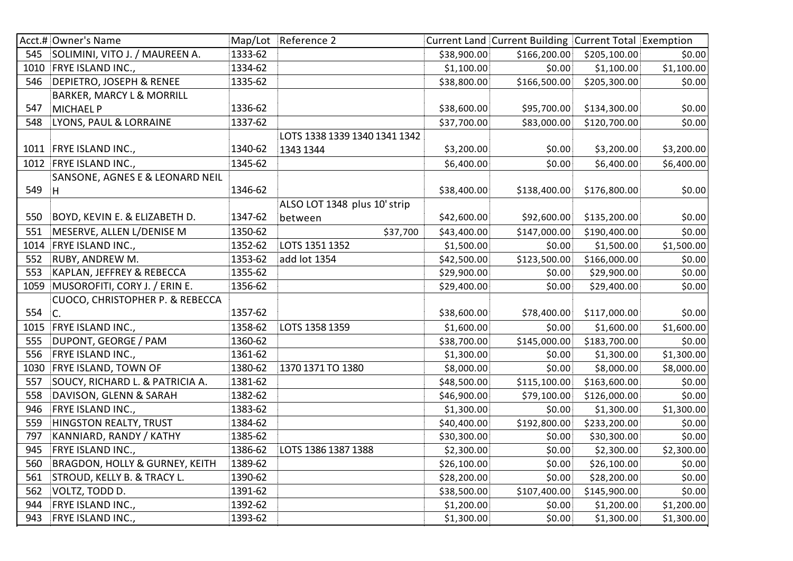|      | Acct.# Owner's Name                       |         | Map/Lot Reference 2           |             | Current Land Current Building Current Total Exemption |              |            |
|------|-------------------------------------------|---------|-------------------------------|-------------|-------------------------------------------------------|--------------|------------|
| 545  | SOLIMINI, VITO J. / MAUREEN A.            | 1333-62 |                               | \$38,900.00 | \$166,200.00                                          | \$205,100.00 | \$0.00     |
|      | 1010 FRYE ISLAND INC.,                    | 1334-62 |                               | \$1,100.00  | \$0.00                                                | \$1,100.00   | \$1,100.00 |
| 546  | <b>DEPIETRO, JOSEPH &amp; RENEE</b>       | 1335-62 |                               | \$38,800.00 | \$166,500.00                                          | \$205,300.00 | \$0.00     |
|      | <b>BARKER, MARCY L &amp; MORRILL</b>      |         |                               |             |                                                       |              |            |
| 547  | <b>MICHAEL P</b>                          | 1336-62 |                               | \$38,600.00 | \$95,700.00                                           | \$134,300.00 | \$0.00     |
| 548  | LYONS, PAUL & LORRAINE                    | 1337-62 |                               | \$37,700.00 | \$83,000.00                                           | \$120,700.00 | \$0.00     |
|      |                                           |         | LOTS 1338 1339 1340 1341 1342 |             |                                                       |              |            |
|      | 1011 FRYE ISLAND INC.,                    | 1340-62 | 1343 1344                     | \$3,200.00  | \$0.00                                                | \$3,200.00   | \$3,200.00 |
|      | 1012 FRYE ISLAND INC.,                    | 1345-62 |                               | \$6,400.00  | \$0.00                                                | \$6,400.00   | \$6,400.00 |
|      | SANSONE, AGNES E & LEONARD NEIL           |         |                               |             |                                                       |              |            |
| 549  | H                                         | 1346-62 |                               | \$38,400.00 | \$138,400.00                                          | \$176,800.00 | \$0.00     |
|      |                                           |         | ALSO LOT 1348 plus 10' strip  |             |                                                       |              |            |
| 550  | BOYD, KEVIN E. & ELIZABETH D.             | 1347-62 | between                       | \$42,600.00 | \$92,600.00                                           | \$135,200.00 | \$0.00     |
| 551  | MESERVE, ALLEN L/DENISE M                 | 1350-62 | \$37,700                      | \$43,400.00 | \$147,000.00                                          | \$190,400.00 | \$0.00     |
| 1014 | FRYE ISLAND INC.,                         | 1352-62 | LOTS 1351 1352                | \$1,500.00  | \$0.00                                                | \$1,500.00   | \$1,500.00 |
| 552  | RUBY, ANDREW M.                           | 1353-62 | add lot 1354                  | \$42,500.00 | \$123,500.00                                          | \$166,000.00 | \$0.00     |
| 553  | KAPLAN, JEFFREY & REBECCA                 | 1355-62 |                               | \$29,900.00 | \$0.00                                                | \$29,900.00  | \$0.00     |
| 1059 | MUSOROFITI, CORY J. / ERIN E.             | 1356-62 |                               | \$29,400.00 | \$0.00                                                | \$29,400.00  | \$0.00     |
|      | CUOCO, CHRISTOPHER P. & REBECCA           |         |                               |             |                                                       |              |            |
| 554  | $\mathsf{C}$ .                            | 1357-62 |                               | \$38,600.00 | \$78,400.00                                           | \$117,000.00 | \$0.00     |
| 1015 | FRYE ISLAND INC.,                         | 1358-62 | LOTS 1358 1359                | \$1,600.00  | \$0.00                                                | \$1,600.00   | \$1,600.00 |
| 555  | DUPONT, GEORGE / PAM                      | 1360-62 |                               | \$38,700.00 | \$145,000.00                                          | \$183,700.00 | \$0.00     |
| 556  | FRYE ISLAND INC.,                         | 1361-62 |                               | \$1,300.00  | \$0.00                                                | \$1,300.00   | \$1,300.00 |
| 1030 | FRYE ISLAND, TOWN OF                      | 1380-62 | 1370 1371 TO 1380             | \$8,000.00  | \$0.00                                                | \$8,000.00   | \$8,000.00 |
| 557  | SOUCY, RICHARD L. & PATRICIA A.           | 1381-62 |                               | \$48,500.00 | \$115,100.00                                          | \$163,600.00 | \$0.00     |
| 558  | DAVISON, GLENN & SARAH                    | 1382-62 |                               | \$46,900.00 | \$79,100.00                                           | \$126,000.00 | \$0.00     |
| 946  | FRYE ISLAND INC.,                         | 1383-62 |                               | \$1,300.00  | \$0.00                                                | \$1,300.00   | \$1,300.00 |
| 559  | <b>HINGSTON REALTY, TRUST</b>             | 1384-62 |                               | \$40,400.00 | \$192,800.00                                          | \$233,200.00 | \$0.00     |
| 797  | KANNIARD, RANDY / KATHY                   | 1385-62 |                               | \$30,300.00 | \$0.00                                                | \$30,300.00  | \$0.00     |
| 945  | FRYE ISLAND INC.,                         | 1386-62 | LOTS 1386 1387 1388           | \$2,300.00  | \$0.00                                                | \$2,300.00   | \$2,300.00 |
| 560  | <b>BRAGDON, HOLLY &amp; GURNEY, KEITH</b> | 1389-62 |                               | \$26,100.00 | \$0.00                                                | \$26,100.00  | \$0.00     |
| 561  | STROUD, KELLY B. & TRACY L.               | 1390-62 |                               | \$28,200.00 | \$0.00                                                | \$28,200.00  | \$0.00     |
| 562  | VOLTZ, TODD D.                            | 1391-62 |                               | \$38,500.00 | \$107,400.00                                          | \$145,900.00 | \$0.00     |
| 944  | FRYE ISLAND INC.,                         | 1392-62 |                               | \$1,200.00  | \$0.00                                                | \$1,200.00   | \$1,200.00 |
| 943  | FRYE ISLAND INC.,                         | 1393-62 |                               | \$1,300.00  | \$0.00                                                | \$1,300.00   | \$1,300.00 |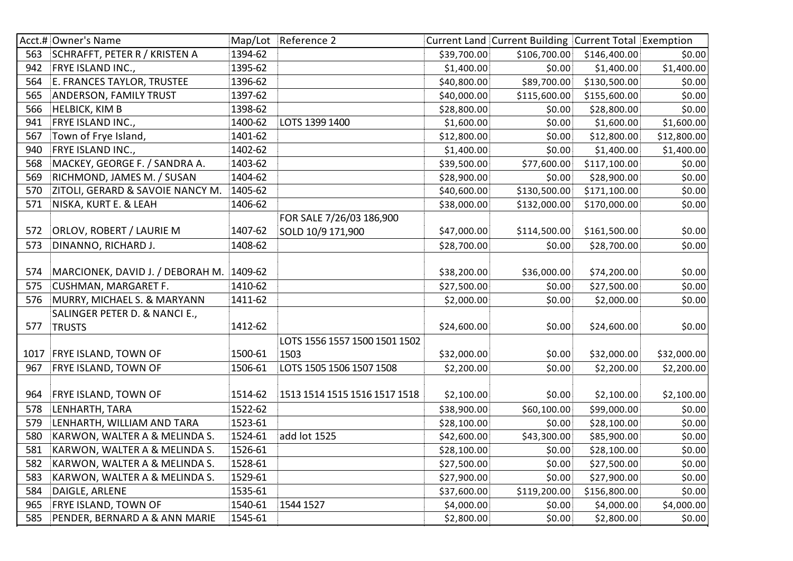|      | Acct.# Owner's Name                      |         | Map/Lot Reference 2           |             | Current Land Current Building Current Total Exemption |              |             |
|------|------------------------------------------|---------|-------------------------------|-------------|-------------------------------------------------------|--------------|-------------|
| 563  | SCHRAFFT, PETER R / KRISTEN A            | 1394-62 |                               | \$39,700.00 | \$106,700.00                                          | \$146,400.00 | \$0.00      |
| 942  | FRYE ISLAND INC.,                        | 1395-62 |                               | \$1,400.00  | \$0.00                                                | \$1,400.00   | \$1,400.00  |
| 564  | E. FRANCES TAYLOR, TRUSTEE               | 1396-62 |                               | \$40,800.00 | \$89,700.00                                           | \$130,500.00 | \$0.00      |
| 565  | <b>ANDERSON, FAMILY TRUST</b>            | 1397-62 |                               | \$40,000.00 | \$115,600.00                                          | \$155,600.00 | \$0.00      |
| 566  | <b>HELBICK, KIM B</b>                    | 1398-62 |                               | \$28,800.00 | \$0.00                                                | \$28,800.00  | \$0.00      |
| 941  | FRYE ISLAND INC.,                        | 1400-62 | LOTS 1399 1400                | \$1,600.00  | \$0.00                                                | \$1,600.00   | \$1,600.00  |
| 567  | Town of Frye Island,                     | 1401-62 |                               | \$12,800.00 | \$0.00                                                | \$12,800.00  | \$12,800.00 |
| 940  | FRYE ISLAND INC.,                        | 1402-62 |                               | \$1,400.00  | \$0.00                                                | \$1,400.00   | \$1,400.00  |
| 568  | MACKEY, GEORGE F. / SANDRA A.            | 1403-62 |                               | \$39,500.00 | \$77,600.00                                           | \$117,100.00 | \$0.00      |
| 569  | RICHMOND, JAMES M. / SUSAN               | 1404-62 |                               | \$28,900.00 | \$0.00                                                | \$28,900.00  | \$0.00      |
| 570  | ZITOLI, GERARD & SAVOIE NANCY M.         | 1405-62 |                               | \$40,600.00 | \$130,500.00                                          | \$171,100.00 | \$0.00      |
| 571  | NISKA, KURT E. & LEAH                    | 1406-62 |                               | \$38,000.00 | \$132,000.00                                          | \$170,000.00 | \$0.00      |
|      |                                          |         | FOR SALE 7/26/03 186,900      |             |                                                       |              |             |
| 572  | ORLOV, ROBERT / LAURIE M                 | 1407-62 | SOLD 10/9 171,900             | \$47,000.00 | \$114,500.00                                          | \$161,500.00 | \$0.00      |
| 573  | DINANNO, RICHARD J.                      | 1408-62 |                               | \$28,700.00 | \$0.00                                                | \$28,700.00  | \$0.00      |
|      |                                          |         |                               |             |                                                       |              |             |
| 574  | MARCIONEK, DAVID J. / DEBORAH M. 1409-62 |         |                               | \$38,200.00 | \$36,000.00                                           | \$74,200.00  | \$0.00      |
| 575  | <b>CUSHMAN, MARGARET F.</b>              | 1410-62 |                               | \$27,500.00 | \$0.00                                                | \$27,500.00  | \$0.00      |
| 576  | MURRY, MICHAEL S. & MARYANN              | 1411-62 |                               | \$2,000.00  | \$0.00                                                | \$2,000.00   | \$0.00      |
|      | SALINGER PETER D. & NANCI E.,            |         |                               |             |                                                       |              |             |
| 577  | <b>TRUSTS</b>                            | 1412-62 |                               | \$24,600.00 | \$0.00                                                | \$24,600.00  | \$0.00      |
|      |                                          |         | LOTS 1556 1557 1500 1501 1502 |             |                                                       |              |             |
| 1017 | <b>FRYE ISLAND, TOWN OF</b>              | 1500-61 | 1503                          | \$32,000.00 | \$0.00                                                | \$32,000.00  | \$32,000.00 |
| 967  | FRYE ISLAND, TOWN OF                     | 1506-61 | LOTS 1505 1506 1507 1508      | \$2,200.00  | \$0.00                                                | \$2,200.00   | \$2,200.00  |
|      |                                          |         |                               |             |                                                       |              |             |
| 964  | <b>FRYE ISLAND, TOWN OF</b>              | 1514-62 | 1513 1514 1515 1516 1517 1518 | \$2,100.00  | \$0.00                                                | \$2,100.00   | \$2,100.00  |
| 578  | LENHARTH, TARA                           | 1522-62 |                               | \$38,900.00 | \$60,100.00                                           | \$99,000.00  | \$0.00      |
| 579  | LENHARTH, WILLIAM AND TARA               | 1523-61 |                               | \$28,100.00 | \$0.00                                                | \$28,100.00  | \$0.00      |
| 580  | KARWON, WALTER A & MELINDA S.            | 1524-61 | add lot 1525                  | \$42,600.00 | \$43,300.00                                           | \$85,900.00  | \$0.00      |
| 581  | KARWON, WALTER A & MELINDA S.            | 1526-61 |                               | \$28,100.00 | \$0.00                                                | \$28,100.00  | \$0.00      |
| 582  | KARWON, WALTER A & MELINDA S.            | 1528-61 |                               | \$27,500.00 | \$0.00                                                | \$27,500.00  | \$0.00      |
| 583  | KARWON, WALTER A & MELINDA S.            | 1529-61 |                               | \$27,900.00 | \$0.00                                                | \$27,900.00  | \$0.00      |
| 584  | DAIGLE, ARLENE                           | 1535-61 |                               | \$37,600.00 | \$119,200.00                                          | \$156,800.00 | \$0.00      |
| 965  | FRYE ISLAND, TOWN OF                     | 1540-61 | 1544 1527                     | \$4,000.00  | \$0.00                                                | \$4,000.00   | \$4,000.00  |
| 585  | PENDER, BERNARD A & ANN MARIE            | 1545-61 |                               | \$2,800.00  | \$0.00                                                | \$2,800.00   | \$0.00      |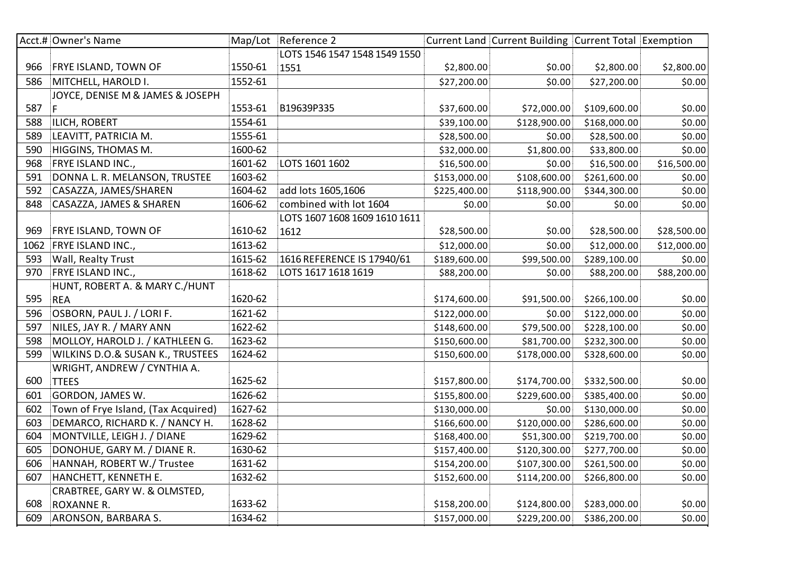|      | Acct.# Owner's Name                         |         | Map/Lot Reference 2           |              | Current Land Current Building Current Total Exemption |              |             |
|------|---------------------------------------------|---------|-------------------------------|--------------|-------------------------------------------------------|--------------|-------------|
|      |                                             |         | LOTS 1546 1547 1548 1549 1550 |              |                                                       |              |             |
| 966  | FRYE ISLAND, TOWN OF                        | 1550-61 | 1551                          | \$2,800.00   | \$0.00                                                | \$2,800.00   | \$2,800.00  |
| 586  | MITCHELL, HAROLD I.                         | 1552-61 |                               | \$27,200.00  | \$0.00                                                | \$27,200.00  | \$0.00      |
|      | JOYCE, DENISE M & JAMES & JOSEPH            |         |                               |              |                                                       |              |             |
| 587  | F.                                          | 1553-61 | B19639P335                    | \$37,600.00  | \$72,000.00                                           | \$109,600.00 | \$0.00      |
| 588  | ILICH, ROBERT                               | 1554-61 |                               | \$39,100.00  | \$128,900.00                                          | \$168,000.00 | \$0.00      |
| 589  | LEAVITT, PATRICIA M.                        | 1555-61 |                               | \$28,500.00  | \$0.00                                                | \$28,500.00  | \$0.00      |
| 590  | HIGGINS, THOMAS M.                          | 1600-62 |                               | \$32,000.00  | \$1,800.00                                            | \$33,800.00  | \$0.00      |
| 968  | FRYE ISLAND INC.,                           | 1601-62 | LOTS 1601 1602                | \$16,500.00  | \$0.00                                                | \$16,500.00  | \$16,500.00 |
| 591  | DONNA L. R. MELANSON, TRUSTEE               | 1603-62 |                               | \$153,000.00 | \$108,600.00                                          | \$261,600.00 | \$0.00      |
| 592  | CASAZZA, JAMES/SHAREN                       | 1604-62 | add lots 1605,1606            | \$225,400.00 | \$118,900.00                                          | \$344,300.00 | \$0.00      |
| 848  | <b>CASAZZA, JAMES &amp; SHAREN</b>          | 1606-62 | combined with lot 1604        | \$0.00       | \$0.00                                                | \$0.00       | \$0.00      |
|      |                                             |         | LOTS 1607 1608 1609 1610 1611 |              |                                                       |              |             |
| 969  | FRYE ISLAND, TOWN OF                        | 1610-62 | 1612                          | \$28,500.00  | \$0.00                                                | \$28,500.00  | \$28,500.00 |
| 1062 | FRYE ISLAND INC.,                           | 1613-62 |                               | \$12,000.00  | \$0.00                                                | \$12,000.00  | \$12,000.00 |
| 593  | Wall, Realty Trust                          | 1615-62 | 1616 REFERENCE IS 17940/61    | \$189,600.00 | \$99,500.00                                           | \$289,100.00 | \$0.00      |
| 970  | <b>FRYE ISLAND INC.,</b>                    | 1618-62 | LOTS 1617 1618 1619           | \$88,200.00  | \$0.00                                                | \$88,200.00  | \$88,200.00 |
|      | HUNT, ROBERT A. & MARY C./HUNT              |         |                               |              |                                                       |              |             |
| 595  | <b>REA</b>                                  | 1620-62 |                               | \$174,600.00 | \$91,500.00                                           | \$266,100.00 | \$0.00      |
| 596  | OSBORN, PAUL J. / LORI F.                   | 1621-62 |                               | \$122,000.00 | \$0.00                                                | \$122,000.00 | \$0.00      |
| 597  | NILES, JAY R. / MARY ANN                    | 1622-62 |                               | \$148,600.00 | \$79,500.00                                           | \$228,100.00 | \$0.00      |
| 598  | MOLLOY, HAROLD J. / KATHLEEN G.             | 1623-62 |                               | \$150,600.00 | \$81,700.00                                           | \$232,300.00 | \$0.00      |
| 599  | <b>WILKINS D.O.&amp; SUSAN K., TRUSTEES</b> | 1624-62 |                               | \$150,600.00 | \$178,000.00                                          | \$328,600.00 | \$0.00      |
|      | WRIGHT, ANDREW / CYNTHIA A.                 |         |                               |              |                                                       |              |             |
| 600  | <b>TTEES</b>                                | 1625-62 |                               | \$157,800.00 | \$174,700.00                                          | \$332,500.00 | \$0.00      |
| 601  | GORDON, JAMES W.                            | 1626-62 |                               | \$155,800.00 | \$229,600.00                                          | \$385,400.00 | \$0.00      |
| 602  | Town of Frye Island, (Tax Acquired)         | 1627-62 |                               | \$130,000.00 | \$0.00                                                | \$130,000.00 | \$0.00      |
| 603  | DEMARCO, RICHARD K. / NANCY H.              | 1628-62 |                               | \$166,600.00 | \$120,000.00                                          | \$286,600.00 | \$0.00      |
| 604  | MONTVILLE, LEIGH J. / DIANE                 | 1629-62 |                               | \$168,400.00 | \$51,300.00                                           | \$219,700.00 | \$0.00      |
| 605  | DONOHUE, GARY M. / DIANE R.                 | 1630-62 |                               | \$157,400.00 | \$120,300.00                                          | \$277,700.00 | \$0.00      |
| 606  | HANNAH, ROBERT W./ Trustee                  | 1631-62 |                               | \$154,200.00 | \$107,300.00                                          | \$261,500.00 | \$0.00      |
| 607  | HANCHETT, KENNETH E.                        | 1632-62 |                               | \$152,600.00 | \$114,200.00                                          | \$266,800.00 | \$0.00      |
|      | CRABTREE, GARY W. & OLMSTED,                |         |                               |              |                                                       |              |             |
| 608  | ROXANNE R.                                  | 1633-62 |                               | \$158,200.00 | \$124,800.00                                          | \$283,000.00 | \$0.00      |
| 609  | ARONSON, BARBARA S.                         | 1634-62 |                               | \$157,000.00 | \$229,200.00                                          | \$386,200.00 | \$0.00      |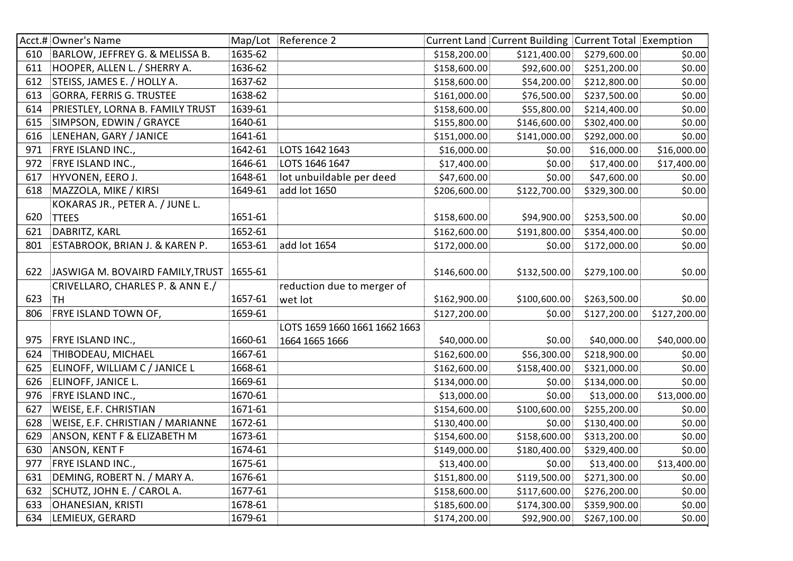|     | Acct.# Owner's Name                      |         | Map/Lot Reference 2           |              | Current Land Current Building Current Total Exemption |              |              |
|-----|------------------------------------------|---------|-------------------------------|--------------|-------------------------------------------------------|--------------|--------------|
| 610 | BARLOW, JEFFREY G. & MELISSA B.          | 1635-62 |                               | \$158,200.00 | \$121,400.00                                          | \$279,600.00 | \$0.00       |
| 611 | HOOPER, ALLEN L. / SHERRY A.             | 1636-62 |                               | \$158,600.00 | \$92,600.00                                           | \$251,200.00 | \$0.00       |
| 612 | STEISS, JAMES E. / HOLLY A.              | 1637-62 |                               | \$158,600.00 | \$54,200.00                                           | \$212,800.00 | \$0.00       |
| 613 | <b>GORRA, FERRIS G. TRUSTEE</b>          | 1638-62 |                               | \$161,000.00 | \$76,500.00                                           | \$237,500.00 | \$0.00       |
| 614 | PRIESTLEY, LORNA B. FAMILY TRUST         | 1639-61 |                               | \$158,600.00 | \$55,800.00                                           | \$214,400.00 | \$0.00       |
| 615 | SIMPSON, EDWIN / GRAYCE                  | 1640-61 |                               | \$155,800.00 | \$146,600.00                                          | \$302,400.00 | \$0.00       |
| 616 | LENEHAN, GARY / JANICE                   | 1641-61 |                               | \$151,000.00 | \$141,000.00                                          | \$292,000.00 | \$0.00       |
| 971 | FRYE ISLAND INC.,                        | 1642-61 | LOTS 1642 1643                | \$16,000.00  | \$0.00                                                | \$16,000.00  | \$16,000.00  |
| 972 | FRYE ISLAND INC.,                        | 1646-61 | LOTS 1646 1647                | \$17,400.00  | \$0.00                                                | \$17,400.00  | \$17,400.00  |
| 617 | HYVONEN, EERO J.                         | 1648-61 | lot unbuildable per deed      | \$47,600.00  | \$0.00                                                | \$47,600.00  | \$0.00       |
| 618 | MAZZOLA, MIKE / KIRSI                    | 1649-61 | add lot 1650                  | \$206,600.00 | \$122,700.00                                          | \$329,300.00 | \$0.00       |
|     | KOKARAS JR., PETER A. / JUNE L.          |         |                               |              |                                                       |              |              |
| 620 | <b>TTEES</b>                             | 1651-61 |                               | \$158,600.00 | \$94,900.00                                           | \$253,500.00 | \$0.00       |
| 621 | DABRITZ, KARL                            | 1652-61 |                               | \$162,600.00 | \$191,800.00                                          | \$354,400.00 | \$0.00       |
| 801 | ESTABROOK, BRIAN J. & KAREN P.           | 1653-61 | add lot 1654                  | \$172,000.00 | \$0.00                                                | \$172,000.00 | \$0.00       |
|     |                                          |         |                               |              |                                                       |              |              |
| 622 | JASWIGA M. BOVAIRD FAMILY, TRUST 1655-61 |         |                               | \$146,600.00 | \$132,500.00                                          | \$279,100.00 | \$0.00       |
|     | CRIVELLARO, CHARLES P. & ANN E./         |         | reduction due to merger of    |              |                                                       |              |              |
| 623 | <b>TH</b>                                | 1657-61 | wet lot                       | \$162,900.00 | \$100,600.00                                          | \$263,500.00 | \$0.00       |
| 806 | FRYE ISLAND TOWN OF,                     | 1659-61 |                               | \$127,200.00 | \$0.00                                                | \$127,200.00 | \$127,200.00 |
|     |                                          |         | LOTS 1659 1660 1661 1662 1663 |              |                                                       |              |              |
| 975 | FRYE ISLAND INC.,                        | 1660-61 | 1664 1665 1666                | \$40,000.00  | \$0.00                                                | \$40,000.00  | \$40,000.00  |
| 624 | THIBODEAU, MICHAEL                       | 1667-61 |                               | \$162,600.00 | \$56,300.00                                           | \$218,900.00 | \$0.00       |
| 625 | ELINOFF, WILLIAM C / JANICE L            | 1668-61 |                               | \$162,600.00 | \$158,400.00                                          | \$321,000.00 | \$0.00       |
| 626 | ELINOFF, JANICE L.                       | 1669-61 |                               | \$134,000.00 | \$0.00                                                | \$134,000.00 | \$0.00       |
| 976 | FRYE ISLAND INC.,                        | 1670-61 |                               | \$13,000.00  | \$0.00                                                | \$13,000.00  | \$13,000.00  |
| 627 | WEISE, E.F. CHRISTIAN                    | 1671-61 |                               | \$154,600.00 | \$100,600.00                                          | \$255,200.00 | \$0.00       |
| 628 | WEISE, E.F. CHRISTIAN / MARIANNE         | 1672-61 |                               | \$130,400.00 | \$0.00                                                | \$130,400.00 | \$0.00       |
| 629 | ANSON, KENT F & ELIZABETH M              | 1673-61 |                               | \$154,600.00 | \$158,600.00                                          | \$313,200.00 | \$0.00       |
| 630 | ANSON, KENT F                            | 1674-61 |                               | \$149,000.00 | \$180,400.00                                          | \$329,400.00 | \$0.00       |
| 977 | FRYE ISLAND INC.,                        | 1675-61 |                               | \$13,400.00  | \$0.00                                                | \$13,400.00  | \$13,400.00  |
| 631 | DEMING, ROBERT N. / MARY A.              | 1676-61 |                               | \$151,800.00 | \$119,500.00                                          | \$271,300.00 | \$0.00       |
| 632 | SCHUTZ, JOHN E. / CAROL A.               | 1677-61 |                               | \$158,600.00 | \$117,600.00                                          | \$276,200.00 | \$0.00       |
| 633 | <b>OHANESIAN, KRISTI</b>                 | 1678-61 |                               | \$185,600.00 | \$174,300.00                                          | \$359,900.00 | \$0.00       |
| 634 | LEMIEUX, GERARD                          | 1679-61 |                               | \$174,200.00 | \$92,900.00                                           | \$267,100.00 | \$0.00       |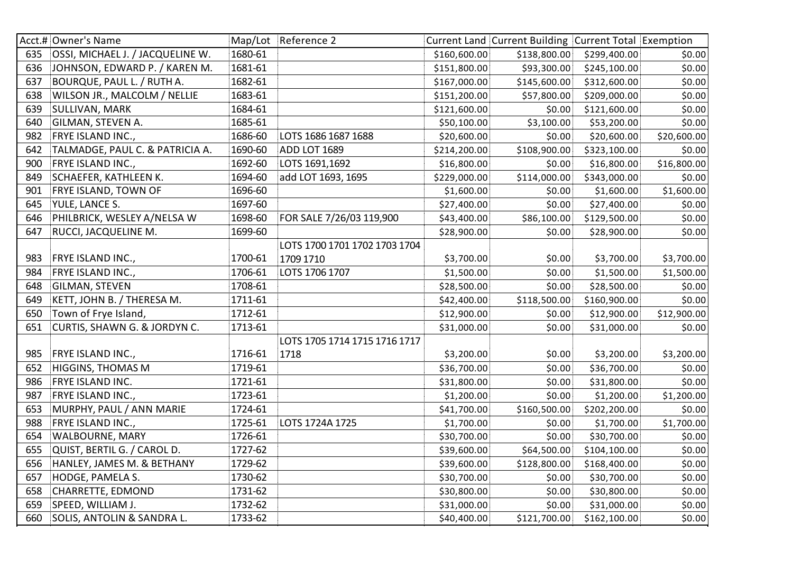|     | Acct.# Owner's Name              |         | Map/Lot Reference 2           |              | Current Land Current Building Current Total Exemption |              |             |
|-----|----------------------------------|---------|-------------------------------|--------------|-------------------------------------------------------|--------------|-------------|
| 635 | OSSI, MICHAEL J. / JACQUELINE W. | 1680-61 |                               | \$160,600.00 | \$138,800.00                                          | \$299,400.00 | \$0.00      |
| 636 | JOHNSON, EDWARD P. / KAREN M.    | 1681-61 |                               | \$151,800.00 | \$93,300.00                                           | \$245,100.00 | \$0.00      |
| 637 | BOURQUE, PAUL L. / RUTH A.       | 1682-61 |                               | \$167,000.00 | \$145,600.00                                          | \$312,600.00 | \$0.00      |
| 638 | WILSON JR., MALCOLM / NELLIE     | 1683-61 |                               | \$151,200.00 | \$57,800.00                                           | \$209,000.00 | \$0.00      |
| 639 | SULLIVAN, MARK                   | 1684-61 |                               | \$121,600.00 | \$0.00                                                | \$121,600.00 | \$0.00      |
| 640 | GILMAN, STEVEN A.                | 1685-61 |                               | \$50,100.00  | \$3,100.00                                            | \$53,200.00  | \$0.00      |
| 982 | FRYE ISLAND INC.,                | 1686-60 | LOTS 1686 1687 1688           | \$20,600.00  | \$0.00                                                | \$20,600.00  | \$20,600.00 |
| 642 | TALMADGE, PAUL C. & PATRICIA A.  | 1690-60 | ADD LOT 1689                  | \$214,200.00 | \$108,900.00                                          | \$323,100.00 | \$0.00      |
| 900 | FRYE ISLAND INC.,                | 1692-60 | LOTS 1691,1692                | \$16,800.00  | \$0.00                                                | \$16,800.00  | \$16,800.00 |
| 849 | SCHAEFER, KATHLEEN K.            | 1694-60 | add LOT 1693, 1695            | \$229,000.00 | \$114,000.00                                          | \$343,000.00 | \$0.00      |
| 901 | <b>FRYE ISLAND, TOWN OF</b>      | 1696-60 |                               | \$1,600.00   | \$0.00                                                | \$1,600.00   | \$1,600.00  |
| 645 | YULE, LANCE S.                   | 1697-60 |                               | \$27,400.00  | \$0.00                                                | \$27,400.00  | \$0.00      |
| 646 | PHILBRICK, WESLEY A/NELSA W      | 1698-60 | FOR SALE 7/26/03 119,900      | \$43,400.00  | \$86,100.00                                           | \$129,500.00 | \$0.00      |
| 647 | RUCCI, JACQUELINE M.             | 1699-60 |                               | \$28,900.00  | \$0.00                                                | \$28,900.00  | \$0.00      |
|     |                                  |         | LOTS 1700 1701 1702 1703 1704 |              |                                                       |              |             |
| 983 | FRYE ISLAND INC.,                | 1700-61 | 1709 1710                     | \$3,700.00   | \$0.00                                                | \$3,700.00   | \$3,700.00  |
| 984 | FRYE ISLAND INC.,                | 1706-61 | LOTS 1706 1707                | \$1,500.00   | \$0.00                                                | \$1,500.00   | \$1,500.00  |
| 648 | <b>GILMAN, STEVEN</b>            | 1708-61 |                               | \$28,500.00  | \$0.00                                                | \$28,500.00  | \$0.00      |
| 649 | KETT, JOHN B. / THERESA M.       | 1711-61 |                               | \$42,400.00  | \$118,500.00                                          | \$160,900.00 | \$0.00      |
| 650 | Town of Frye Island,             | 1712-61 |                               | \$12,900.00  | \$0.00                                                | \$12,900.00  | \$12,900.00 |
| 651 | CURTIS, SHAWN G. & JORDYN C.     | 1713-61 |                               | \$31,000.00  | \$0.00                                                | \$31,000.00  | \$0.00      |
|     |                                  |         | LOTS 1705 1714 1715 1716 1717 |              |                                                       |              |             |
| 985 | FRYE ISLAND INC.,                | 1716-61 | 1718                          | \$3,200.00   | \$0.00                                                | \$3,200.00   | \$3,200.00  |
| 652 | <b>HIGGINS, THOMAS M</b>         | 1719-61 |                               | \$36,700.00  | \$0.00                                                | \$36,700.00  | \$0.00      |
| 986 | FRYE ISLAND INC.                 | 1721-61 |                               | \$31,800.00  | \$0.00                                                | \$31,800.00  | \$0.00      |
| 987 | <b>FRYE ISLAND INC.,</b>         | 1723-61 |                               | \$1,200.00   | \$0.00                                                | \$1,200.00   | \$1,200.00  |
| 653 | MURPHY, PAUL / ANN MARIE         | 1724-61 |                               | \$41,700.00  | \$160,500.00                                          | \$202,200.00 | \$0.00      |
| 988 | FRYE ISLAND INC.,                | 1725-61 | LOTS 1724A 1725               | \$1,700.00   | \$0.00                                                | \$1,700.00   | \$1,700.00  |
| 654 | WALBOURNE, MARY                  | 1726-61 |                               | \$30,700.00  | \$0.00                                                | \$30,700.00  | \$0.00      |
| 655 | QUIST, BERTIL G. / CAROL D.      | 1727-62 |                               | \$39,600.00  | \$64,500.00                                           | \$104,100.00 | \$0.00      |
| 656 | HANLEY, JAMES M. & BETHANY       | 1729-62 |                               | \$39,600.00  | \$128,800.00                                          | \$168,400.00 | \$0.00      |
| 657 | HODGE, PAMELA S.                 | 1730-62 |                               | \$30,700.00  | \$0.00                                                | \$30,700.00  | \$0.00      |
| 658 | CHARRETTE, EDMOND                | 1731-62 |                               | \$30,800.00  | \$0.00                                                | \$30,800.00  | \$0.00      |
| 659 | SPEED, WILLIAM J.                | 1732-62 |                               | \$31,000.00  | \$0.00                                                | \$31,000.00  | \$0.00      |
| 660 | SOLIS, ANTOLIN & SANDRA L.       | 1733-62 |                               | \$40,400.00  | \$121,700.00                                          | \$162,100.00 | \$0.00      |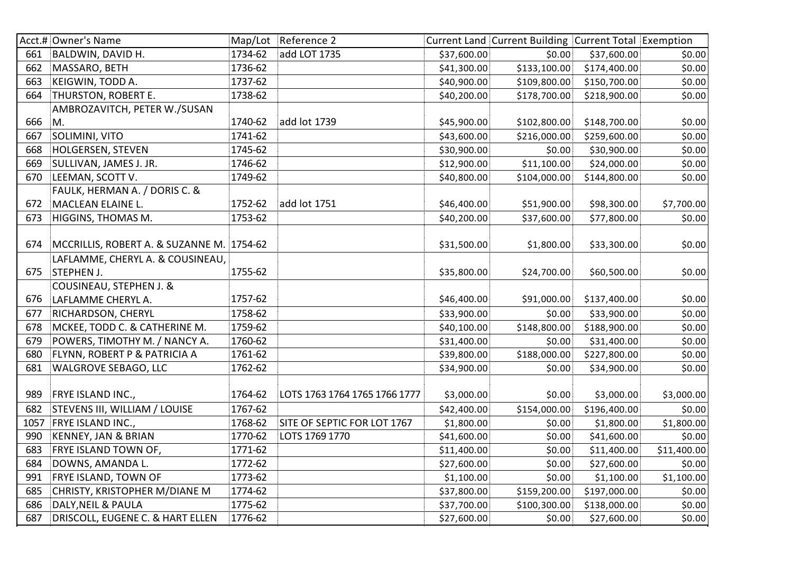|      | Acct.# Owner's Name                       |         | Map/Lot Reference 2           |             | Current Land Current Building Current Total Exemption |              |             |
|------|-------------------------------------------|---------|-------------------------------|-------------|-------------------------------------------------------|--------------|-------------|
| 661  | <b>BALDWIN, DAVID H.</b>                  | 1734-62 | add LOT 1735                  | \$37,600.00 | \$0.00                                                | \$37,600.00  | \$0.00      |
| 662  | MASSARO, BETH                             | 1736-62 |                               | \$41,300.00 | \$133,100.00                                          | \$174,400.00 | \$0.00      |
| 663  | KEIGWIN, TODD A.                          | 1737-62 |                               | \$40,900.00 | \$109,800.00                                          | \$150,700.00 | \$0.00      |
| 664  | THURSTON, ROBERT E.                       | 1738-62 |                               | \$40,200.00 | \$178,700.00                                          | \$218,900.00 | \$0.00      |
|      | AMBROZAVITCH, PETER W./SUSAN              |         |                               |             |                                                       |              |             |
| 666  | M.                                        | 1740-62 | add lot 1739                  | \$45,900.00 | \$102,800.00                                          | \$148,700.00 | \$0.00      |
| 667  | SOLIMINI, VITO                            | 1741-62 |                               | \$43,600.00 | \$216,000.00                                          | \$259,600.00 | \$0.00      |
| 668  | <b>HOLGERSEN, STEVEN</b>                  | 1745-62 |                               | \$30,900.00 | \$0.00                                                | \$30,900.00  | \$0.00      |
| 669  | SULLIVAN, JAMES J. JR.                    | 1746-62 |                               | \$12,900.00 | \$11,100.00                                           | \$24,000.00  | \$0.00      |
| 670  | LEEMAN, SCOTT V.                          | 1749-62 |                               | \$40,800.00 | \$104,000.00                                          | \$144,800.00 | \$0.00      |
|      | FAULK, HERMAN A. / DORIS C. &             |         |                               |             |                                                       |              |             |
| 672  | MACLEAN ELAINE L.                         | 1752-62 | add lot 1751                  | \$46,400.00 | \$51,900.00                                           | \$98,300.00  | \$7,700.00  |
| 673  | HIGGINS, THOMAS M.                        | 1753-62 |                               | \$40,200.00 | \$37,600.00                                           | \$77,800.00  | \$0.00      |
|      |                                           |         |                               |             |                                                       |              |             |
| 674  | MCCRILLIS, ROBERT A. & SUZANNE M. 1754-62 |         |                               | \$31,500.00 | \$1,800.00                                            | \$33,300.00  | \$0.00      |
|      | LAFLAMME, CHERYL A. & COUSINEAU,          |         |                               |             |                                                       |              |             |
| 675  | <b>STEPHEN J.</b>                         | 1755-62 |                               | \$35,800.00 | \$24,700.00                                           | \$60,500.00  | \$0.00      |
|      | COUSINEAU, STEPHEN J. &                   |         |                               |             |                                                       |              |             |
| 676  | LAFLAMME CHERYL A.                        | 1757-62 |                               | \$46,400.00 | \$91,000.00                                           | \$137,400.00 | \$0.00      |
| 677  | RICHARDSON, CHERYL                        | 1758-62 |                               | \$33,900.00 | \$0.00                                                | \$33,900.00  | \$0.00      |
| 678  | MCKEE, TODD C. & CATHERINE M.             | 1759-62 |                               | \$40,100.00 | \$148,800.00                                          | \$188,900.00 | \$0.00      |
| 679  | POWERS, TIMOTHY M. / NANCY A.             | 1760-62 |                               | \$31,400.00 | \$0.00                                                | \$31,400.00  | \$0.00      |
| 680  | FLYNN, ROBERT P & PATRICIA A              | 1761-62 |                               | \$39,800.00 | \$188,000.00                                          | \$227,800.00 | \$0.00      |
| 681  | <b>WALGROVE SEBAGO, LLC</b>               | 1762-62 |                               | \$34,900.00 | \$0.00                                                | \$34,900.00  | \$0.00      |
|      |                                           |         |                               |             |                                                       |              |             |
| 989  | FRYE ISLAND INC.,                         | 1764-62 | LOTS 1763 1764 1765 1766 1777 | \$3,000.00  | \$0.00                                                | \$3,000.00   | \$3,000.00  |
| 682  | STEVENS III, WILLIAM / LOUISE             | 1767-62 |                               | \$42,400.00 | \$154,000.00                                          | \$196,400.00 | \$0.00      |
| 1057 | FRYE ISLAND INC.,                         | 1768-62 | SITE OF SEPTIC FOR LOT 1767   | \$1,800.00  | \$0.00                                                | \$1,800.00   | \$1,800.00  |
| 990  | <b>KENNEY, JAN &amp; BRIAN</b>            | 1770-62 | LOTS 1769 1770                | \$41,600.00 | \$0.00                                                | \$41,600.00  | \$0.00      |
| 683  | FRYE ISLAND TOWN OF,                      | 1771-62 |                               | \$11,400.00 | \$0.00                                                | \$11,400.00  | \$11,400.00 |
| 684  | DOWNS, AMANDA L.                          | 1772-62 |                               | \$27,600.00 | \$0.00                                                | \$27,600.00  | \$0.00      |
| 991  | FRYE ISLAND, TOWN OF                      | 1773-62 |                               | \$1,100.00  | \$0.00                                                | \$1,100.00   | \$1,100.00  |
| 685  | CHRISTY, KRISTOPHER M/DIANE M             | 1774-62 |                               | \$37,800.00 | \$159,200.00                                          | \$197,000.00 | \$0.00      |
| 686  | DALY, NEIL & PAULA                        | 1775-62 |                               | \$37,700.00 | \$100,300.00                                          | \$138,000.00 | \$0.00      |
| 687  | DRISCOLL, EUGENE C. & HART ELLEN          | 1776-62 |                               | \$27,600.00 | \$0.00                                                | \$27,600.00  | \$0.00      |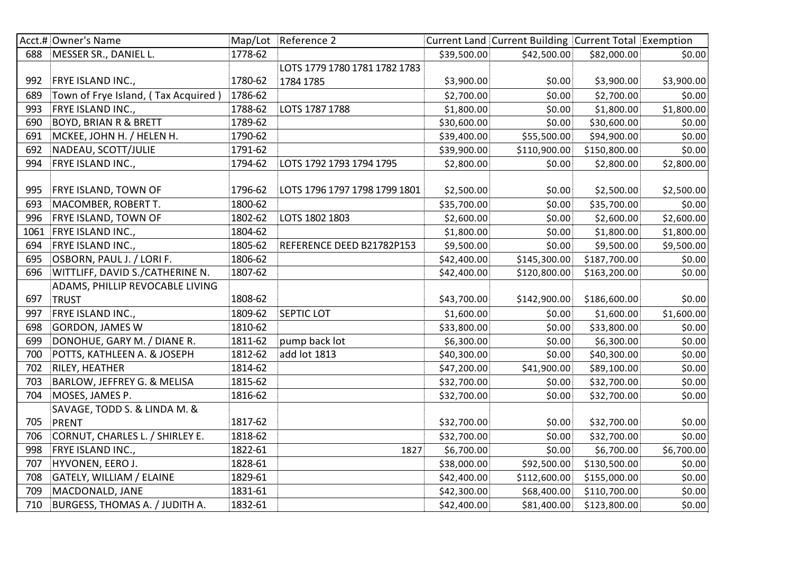|      | Acct.# Owner's Name                   |         | Map/Lot Reference 2           |             | Current Land Current Building Current Total Exemption |              |            |
|------|---------------------------------------|---------|-------------------------------|-------------|-------------------------------------------------------|--------------|------------|
| 688  | MESSER SR., DANIEL L.                 | 1778-62 |                               | \$39,500.00 | \$42,500.00                                           | \$82,000.00  | \$0.00     |
|      |                                       |         | LOTS 1779 1780 1781 1782 1783 |             |                                                       |              |            |
| 992  | FRYE ISLAND INC.,                     | 1780-62 | 1784 1785                     | \$3,900.00  | \$0.00                                                | \$3,900.00   | \$3,900.00 |
| 689  | Town of Frye Island, (Tax Acquired)   | 1786-62 |                               | \$2,700.00  | \$0.00                                                | \$2,700.00   | \$0.00     |
| 993  | FRYE ISLAND INC.,                     | 1788-62 | LOTS 1787 1788                | \$1,800.00  | \$0.00                                                | \$1,800.00   | \$1,800.00 |
| 690  | <b>BOYD, BRIAN R &amp; BRETT</b>      | 1789-62 |                               | \$30,600.00 | \$0.00                                                | \$30,600.00  | \$0.00     |
| 691  | MCKEE, JOHN H. / HELEN H.             | 1790-62 |                               | \$39,400.00 | \$55,500.00                                           | \$94,900.00  | \$0.00     |
| 692  | NADEAU, SCOTT/JULIE                   | 1791-62 |                               | \$39,900.00 | \$110,900.00                                          | \$150,800.00 | \$0.00     |
| 994  | FRYE ISLAND INC.,                     | 1794-62 | LOTS 1792 1793 1794 1795      | \$2,800.00  | \$0.00                                                | \$2,800.00   | \$2,800.00 |
|      |                                       |         |                               |             |                                                       |              |            |
| 995  | FRYE ISLAND, TOWN OF                  | 1796-62 | LOTS 1796 1797 1798 1799 1801 | \$2,500.00  | \$0.00                                                | \$2,500.00   | \$2,500.00 |
| 693  | MACOMBER, ROBERT T.                   | 1800-62 |                               | \$35,700.00 | \$0.00                                                | \$35,700.00  | \$0.00     |
| 996  | <b>FRYE ISLAND, TOWN OF</b>           | 1802-62 | LOTS 1802 1803                | \$2,600.00  | \$0.00                                                | \$2,600.00   | \$2,600.00 |
| 1061 | FRYE ISLAND INC.,                     | 1804-62 |                               | \$1,800.00  | \$0.00                                                | \$1,800.00   | \$1,800.00 |
| 694  | FRYE ISLAND INC.,                     | 1805-62 | REFERENCE DEED B21782P153     | \$9,500.00  | \$0.00                                                | \$9,500.00   | \$9,500.00 |
| 695  | OSBORN, PAUL J. / LORI F.             | 1806-62 |                               | \$42,400.00 | \$145,300.00                                          | \$187,700.00 | \$0.00     |
| 696  | WITTLIFF, DAVID S./CATHERINE N.       | 1807-62 |                               | \$42,400.00 | \$120,800.00                                          | \$163,200.00 | \$0.00     |
|      | ADAMS, PHILLIP REVOCABLE LIVING       |         |                               |             |                                                       |              |            |
| 697  | <b>TRUST</b>                          | 1808-62 |                               | \$43,700.00 | \$142,900.00                                          | \$186,600.00 | \$0.00     |
| 997  | FRYE ISLAND INC.,                     | 1809-62 | <b>SEPTIC LOT</b>             | \$1,600.00  | \$0.00                                                | \$1,600.00   | \$1,600.00 |
| 698  | <b>GORDON, JAMES W</b>                | 1810-62 |                               | \$33,800.00 | \$0.00                                                | \$33,800.00  | \$0.00     |
| 699  | DONOHUE, GARY M. / DIANE R.           | 1811-62 | pump back lot                 | \$6,300.00  | \$0.00                                                | \$6,300.00   | \$0.00     |
| 700  | POTTS, KATHLEEN A. & JOSEPH           | 1812-62 | add lot 1813                  | \$40,300.00 | \$0.00                                                | \$40,300.00  | \$0.00     |
| 702  | RILEY, HEATHER                        | 1814-62 |                               | \$47,200.00 | \$41,900.00                                           | \$89,100.00  | \$0.00     |
| 703  | BARLOW, JEFFREY G. & MELISA           | 1815-62 |                               | \$32,700.00 | \$0.00                                                | \$32,700.00  | \$0.00     |
| 704  | MOSES, JAMES P.                       | 1816-62 |                               | \$32,700.00 | \$0.00                                                | \$32,700.00  | \$0.00     |
|      | SAVAGE, TODD S. & LINDA M. &          |         |                               |             |                                                       |              |            |
| 705  | <b>PRENT</b>                          | 1817-62 |                               | \$32,700.00 | \$0.00                                                | \$32,700.00  | \$0.00     |
| 706  | CORNUT, CHARLES L. / SHIRLEY E.       | 1818-62 |                               | \$32,700.00 | \$0.00                                                | \$32,700.00  | \$0.00     |
| 998  | FRYE ISLAND INC.,                     | 1822-61 | 1827                          | \$6,700.00  | \$0.00                                                | \$6,700.00   | \$6,700.00 |
| 707  | HYVONEN, EERO J.                      | 1828-61 |                               | \$38,000.00 | \$92,500.00                                           | \$130,500.00 | \$0.00     |
| 708  | GATELY, WILLIAM / ELAINE              | 1829-61 |                               | \$42,400.00 | \$112,600.00                                          | \$155,000.00 | \$0.00     |
| 709  | MACDONALD, JANE                       | 1831-61 |                               | \$42,300.00 | \$68,400.00                                           | \$110,700.00 | \$0.00     |
| 710  | <b>BURGESS, THOMAS A. / JUDITH A.</b> | 1832-61 |                               | \$42,400.00 | \$81,400.00                                           | \$123,800.00 | \$0.00     |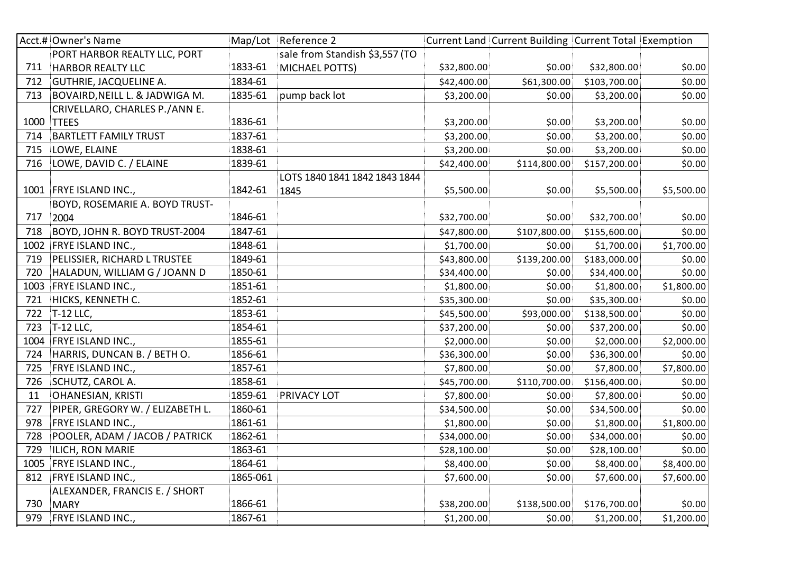|      | Acct.# Owner's Name              |          | Map/Lot Reference 2            |             | Current Land Current Building Current Total Exemption |              |            |
|------|----------------------------------|----------|--------------------------------|-------------|-------------------------------------------------------|--------------|------------|
|      | PORT HARBOR REALTY LLC, PORT     |          | sale from Standish \$3,557 (TO |             |                                                       |              |            |
| 711  | <b>HARBOR REALTY LLC</b>         | 1833-61  | <b>MICHAEL POTTS)</b>          | \$32,800.00 | \$0.00                                                | \$32,800.00  | \$0.00     |
| 712  | GUTHRIE, JACQUELINE A.           | 1834-61  |                                | \$42,400.00 | \$61,300.00                                           | \$103,700.00 | \$0.00     |
| 713  | BOVAIRD, NEILL L. & JADWIGA M.   | 1835-61  | pump back lot                  | \$3,200.00  | \$0.00                                                | \$3,200.00   | \$0.00     |
|      | CRIVELLARO, CHARLES P./ANN E.    |          |                                |             |                                                       |              |            |
| 1000 | <b>TTEES</b>                     | 1836-61  |                                | \$3,200.00  | \$0.00                                                | \$3,200.00   | \$0.00     |
| 714  | <b>BARTLETT FAMILY TRUST</b>     | 1837-61  |                                | \$3,200.00  | \$0.00                                                | \$3,200.00   | \$0.00     |
| 715  | LOWE, ELAINE                     | 1838-61  |                                | \$3,200.00  | \$0.00                                                | \$3,200.00   | \$0.00     |
| 716  | LOWE, DAVID C. / ELAINE          | 1839-61  |                                | \$42,400.00 | \$114,800.00                                          | \$157,200.00 | \$0.00     |
|      |                                  |          | LOTS 1840 1841 1842 1843 1844  |             |                                                       |              |            |
|      | 1001 FRYE ISLAND INC.,           | 1842-61  | 1845                           | \$5,500.00  | \$0.00                                                | \$5,500.00   | \$5,500.00 |
|      | BOYD, ROSEMARIE A. BOYD TRUST-   |          |                                |             |                                                       |              |            |
| 717  | 2004                             | 1846-61  |                                | \$32,700.00 | \$0.00                                                | \$32,700.00  | \$0.00     |
| 718  | BOYD, JOHN R. BOYD TRUST-2004    | 1847-61  |                                | \$47,800.00 | \$107,800.00                                          | \$155,600.00 | \$0.00     |
|      | 1002 FRYE ISLAND INC.,           | 1848-61  |                                | \$1,700.00  | \$0.00                                                | \$1,700.00   | \$1,700.00 |
| 719  | PELISSIER, RICHARD L TRUSTEE     | 1849-61  |                                | \$43,800.00 | \$139,200.00                                          | \$183,000.00 | \$0.00     |
| 720  | HALADUN, WILLIAM G / JOANN D     | 1850-61  |                                | \$34,400.00 | \$0.00                                                | \$34,400.00  | \$0.00     |
| 1003 | FRYE ISLAND INC.,                | 1851-61  |                                | \$1,800.00  | \$0.00                                                | \$1,800.00   | \$1,800.00 |
| 721  | HICKS, KENNETH C.                | 1852-61  |                                | \$35,300.00 | \$0.00                                                | \$35,300.00  | \$0.00     |
| 722  | <b>T-12 LLC,</b>                 | 1853-61  |                                | \$45,500.00 | \$93,000.00                                           | \$138,500.00 | \$0.00     |
| 723  | T-12 LLC,                        | 1854-61  |                                | \$37,200.00 | \$0.00                                                | \$37,200.00  | \$0.00     |
| 1004 | FRYE ISLAND INC.,                | 1855-61  |                                | \$2,000.00  | \$0.00                                                | \$2,000.00   | \$2,000.00 |
| 724  | HARRIS, DUNCAN B. / BETH O.      | 1856-61  |                                | \$36,300.00 | \$0.00                                                | \$36,300.00  | \$0.00     |
| 725  | FRYE ISLAND INC.,                | 1857-61  |                                | \$7,800.00  | \$0.00                                                | \$7,800.00   | \$7,800.00 |
| 726  | SCHUTZ, CAROL A.                 | 1858-61  |                                | \$45,700.00 | \$110,700.00                                          | \$156,400.00 | \$0.00     |
| 11   | <b>OHANESIAN, KRISTI</b>         | 1859-61  | PRIVACY LOT                    | \$7,800.00  | \$0.00                                                | \$7,800.00   | \$0.00     |
| 727  | PIPER, GREGORY W. / ELIZABETH L. | 1860-61  |                                | \$34,500.00 | \$0.00                                                | \$34,500.00  | \$0.00     |
| 978  | FRYE ISLAND INC.,                | 1861-61  |                                | \$1,800.00  | \$0.00                                                | \$1,800.00   | \$1,800.00 |
| 728  | POOLER, ADAM / JACOB / PATRICK   | 1862-61  |                                | \$34,000.00 | \$0.00                                                | \$34,000.00  | \$0.00     |
| 729  | ILICH, RON MARIE                 | 1863-61  |                                | \$28,100.00 | \$0.00                                                | \$28,100.00  | \$0.00     |
|      | 1005 FRYE ISLAND INC.,           | 1864-61  |                                | \$8,400.00  | \$0.00                                                | \$8,400.00   | \$8,400.00 |
| 812  | FRYE ISLAND INC.,                | 1865-061 |                                | \$7,600.00  | \$0.00                                                | \$7,600.00   | \$7,600.00 |
|      | ALEXANDER, FRANCIS E. / SHORT    |          |                                |             |                                                       |              |            |
| 730  | <b>MARY</b>                      | 1866-61  |                                | \$38,200.00 | \$138,500.00                                          | \$176,700.00 | \$0.00     |
| 979  | <b>FRYE ISLAND INC.,</b>         | 1867-61  |                                | \$1,200.00  | \$0.00                                                | \$1,200.00   | \$1,200.00 |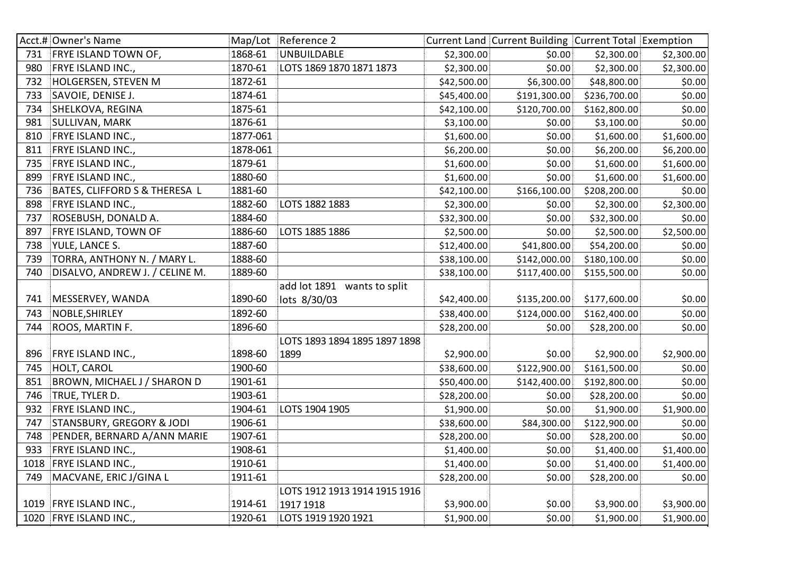|     | Acct.# Owner's Name                  |          | Map/Lot Reference 2           |             | Current Land Current Building Current Total Exemption |              |            |
|-----|--------------------------------------|----------|-------------------------------|-------------|-------------------------------------------------------|--------------|------------|
| 731 | <b>FRYE ISLAND TOWN OF,</b>          | 1868-61  | <b>UNBUILDABLE</b>            | \$2,300.00  | \$0.00                                                | \$2,300.00   | \$2,300.00 |
| 980 | FRYE ISLAND INC.,                    | 1870-61  | LOTS 1869 1870 1871 1873      | \$2,300.00  | \$0.00                                                | \$2,300.00   | \$2,300.00 |
| 732 | HOLGERSEN, STEVEN M                  | 1872-61  |                               | \$42,500.00 | \$6,300.00                                            | \$48,800.00  | \$0.00     |
| 733 | SAVOIE, DENISE J.                    | 1874-61  |                               | \$45,400.00 | \$191,300.00                                          | \$236,700.00 | \$0.00     |
| 734 | SHELKOVA, REGINA                     | 1875-61  |                               | \$42,100.00 | \$120,700.00                                          | \$162,800.00 | \$0.00     |
| 981 | SULLIVAN, MARK                       | 1876-61  |                               | \$3,100.00  | \$0.00                                                | \$3,100.00   | \$0.00     |
| 810 | FRYE ISLAND INC.,                    | 1877-061 |                               | \$1,600.00  | \$0.00                                                | \$1,600.00   | \$1,600.00 |
| 811 | FRYE ISLAND INC.,                    | 1878-061 |                               | \$6,200.00  | \$0.00                                                | \$6,200.00   | \$6,200.00 |
| 735 | FRYE ISLAND INC.,                    | 1879-61  |                               | \$1,600.00  | \$0.00                                                | \$1,600.00   | \$1,600.00 |
| 899 | FRYE ISLAND INC.,                    | 1880-60  |                               | \$1,600.00  | \$0.00                                                | \$1,600.00   | \$1,600.00 |
| 736 | BATES, CLIFFORD S & THERESA L        | 1881-60  |                               | \$42,100.00 | \$166,100.00                                          | \$208,200.00 | \$0.00     |
| 898 | FRYE ISLAND INC.,                    | 1882-60  | LOTS 1882 1883                | \$2,300.00  | \$0.00                                                | \$2,300.00   | \$2,300.00 |
| 737 | ROSEBUSH, DONALD A.                  | 1884-60  |                               | \$32,300.00 | \$0.00                                                | \$32,300.00  | \$0.00     |
| 897 | FRYE ISLAND, TOWN OF                 | 1886-60  | LOTS 1885 1886                | \$2,500.00  | \$0.00                                                | \$2,500.00   | \$2,500.00 |
| 738 | YULE, LANCE S.                       | 1887-60  |                               | \$12,400.00 | \$41,800.00                                           | \$54,200.00  | \$0.00     |
| 739 | TORRA, ANTHONY N. / MARY L.          | 1888-60  |                               | \$38,100.00 | \$142,000.00                                          | \$180,100.00 | \$0.00     |
| 740 | DISALVO, ANDREW J. / CELINE M.       | 1889-60  |                               | \$38,100.00 | \$117,400.00                                          | \$155,500.00 | \$0.00     |
|     |                                      |          | add lot 1891 wants to split   |             |                                                       |              |            |
| 741 | MESSERVEY, WANDA                     | 1890-60  | lots 8/30/03                  | \$42,400.00 | \$135,200.00                                          | \$177,600.00 | \$0.00     |
| 743 | NOBLE, SHIRLEY                       | 1892-60  |                               | \$38,400.00 | \$124,000.00                                          | \$162,400.00 | \$0.00     |
| 744 | ROOS, MARTIN F.                      | 1896-60  |                               | \$28,200.00 | \$0.00                                                | \$28,200.00  | \$0.00     |
|     |                                      |          | LOTS 1893 1894 1895 1897 1898 |             |                                                       |              |            |
| 896 | FRYE ISLAND INC.,                    | 1898-60  | 1899                          | \$2,900.00  | \$0.00                                                | \$2,900.00   | \$2,900.00 |
| 745 | HOLT, CAROL                          | 1900-60  |                               | \$38,600.00 | \$122,900.00                                          | \$161,500.00 | \$0.00     |
| 851 | BROWN, MICHAEL J / SHARON D          | 1901-61  |                               | \$50,400.00 | \$142,400.00                                          | \$192,800.00 | \$0.00     |
| 746 | TRUE, TYLER D.                       | 1903-61  |                               | \$28,200.00 | \$0.00                                                | \$28,200.00  | \$0.00     |
| 932 | FRYE ISLAND INC.,                    | 1904-61  | LOTS 1904 1905                | \$1,900.00  | \$0.00                                                | \$1,900.00   | \$1,900.00 |
| 747 | <b>STANSBURY, GREGORY &amp; JODI</b> | 1906-61  |                               | \$38,600.00 | \$84,300.00                                           | \$122,900.00 | \$0.00     |
| 748 | PENDER, BERNARD A/ANN MARIE          | 1907-61  |                               | \$28,200.00 | \$0.00                                                | \$28,200.00  | \$0.00     |
| 933 | FRYE ISLAND INC.,                    | 1908-61  |                               | \$1,400.00  | \$0.00                                                | \$1,400.00   | \$1,400.00 |
|     | 1018 FRYE ISLAND INC.,               | 1910-61  |                               | \$1,400.00  | \$0.00                                                | \$1,400.00   | \$1,400.00 |
| 749 | MACVANE, ERIC J/GINA L               | 1911-61  |                               | \$28,200.00 | \$0.00                                                | \$28,200.00  | \$0.00     |
|     |                                      |          | LOTS 1912 1913 1914 1915 1916 |             |                                                       |              |            |
|     | 1019 FRYE ISLAND INC.,               | 1914-61  | 1917 1918                     | \$3,900.00  | \$0.00                                                | \$3,900.00   | \$3,900.00 |
|     | 1020 FRYE ISLAND INC.,               | 1920-61  | LOTS 1919 1920 1921           | \$1,900.00  | \$0.00                                                | \$1,900.00   | \$1,900.00 |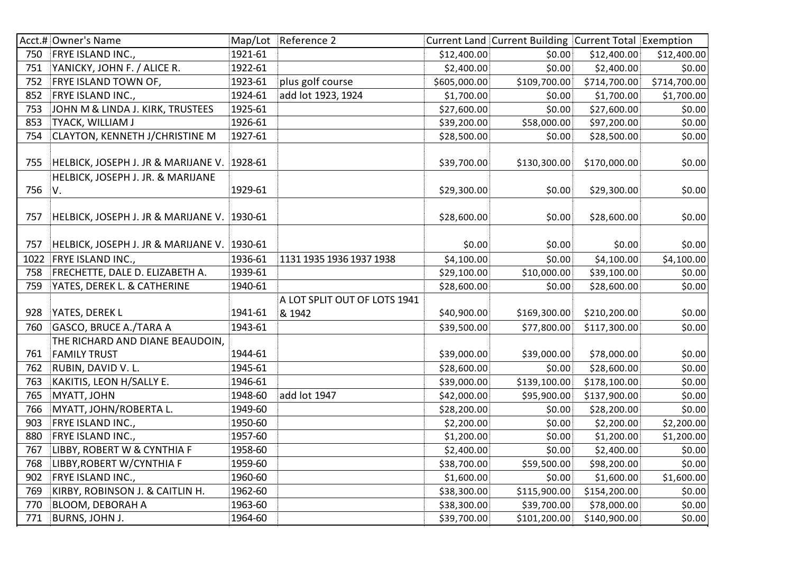|      | Acct.# Owner's Name                         |         | Map/Lot Reference 2          |              | Current Land Current Building Current Total Exemption |              |              |
|------|---------------------------------------------|---------|------------------------------|--------------|-------------------------------------------------------|--------------|--------------|
| 750  | <b>FRYE ISLAND INC.,</b>                    | 1921-61 |                              | \$12,400.00  | \$0.00                                                | \$12,400.00  | \$12,400.00  |
| 751  | YANICKY, JOHN F. / ALICE R.                 | 1922-61 |                              | \$2,400.00   | \$0.00                                                | \$2,400.00   | \$0.00       |
| 752  | FRYE ISLAND TOWN OF,                        | 1923-61 | plus golf course             | \$605,000.00 | \$109,700.00                                          | \$714,700.00 | \$714,700.00 |
| 852  | FRYE ISLAND INC.,                           | 1924-61 | add lot 1923, 1924           | \$1,700.00   | \$0.00                                                | \$1,700.00   | \$1,700.00   |
| 753  | JOHN M & LINDA J. KIRK, TRUSTEES            | 1925-61 |                              | \$27,600.00  | \$0.00                                                | \$27,600.00  | \$0.00       |
| 853  | <b>TYACK, WILLIAM J</b>                     | 1926-61 |                              | \$39,200.00  | \$58,000.00                                           | \$97,200.00  | \$0.00       |
| 754  | <b>CLAYTON, KENNETH J/CHRISTINE M</b>       | 1927-61 |                              | \$28,500.00  | \$0.00                                                | \$28,500.00  | \$0.00       |
|      |                                             |         |                              |              |                                                       |              |              |
| 755  | HELBICK, JOSEPH J. JR & MARIJANE V. 1928-61 |         |                              | \$39,700.00  | \$130,300.00                                          | \$170,000.00 | \$0.00       |
|      | HELBICK, JOSEPH J. JR. & MARIJANE           |         |                              |              |                                                       |              |              |
| 756  | V.                                          | 1929-61 |                              | \$29,300.00  | \$0.00                                                | \$29,300.00  | \$0.00       |
|      |                                             |         |                              |              |                                                       |              |              |
| 757  | HELBICK, JOSEPH J. JR & MARIJANE V. 1930-61 |         |                              | \$28,600.00  | \$0.00                                                | \$28,600.00  | \$0.00       |
|      |                                             |         |                              |              |                                                       |              |              |
| 757  | HELBICK, JOSEPH J. JR & MARIJANE V. 1930-61 |         |                              | \$0.00       | \$0.00                                                | \$0.00       | \$0.00       |
| 1022 | <b>FRYE ISLAND INC.,</b>                    | 1936-61 | 1131 1935 1936 1937 1938     | \$4,100.00   | \$0.00                                                | \$4,100.00   | \$4,100.00   |
| 758  | FRECHETTE, DALE D. ELIZABETH A.             | 1939-61 |                              | \$29,100.00  | \$10,000.00                                           | \$39,100.00  | \$0.00       |
| 759  | YATES, DEREK L. & CATHERINE                 | 1940-61 |                              | \$28,600.00  | \$0.00                                                | \$28,600.00  | \$0.00       |
|      |                                             |         | A LOT SPLIT OUT OF LOTS 1941 |              |                                                       |              |              |
| 928  | YATES, DEREK L                              | 1941-61 | & 1942                       | \$40,900.00  | \$169,300.00                                          | \$210,200.00 | \$0.00       |
| 760  | GASCO, BRUCE A./TARA A                      | 1943-61 |                              | \$39,500.00  | \$77,800.00                                           | \$117,300.00 | \$0.00       |
|      | THE RICHARD AND DIANE BEAUDOIN,             |         |                              |              |                                                       |              |              |
| 761  | <b>FAMILY TRUST</b>                         | 1944-61 |                              | \$39,000.00  | \$39,000.00                                           | \$78,000.00  | \$0.00       |
| 762  | RUBIN, DAVID V. L.                          | 1945-61 |                              | \$28,600.00  | \$0.00                                                | \$28,600.00  | \$0.00       |
| 763  | KAKITIS, LEON H/SALLY E.                    | 1946-61 |                              | \$39,000.00  | \$139,100.00                                          | \$178,100.00 | \$0.00       |
| 765  | MYATT, JOHN                                 | 1948-60 | add lot 1947                 | \$42,000.00  | \$95,900.00                                           | \$137,900.00 | \$0.00       |
| 766  | MYATT, JOHN/ROBERTA L.                      | 1949-60 |                              | \$28,200.00  | \$0.00                                                | \$28,200.00  | \$0.00       |
| 903  | FRYE ISLAND INC.,                           | 1950-60 |                              | \$2,200.00   | \$0.00                                                | \$2,200.00   | \$2,200.00   |
| 880  | FRYE ISLAND INC.,                           | 1957-60 |                              | \$1,200.00   | \$0.00                                                | \$1,200.00   | \$1,200.00   |
| 767  | LIBBY, ROBERT W & CYNTHIA F                 | 1958-60 |                              | \$2,400.00   | \$0.00                                                | \$2,400.00   | \$0.00       |
| 768  | LIBBY, ROBERT W/CYNTHIA F                   | 1959-60 |                              | \$38,700.00  | \$59,500.00                                           | \$98,200.00  | \$0.00       |
| 902  | FRYE ISLAND INC.,                           | 1960-60 |                              | \$1,600.00   | \$0.00                                                | \$1,600.00   | \$1,600.00   |
| 769  | KIRBY, ROBINSON J. & CAITLIN H.             | 1962-60 |                              | \$38,300.00  | \$115,900.00                                          | \$154,200.00 | \$0.00       |
| 770  | <b>BLOOM, DEBORAH A</b>                     | 1963-60 |                              | \$38,300.00  | \$39,700.00                                           | \$78,000.00  | \$0.00       |
| 771  | <b>BURNS, JOHN J.</b>                       | 1964-60 |                              | \$39,700.00  | \$101,200.00                                          | \$140,900.00 | \$0.00       |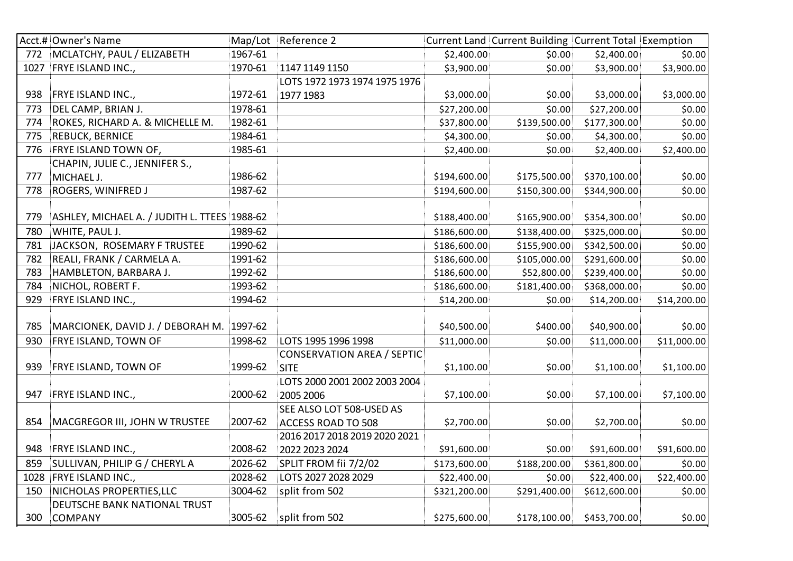|      | Acct.# Owner's Name                          |         | Map/Lot Reference 2               |              | Current Land Current Building Current Total Exemption |              |             |
|------|----------------------------------------------|---------|-----------------------------------|--------------|-------------------------------------------------------|--------------|-------------|
| 772  | MCLATCHY, PAUL / ELIZABETH                   | 1967-61 |                                   | \$2,400.00   | \$0.00                                                | \$2,400.00   | \$0.00      |
| 1027 | FRYE ISLAND INC.,                            | 1970-61 | 1147 1149 1150                    | \$3,900.00   | \$0.00                                                | \$3,900.00   | \$3,900.00  |
|      |                                              |         | LOTS 1972 1973 1974 1975 1976     |              |                                                       |              |             |
| 938  | FRYE ISLAND INC.,                            | 1972-61 | 1977 1983                         | \$3,000.00   | \$0.00                                                | \$3,000.00   | \$3,000.00  |
| 773  | DEL CAMP, BRIAN J.                           | 1978-61 |                                   | \$27,200.00  | \$0.00                                                | \$27,200.00  | \$0.00      |
| 774  | ROKES, RICHARD A. & MICHELLE M.              | 1982-61 |                                   | \$37,800.00  | \$139,500.00                                          | \$177,300.00 | \$0.00      |
| 775  | REBUCK, BERNICE                              | 1984-61 |                                   | \$4,300.00   | \$0.00                                                | \$4,300.00   | \$0.00      |
| 776  | FRYE ISLAND TOWN OF,                         | 1985-61 |                                   | \$2,400.00   | \$0.00                                                | \$2,400.00   | \$2,400.00  |
|      | CHAPIN, JULIE C., JENNIFER S.,               |         |                                   |              |                                                       |              |             |
| 777  | MICHAEL J.                                   | 1986-62 |                                   | \$194,600.00 | \$175,500.00                                          | \$370,100.00 | \$0.00      |
| 778  | ROGERS, WINIFRED J                           | 1987-62 |                                   | \$194,600.00 | \$150,300.00                                          | \$344,900.00 | \$0.00      |
|      |                                              |         |                                   |              |                                                       |              |             |
| 779  | ASHLEY, MICHAEL A. / JUDITH L. TTEES 1988-62 |         |                                   | \$188,400.00 | \$165,900.00                                          | \$354,300.00 | \$0.00      |
| 780  | WHITE, PAUL J.                               | 1989-62 |                                   | \$186,600.00 | \$138,400.00                                          | \$325,000.00 | \$0.00      |
| 781  | JACKSON, ROSEMARY F TRUSTEE                  | 1990-62 |                                   | \$186,600.00 | \$155,900.00                                          | \$342,500.00 | \$0.00      |
| 782  | REALI, FRANK / CARMELA A.                    | 1991-62 |                                   | \$186,600.00 | \$105,000.00                                          | \$291,600.00 | \$0.00      |
| 783  | HAMBLETON, BARBARA J.                        | 1992-62 |                                   | \$186,600.00 | \$52,800.00                                           | \$239,400.00 | \$0.00      |
| 784  | NICHOL, ROBERT F.                            | 1993-62 |                                   | \$186,600.00 | \$181,400.00                                          | \$368,000.00 | \$0.00      |
| 929  | FRYE ISLAND INC.,                            | 1994-62 |                                   | \$14,200.00  | \$0.00                                                | \$14,200.00  | \$14,200.00 |
|      |                                              |         |                                   |              |                                                       |              |             |
| 785  | MARCIONEK, DAVID J. / DEBORAH M. 1997-62     |         |                                   | \$40,500.00  | \$400.00                                              | \$40,900.00  | \$0.00      |
| 930  | FRYE ISLAND, TOWN OF                         | 1998-62 | LOTS 1995 1996 1998               | \$11,000.00  | \$0.00                                                | \$11,000.00  | \$11,000.00 |
|      |                                              |         | <b>CONSERVATION AREA / SEPTIC</b> |              |                                                       |              |             |
| 939  | FRYE ISLAND, TOWN OF                         | 1999-62 | <b>SITE</b>                       | \$1,100.00   | \$0.00                                                | \$1,100.00   | \$1,100.00  |
|      |                                              |         | LOTS 2000 2001 2002 2003 2004     |              |                                                       |              |             |
| 947  | FRYE ISLAND INC.,                            | 2000-62 | 2005 2006                         | \$7,100.00   | \$0.00                                                | \$7,100.00   | \$7,100.00  |
|      |                                              |         | SEE ALSO LOT 508-USED AS          |              |                                                       |              |             |
| 854  | MACGREGOR III, JOHN W TRUSTEE                | 2007-62 | <b>ACCESS ROAD TO 508</b>         | \$2,700.00   | \$0.00                                                | \$2,700.00   | \$0.00      |
|      |                                              |         | 2016 2017 2018 2019 2020 2021     |              |                                                       |              |             |
| 948  | <b>FRYE ISLAND INC.,</b>                     | 2008-62 | 2022 2023 2024                    | \$91,600.00  | \$0.00                                                | \$91,600.00  | \$91,600.00 |
| 859  | SULLIVAN, PHILIP G / CHERYL A                | 2026-62 | SPLIT FROM fii 7/2/02             | \$173,600.00 | \$188,200.00                                          | \$361,800.00 | \$0.00      |
| 1028 | FRYE ISLAND INC.,                            | 2028-62 | LOTS 2027 2028 2029               | \$22,400.00  | \$0.00                                                | \$22,400.00  | \$22,400.00 |
| 150  | NICHOLAS PROPERTIES, LLC                     | 3004-62 | split from 502                    | \$321,200.00 | \$291,400.00                                          | \$612,600.00 | \$0.00      |
|      | DEUTSCHE BANK NATIONAL TRUST                 |         |                                   |              |                                                       |              |             |
| 300  | <b>COMPANY</b>                               | 3005-62 | split from 502                    | \$275,600.00 | \$178,100.00                                          | \$453,700.00 | \$0.00      |